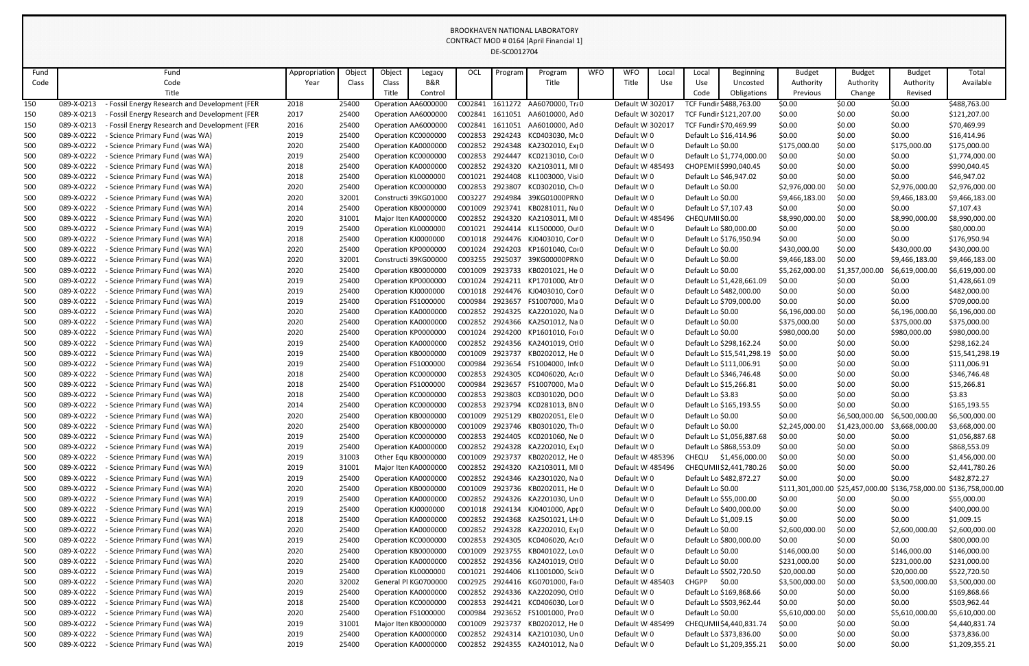| Fund       |                          | Fund                                                             | Appropriation | Object         | Object              | Legacy                                     | OCL                | Program            | Program                                    | <b>WFO</b> | <b>WFO</b>                 | Local | Local                                  | Beginning                  | <b>Budget</b>                  | <b>Budget</b>    | <b>Budget</b>                                     | Total                          |
|------------|--------------------------|------------------------------------------------------------------|---------------|----------------|---------------------|--------------------------------------------|--------------------|--------------------|--------------------------------------------|------------|----------------------------|-------|----------------------------------------|----------------------------|--------------------------------|------------------|---------------------------------------------------|--------------------------------|
| Code       |                          | Code                                                             | Year          | Class          | Class               | B&R                                        |                    |                    | Title                                      |            | Title                      | Use   | Use                                    | Uncosted                   | Authority                      | Authority        | Authority                                         | Available                      |
|            |                          | Title                                                            |               |                | Title               | Control                                    |                    |                    |                                            |            |                            |       | Code                                   | Obligations                | Previous                       | Change           | Revised                                           |                                |
| 150        | 089-X-0213               | Fossil Energy Research and Development (FER                      | 2018          | 25400          |                     | Operation AA6000000                        | C002841            |                    | 1611272 AA6070000, Tra0                    |            | Default WI302017           |       |                                        | TCF Fundir \$488,763.00    | \$0.00                         | \$0.00           | \$0.00                                            | \$488,763.00                   |
| 150        | 089-X-0213               | Fossil Energy Research and Development (FER                      | 2017          | 25400          |                     | Operation AA6000000                        | C002841            | 1611051            | AA6010000, Ad 0                            |            | Default WI302017           |       |                                        | TCF Fundir \$121,207.00    | \$0.00                         | \$0.00           | \$0.00                                            | \$121,207.00                   |
| 150        | 089-X-0213               | Fossil Energy Research and Development (FER                      | 2016          | 25400          |                     | Operation AA6000000                        | C002841            | 1611051            | AA6010000, Ad 0                            |            | Default WI302017           |       |                                        | TCF Fundir \$70,469.99     | \$0.00                         | \$0.00           | \$0.00                                            | \$70,469.99                    |
| 500        | 089-X-0222               | Science Primary Fund (was WA)                                    | 2019          | 25400          | Operation KC0000000 |                                            | C002853            | 2924243            | KC0403030, Mc 0                            |            | Default WI0                |       |                                        | Default Lo \$16,414.96     | \$0.00                         | \$0.00           | \$0.00                                            | \$16,414.96                    |
| 500        | 089-X-0222               | Science Primary Fund (was WA)                                    | 2020          | 25400          |                     | Operation KA0000000                        | C002852            |                    | 2924348 KA2302010, Exi0                    |            | Default WI0                |       | Default Lo \$0.00                      |                            | \$175,000.00                   | \$0.00           | \$175,000.00                                      | \$175,000.00                   |
| 500        | 089-X-0222               | - Science Primary Fund (was WA)                                  | 2019          | 25400          | Operation KC0000000 |                                            | C002853            | 2924447            | KC0213010, Co 0                            |            | Default WI0                |       |                                        | Default Lo \$1,774,000.00  | \$0.00                         | \$0.00           | \$0.00                                            | \$1,774,000.00                 |
| 500        | 089-X-0222               | Science Primary Fund (was WA)                                    | 2018          | 25400          |                     | Operation KA0000000                        | C002852            |                    | 2924320 KA2103011, MIO                     |            | Default WI485493           |       |                                        | CHOPEMIE \$990,040.45      | \$0.00                         | \$0.00           | \$0.00                                            | \$990,040.45                   |
| 500        | 089-X-0222               | Science Primary Fund (was WA)                                    | 2018          | 25400          | Operation KL0000000 |                                            | C001021            | 2924408            | KL1003000, Visi0                           |            | Default WI0                |       |                                        | Default Lo \$46,947.02     | \$0.00                         | \$0.00           | \$0.00                                            | \$46,947.02                    |
| 500        | 089-X-0222               | Science Primary Fund (was WA)                                    | 2020          | 25400          | Operation KC0000000 |                                            | C002853            | 2923807            | KC0302010, Ch <sub>0</sub>                 |            | Default WI0                |       | Default Lo \$0.00                      |                            | \$2,976,000.00                 | \$0.00           | \$2,976,000.00                                    | \$2,976,000.00                 |
| 500        | 089-X-0222               | Science Primary Fund (was WA)                                    | 2020          | 32001          |                     | Constructi 39KG01000                       | C003227            | 2924984            | 39KG01000PRN0                              |            | Default WI0                |       | Default Lo \$0.00                      |                            | \$9,466,183.00                 | \$0.00           | \$9,466,183.00                                    | \$9,466,183.00                 |
| 500        | 089-X-0222               | - Science Primary Fund (was WA)                                  | 2014          | 25400          |                     | Operation KB0000000                        | C001009            | 2923741            | KB0281011, Nu 0                            |            | Default WI0                |       |                                        | Default Lo \$7,107.43      | \$0.00                         | \$0.00           | \$0.00                                            | \$7,107.43                     |
| 500        | 089-X-0222               | - Science Primary Fund (was WA)                                  | 2020          | 31001          |                     | Major Iten KA0000000                       | C002852            |                    | 2924320 KA2103011, MIO                     |            | Default WI485496           |       | CHEQUMII\$0.00                         |                            | \$8,990,000.00                 | \$0.00           | \$8,990,000.00                                    | \$8,990,000.00                 |
| 500        | 089-X-0222               | - Science Primary Fund (was WA)                                  | 2019          | 25400          | Operation KL0000000 |                                            | C001021            |                    | 2924414 KL1500000, Ou 0                    |            | Default WI0                |       |                                        | Default Lo \$80,000.00     | \$0.00                         | \$0.00           | \$0.00                                            | \$80,000.00                    |
| 500        | 089-X-0222               | Science Primary Fund (was WA)                                    | 2018          | 25400          | Operation KJ0000000 |                                            | C001018            |                    | 2924476 KJ0403010, Cor 0                   |            | Default WI0                |       |                                        | Default Lo \$176,950.94    | \$0.00                         | \$0.00           | \$0.00                                            | \$176,950.94                   |
| 500        | 089-X-0222               | Science Primary Fund (was WA)                                    | 2020          | 25400          | Operation KP0000000 |                                            | C001024            | 2924203            | KP1601040, Cor0                            |            | Default WI0                |       | Default Lo \$0.00                      |                            | \$430,000.00                   | \$0.00           | \$430,000.00                                      | \$430,000.00                   |
| 500        | 089-X-0222               | - Science Primary Fund (was WA)                                  | 2020          | 32001          |                     | Constructi 39KG00000                       | C003255            | 2925037            | 39KG00000PRN0                              |            | Default WI0                |       | Default Lo \$0.00                      |                            | \$9,466,183.00                 | \$0.00           | \$9,466,183.00                                    | \$9,466,183.00                 |
| 500        | 089-X-0222               | Science Primary Fund (was WA)                                    | 2020          | 25400          | Operation KB0000000 |                                            | C001009            |                    | 2923733 KB0201021, He 0                    |            | Default WI0                |       | Default Lo \$0.00                      |                            | \$5,262,000.00                 | \$1,357,000.00   | \$6,619,000.00                                    | \$6,619,000.00                 |
| 500        | 089-X-0222               | Science Primary Fund (was WA)                                    | 2019          | 25400          | Operation KP0000000 |                                            | C001024            | 2924211            | KP1701000, Atr 0                           |            | Default WI0                |       |                                        | Default Lo \$1,428,661.09  | \$0.00                         | \$0.00           | \$0.00                                            | \$1,428,661.09                 |
| 500        | 089-X-0222               | Science Primary Fund (was WA)                                    | 2019          | 25400          | Operation KJ0000000 |                                            | C001018            |                    | 2924476 KJ0403010, Cor 0                   |            | Default WI0                |       |                                        | Default Lo \$482,000.00    | \$0.00                         | \$0.00           | \$0.00                                            | \$482,000.00                   |
| 500        | 089-X-0222               | Science Primary Fund (was WA)                                    | 2019          | 25400          | Operation FS1000000 |                                            | C000984<br>C002852 | 2923657<br>2924325 | FS1007000, Ma 0                            |            | Default WI0                |       |                                        | Default Lo \$709,000.00    | \$0.00                         | \$0.00           | \$0.00                                            | \$709,000.00                   |
| 500        | 089-X-0222<br>089-X-0222 | - Science Primary Fund (was WA)<br>Science Primary Fund (was WA) | 2020<br>2020  | 25400<br>25400 |                     | Operation KA0000000<br>Operation KA0000000 | C002852            |                    | KA2201020, Na 0<br>2924366 KA2501012, Na 0 |            | Default WI0<br>Default WI0 |       | Default Lo \$0.00<br>Default Lo \$0.00 |                            | \$6,196,000.00<br>\$375,000.00 | \$0.00<br>\$0.00 | \$6,196,000.00<br>\$375,000.00                    | \$6,196,000.00<br>\$375,000.00 |
| 500<br>500 | 089-X-0222               | - Science Primary Fund (was WA)                                  | 2020          | 25400          | Operation KP0000000 |                                            | C001024            | 2924200            | KP1601010, For 0                           |            | Default WI0                |       | Default Lo \$0.00                      |                            | \$980,000.00                   | \$0.00           | \$980,000.00                                      | \$980,000.00                   |
| 500        | 089-X-0222               | Science Primary Fund (was WA)                                    | 2019          | 25400          | Operation KA0000000 |                                            | C002852            | 2924356            | KA2401019, Otl0                            |            | Default WI0                |       |                                        | Default Lo \$298,162.24    | \$0.00                         | \$0.00           | \$0.00                                            | \$298,162.24                   |
| 500        | 089-X-0222               | - Science Primary Fund (was WA)                                  | 2019          | 25400          | Operation KB000000C |                                            | C001009            | 2923737            | KB0202012, He 0                            |            | Default WI0                |       |                                        | Default Lo \$15,541,298.19 | \$0.00                         | \$0.00           | \$0.00                                            | \$15,541,298.19                |
| 500        | 089-X-0222               | - Science Primary Fund (was WA)                                  | 2019          | 25400          | Operation FS1000000 |                                            | C000984            | 2923654            | FS1004000, Infr 0                          |            | Default WI0                |       |                                        | Default Lo \$111,006.91    | \$0.00                         | \$0.00           | \$0.00                                            | \$111,006.91                   |
| 500        | 089-X-0222               | - Science Primary Fund (was WA)                                  | 2018          | 25400          |                     | Operation KC0000000                        | C002853            |                    | 2924305 KC0406020, Act0                    |            | Default WI0                |       |                                        | Default Lo \$346,746.48    | \$0.00                         | \$0.00           | \$0.00                                            | \$346,746.48                   |
| 500        | 089-X-0222               | - Science Primary Fund (was WA)                                  | 2018          | 25400          | Operation FS1000000 |                                            | C000984            | 2923657            | FS1007000, Ma 0                            |            | Default WI0                |       |                                        | Default Lo \$15,266.81     | \$0.00                         | \$0.00           | \$0.00                                            | \$15,266.81                    |
| 500        | 089-X-0222               | Science Primary Fund (was WA)                                    | 2018          | 25400          |                     | Operation KC0000000                        | C002853            | 2923803            | KC0301020, DO0                             |            | Default WI0                |       | Default Lo \$3.83                      |                            | \$0.00                         | \$0.00           | \$0.00                                            | \$3.83                         |
| 500        | 089-X-0222               | - Science Primary Fund (was WA)                                  | 2014          | 25400          |                     | Operation KC0000000                        | C002853            |                    | 2923794 KC0281013, BN 0                    |            | Default WI0                |       |                                        | Default Lo \$165,193.55    | \$0.00                         | \$0.00           | \$0.00                                            | \$165,193.55                   |
| 500        | 089-X-0222               | - Science Primary Fund (was WA)                                  | 2020          | 25400          |                     | Operation KB0000000                        | C001009            | 2925129            | KB0202051, Ele 0                           |            | Default WI0                |       | Default Lo \$0.00                      |                            | \$0.00                         | \$6,500,000.00   | \$6,500,000.00                                    | \$6,500,000.00                 |
| 500        | 089-X-0222               | Science Primary Fund (was WA)                                    | 2020          | 25400          |                     | Operation KB0000000                        | C001009            |                    | 2923746 KB0301020, Th: 0                   |            | Default WI0                |       | Default Lo \$0.00                      |                            | \$2,245,000.00                 | \$1,423,000.00   | \$3,668,000.00                                    | \$3,668,000.00                 |
| 500        | 089-X-0222               | - Science Primary Fund (was WA)                                  | 2019          | 25400          | Operation KC0000000 |                                            | C002853            |                    | 2924405 KC0201060, Ne 0                    |            | Default WI0                |       |                                        | Default Lo \$1,056,887.68  | \$0.00                         | \$0.00           | \$0.00                                            | \$1,056,887.68                 |
| 500        | 089-X-0222               | Science Primary Fund (was WA)                                    | 2019          | 25400          |                     | Operation KA0000000                        | C002852            |                    | 2924328 KA2202010, Exi0                    |            | Default WI0                |       |                                        | Default Lo \$868,553.09    | \$0.00                         | \$0.00           | \$0.00                                            | \$868,553.09                   |
| 500        | 089-X-0222               | Science Primary Fund (was WA)                                    | 2019          | 31003          |                     | Other Equ KB0000000                        | C001009            |                    | 2923737 KB0202012, He 0                    |            | Default W 485396           |       |                                        | CHEQU \$1,456,000.00       | \$0.00                         | \$0.00           | \$0.00                                            | \$1,456,000.00                 |
| 500        | 089-X-0222               | Science Primary Fund (was WA)                                    | 2019          | 31001          |                     | Major Iten KA0000000                       | C002852            |                    | 2924320 KA2103011, MIO                     |            | Default WI485496           |       |                                        | CHEQUMII\$2,441,780.26     | \$0.00                         | \$0.00           | \$0.00                                            | \$2,441,780.26                 |
| 500        | 089-X-0222               | Science Primary Fund (was WA)                                    | 2019          | 25400          |                     | Operation KA0000000                        | C002852            |                    | 2924346 KA2301020, Na 0                    |            | Default WI0                |       |                                        | Default Lo \$482,872.27    | \$0.00                         | \$0.00           | \$0.00                                            | \$482,872.27                   |
| 500        | 089-X-0222               | Science Primary Fund (was WA)                                    | 2020          | 25400          |                     | Operation KB0000000                        | C001009            |                    | 2923736 KB0202011, He 0                    |            | Default WI0                |       | Default Lo \$0.00                      |                            |                                |                  | \$111,301,000.00 \$25,457,000.00 \$136,758,000.00 | \$136,758,000.00               |
| 500        | 089-X-0222               | Science Primary Fund (was WA)                                    | 2019          | 25400          |                     | Operation KA0000000                        |                    |                    | C002852 2924326 KA2201030, Un 0            |            | Default WI0                |       |                                        | Default Lo \$55,000.00     | \$0.00                         | \$0.00           | \$0.00                                            | \$55,000.00                    |
| 500        | 089-X-0222               | - Science Primary Fund (was WA)                                  | 2019          | 25400          | Operation KJ0000000 |                                            |                    |                    | C001018 2924134 KJ0401000, Apr 0           |            | Default WI0                |       |                                        | Default Lo \$400,000.00    | \$0.00                         | \$0.00           | \$0.00                                            | \$400,000.00                   |
| 500        | 089-X-0222               | Science Primary Fund (was WA)                                    | 2018          | 25400          |                     | Operation KA0000000                        | C002852            |                    | 2924368 KA2501021, LH 0                    |            | Default WI0                |       |                                        | Default Lo \$1,009.15      | \$0.00                         | \$0.00           | \$0.00                                            | \$1,009.15                     |
| 500        | 089-X-0222               | Science Primary Fund (was WA)                                    | 2020          | 25400          |                     | Operation KA0000000                        | C002852            |                    | 2924328 KA2202010, Exi 0                   |            | Default WI0                |       | Default Lo \$0.00                      |                            | \$2,600,000.00                 | \$0.00           | \$2,600,000.00                                    | \$2,600,000.00                 |
| 500        | 089-X-0222               | - Science Primary Fund (was WA)                                  | 2019          | 25400          | Operation KC0000000 |                                            | C002853            |                    | 2924305 KC0406020, Act0                    |            | Default WI0                |       |                                        | Default Lo \$800,000.00    | \$0.00                         | \$0.00           | \$0.00                                            | \$800,000.00                   |
| 500        | 089-X-0222               | Science Primary Fund (was WA)                                    | 2020          | 25400          |                     | Operation KB0000000                        | C001009            |                    | 2923755 KB0401022, Lov0                    |            | Default WI0                |       | Default Lo \$0.00                      |                            | \$146,000.00                   | \$0.00           | \$146,000.00                                      | \$146,000.00                   |
| 500        | 089-X-0222               | Science Primary Fund (was WA)                                    | 2020          | 25400          |                     | Operation KA0000000                        | C002852            |                    | 2924356 KA2401019, Otl0                    |            | Default WI0                |       | Default Lo \$0.00                      |                            | \$231,000.00                   | \$0.00           | \$231,000.00                                      | \$231,000.00                   |
| 500        | 089-X-0222               | Science Primary Fund (was WA)                                    | 2019          | 25400          |                     | Operation KL0000000                        | C001021            |                    | 2924406 KL1001000, Sci(0                   |            | Default WI0                |       |                                        | Default Lo \$502,720.50    | \$20,000.00                    | \$0.00           | \$20,000.00                                       | \$522,720.50                   |
| 500        | 089-X-0222               | Science Primary Fund (was WA)                                    | 2020          | 32002          |                     | General Pl KG0700000                       | C002925            |                    | 2924416 KG0701000, Fai 0                   |            | Default WI485403           |       | <b>CHGPP</b>                           | \$0.00                     | \$3,500,000.00                 | \$0.00           | \$3,500,000.00                                    | \$3,500,000.00                 |
| 500        | 089-X-0222               | - Science Primary Fund (was WA)                                  | 2019          | 25400          |                     | Operation KA0000000                        | C002852            |                    | 2924336 KA2202090, Otl0                    |            | Default WI0                |       |                                        | Default Lo \$169,868.66    | \$0.00                         | \$0.00           | \$0.00                                            | \$169,868.66                   |
| 500        | 089-X-0222               | Science Primary Fund (was WA)                                    | 2018          | 25400          |                     | Operation KC0000000                        | C002853            |                    | 2924421 KC0406030, Lor 0                   |            | Default WI0                |       |                                        | Default Lo \$503,962.44    | \$0.00                         | \$0.00           | \$0.00                                            | \$503,962.44                   |
| 500        | 089-X-0222               | Science Primary Fund (was WA)                                    | 2020          | 25400          |                     | Operation FS1000000                        | C000984            |                    | 2923652 FS1001000, Pro 0                   |            | Default WI0                |       | Default Lo \$0.00                      |                            | \$5,610,000.00                 | \$0.00           | \$5,610,000.00                                    | \$5,610,000.00                 |
| 500        | 089-X-0222               | - Science Primary Fund (was WA)                                  | 2019          | 31001          |                     | Major Iten KB0000000                       | C001009            |                    | 2923737 KB0202012, He 0                    |            | Default WI485499           |       |                                        | CHEQUMII\$4,440,831.74     | \$0.00                         | \$0.00           | \$0.00                                            | \$4,440,831.74                 |
| 500        | 089-X-0222               | Science Primary Fund (was WA)                                    | 2019          | 25400          |                     | Operation KA0000000                        | C002852            |                    | 2924314 KA2101030, Un 0                    |            | Default WI0                |       |                                        | Default Lo \$373,836.00    | \$0.00                         | \$0.00           | \$0.00                                            | \$373,836.00                   |
| 500        | 089-X-0222               | - Science Primary Fund (was WA)                                  | 2019          | 25400          |                     | Operation KA0000000                        | C002852            |                    | 2924355 KA2401012, Na 0                    |            | Default WI0                |       |                                        | Default Lo \$1,209,355.21  | \$0.00                         | \$0.00           | \$0.00                                            | \$1,209,355.21                 |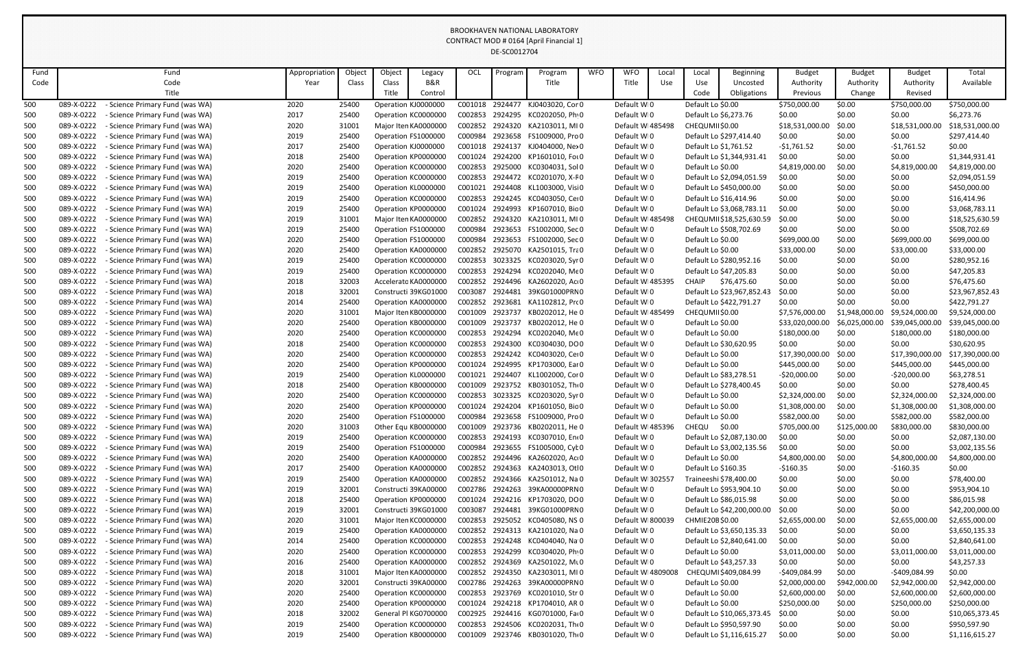| Fund | Fund                                          | Appropriation | Object | Object | Legacy               | OCL     | Program | Program                        | <b>WFO</b> | <b>WFO</b>        | Local | Local               | Beginning                  | <b>Budget</b>   | <b>Budget</b>  | <b>Budget</b>   | Total           |
|------|-----------------------------------------------|---------------|--------|--------|----------------------|---------|---------|--------------------------------|------------|-------------------|-------|---------------------|----------------------------|-----------------|----------------|-----------------|-----------------|
| Code | Code                                          | Year          | Class  | Class  | <b>B&amp;R</b>       |         |         | Title                          |            | Title             | Use   | Use                 | Uncosted                   | Authority       | Authority      | Authority       | Available       |
|      | Title                                         |               |        | Title  | Control              |         |         |                                |            |                   |       | Code                | Obligations                | Previous        | Change         | Revised         |                 |
| 500  | Science Primary Fund (was WA)<br>089-X-0222   | 2020          | 25400  |        | Operation KJ000000C  | C001018 | 2924477 | KJ0403020, Cor 0               |            | Default WI0       |       | Default Lo \$0.00   |                            | \$750,000.00    | \$0.00         | \$750,000.00    | \$750,000.00    |
| 500  | 089-X-0222<br>- Science Primary Fund (was WA) | 2017          | 25400  |        | Operation KC000000C  | C002853 |         | 2924295 KC0202050, Ph 0        |            | Default WI0       |       |                     | Default Lo \$6,273.76      | \$0.00          | \$0.00         | \$0.00          | \$6,273.76      |
| 500  | 089-X-0222<br>- Science Primary Fund (was WA) | 2020          | 31001  |        | Major Iten KA0000000 | C002852 | 2924320 | KA2103011, MI 0                |            | Default WI485498  |       | CHEQUMII\$0.00      |                            | \$18,531,000.00 | \$0.00         | \$18,531,000.00 | \$18,531,000.00 |
| 500  | 089-X-0222<br>Science Primary Fund (was WA)   | 2019          | 25400  |        | Operation FS1000000  | C000984 | 2923658 | FS1009000, Pro 0               |            | Default WI0       |       |                     | Default Lo \$297,414.40    | \$0.00          | \$0.00         | \$0.00          | \$297,414.40    |
| 500  | 089-X-0222<br>Science Primary Fund (was WA)   | 2017          | 25400  |        | Operation KJ0000000  | C001018 | 2924137 | KJ0404000, Ne>0                |            | Default WI0       |       |                     | Default Lo \$1,761.52      | $-$1,761.52$    | \$0.00         | $-$1,761.52$    | \$0.00          |
| 500  | 089-X-0222<br>- Science Primary Fund (was WA) | 2018          | 25400  |        | Operation KP0000000  | C001024 | 2924200 | KP1601010, For 0               |            | Default WI0       |       |                     | Default Lo \$1,344,931.41  | \$0.00          | \$0.00         | \$0.00          | \$1,344,931.41  |
| 500  | 089-X-0222<br>Science Primary Fund (was WA)   | 2020          | 25400  |        | Operation KC000000C  | C002853 | 2925000 | KC0304031, Sol 0               |            | Default WI0       |       | Default Lo \$0.00   |                            | \$4,819,000.00  | \$0.00         | \$4,819,000.00  | \$4,819,000.00  |
| 500  | 089-X-0222<br>- Science Primary Fund (was WA) | 2019          | 25400  |        | Operation KC000000C  | C002853 | 2924472 | KC0201070, X-F0                |            | Default WI0       |       |                     | Default Lo \$2,094,051.59  | \$0.00          | \$0.00         | \$0.00          | \$2,094,051.59  |
| 500  | 089-X-0222<br>- Science Primary Fund (was WA) | 2019          | 25400  |        | Operation KL000000C  | C001021 | 2924408 | KL1003000, Visi 0              |            | Default WI0       |       |                     | Default Lo \$450,000.00    | \$0.00          | \$0.00         | \$0.00          | \$450,000.00    |
| 500  | 089-X-0222<br>- Science Primary Fund (was WA) | 2019          | 25400  |        | Operation KC000000C  | C002853 |         | 2924245 KC0403050, Cei 0       |            | Default WI0       |       |                     | Default Lo \$16,414.96     | \$0.00          | \$0.00         | \$0.00          | \$16,414.96     |
| 500  | 089-X-0222<br>- Science Primary Fund (was WA) | 2019          | 25400  |        | Operation KP0000000  | C001024 | 2924993 | KP1607010, Bic 0               |            | Default WI0       |       |                     | Default Lo \$3,068,783.11  | \$0.00          | \$0.00         | \$0.00          | \$3,068,783.11  |
| 500  | 089-X-0222<br>- Science Primary Fund (was WA) | 2019          | 31001  |        | Major Iten KA0000000 | C002852 | 2924320 | KA2103011, MI 0                |            | Default WI485498  |       |                     | CHEQUMII\$18,525,630.59    | \$0.00          | \$0.00         | \$0.00          | \$18,525,630.59 |
| 500  | 089-X-0222<br>- Science Primary Fund (was WA) | 2019          | 25400  |        | Operation FS1000000  | C000984 | 2923653 | FS1002000, Sec 0               |            | Default WI0       |       |                     | Default Lo \$508,702.69    | \$0.00          | \$0.00         | \$0.00          | \$508,702.69    |
| 500  | 089-X-0222<br>- Science Primary Fund (was WA) | 2020          | 25400  |        | Operation FS1000000  | C000984 | 2923653 | FS1002000, Sec 0               |            | Default WI0       |       | Default Lo \$0.00   |                            | \$699,000.00    | \$0.00         | \$699,000.00    | \$699,000.00    |
| 500  | 089-X-0222<br>Science Primary Fund (was WA)   | 2020          | 25400  |        | Operation KA0000000  | C002852 |         | 2925070 KA2501015, Tra0        |            | Default WI0       |       | Default Lo \$0.00   |                            | \$33,000.00     | \$0.00         | \$33,000.00     | \$33,000.00     |
| 500  | 089-X-0222<br>- Science Primary Fund (was WA) | 2019          | 25400  |        | Operation KC000000C  | C002853 | 3023325 | KC0203020, Syr 0               |            | Default WI0       |       |                     | Default Lo \$280,952.16    | \$0.00          | \$0.00         | \$0.00          | \$280,952.16    |
| 500  | 089-X-0222<br>- Science Primary Fund (was WA) | 2019          | 25400  |        | Operation KC000000C  | C002853 | 2924294 | KC0202040, Me0                 |            | Default WI0       |       |                     | Default Lo \$47,205.83     | \$0.00          | \$0.00         | \$0.00          | \$47,205.83     |
| 500  | 089-X-0222<br>- Science Primary Fund (was WA) | 2018          | 32003  |        | Accelerato KA0000000 | C002852 |         | 2924496 KA2602020, Ac 0        |            | Default WI485395  |       | CHAIP               | \$76,475.60                | \$0.00          | \$0.00         | \$0.00          | \$76,475.60     |
| 500  | 089-X-0222<br>- Science Primary Fund (was WA) | 2018          | 32001  |        | Constructi 39KG01000 | C003087 | 2924481 | 39KG01000PRN0                  |            | Default WI0       |       |                     | Default Lo \$23,967,852.43 | \$0.00          | \$0.00         | \$0.00          | \$23,967,852.43 |
| 500  | 089-X-0222<br>Science Primary Fund (was WA)   | 2014          | 25400  |        | Operation KA0000000  | C002852 | 2923681 | KA1102812, Prc 0               |            | Default WI0       |       |                     | Default Lo \$422,791.27    | \$0.00          | \$0.00         | \$0.00          | \$422,791.27    |
| 500  | 089-X-0222<br>- Science Primary Fund (was WA) | 2020          | 31001  |        | Major Iten KB0000000 | C001009 | 2923737 | KB0202012, He 0                |            | Default WI485499  |       | CHEQUMII\$0.00      |                            | \$7,576,000.00  | \$1,948,000.00 | \$9,524,000.00  | \$9,524,000.00  |
| 500  | 089-X-0222<br>- Science Primary Fund (was WA) | 2020          | 25400  |        | Operation KB0000000  | C001009 | 2923737 | KB0202012, He 0                |            | Default WI0       |       | Default Lo \$0.00   |                            | \$33,020,000.00 | \$6,025,000.0  | \$39,045,000.00 | \$39,045,000.00 |
| 500  | 089-X-0222<br>- Science Primary Fund (was WA) | 2020          | 25400  |        | Operation KC000000C  | C002853 | 2924294 | KC0202040, Me0                 |            | Default WI0       |       | Default Lo \$0.00   |                            | \$180,000.00    | \$0.00         | \$180,000.00    | \$180,000.00    |
| 500  | 089-X-0222<br>- Science Primary Fund (was WA) | 2018          | 25400  |        | Operation KC0000000  | C002853 | 2924300 | KC0304030, DO0                 |            | Default WI0       |       |                     | Default Lo \$30,620.95     | \$0.00          | \$0.00         | \$0.00          | \$30,620.95     |
| 500  | 089-X-0222<br>Science Primary Fund (was WA)   | 2020          | 25400  |        | Operation KC000000C  | C002853 |         | 2924242 KC0403020, Cei 0       |            | Default WI0       |       | Default Lo \$0.00   |                            | \$17,390,000.00 | \$0.00         | \$17,390,000.00 | \$17,390,000.00 |
| 500  | 089-X-0222<br>- Science Primary Fund (was WA) | 2020          | 25400  |        | Operation KP0000000  | C001024 | 2924995 | KP1703000, Ear 0               |            | Default WI0       |       | Default Lo \$0.00   |                            | \$445,000.00    | \$0.00         | \$445,000.00    | \$445,000.00    |
| 500  | 089-X-0222<br>- Science Primary Fund (was WA) | 2019          | 25400  |        | Operation KL0000000  | C001021 |         | 2924407 KL1002000, Cor 0       |            | Default WI0       |       |                     | Default Lo \$83,278.51     | $-520,000.00$   | \$0.00         | $-$20,000.00$   | \$63,278.51     |
| 500  | - Science Primary Fund (was WA)<br>089-X-0222 | 2018          | 25400  |        | Operation KB0000000  | C001009 | 2923752 | KB0301052, Th: 0               |            | Default WI0       |       |                     | Default Lo \$278,400.45    | \$0.00          | \$0.00         | \$0.00          | \$278,400.45    |
| 500  | 089-X-0222<br>- Science Primary Fund (was WA) | 2020          | 25400  |        | Operation KC0000000  | C002853 |         | 3023325 KC0203020, Syr 0       |            | Default WI0       |       | Default Lo \$0.00   |                            | \$2,324,000.00  | \$0.00         | \$2,324,000.00  | \$2,324,000.00  |
| 500  | 089-X-0222<br>Science Primary Fund (was WA)   | 2020          | 25400  |        | Operation KP0000000  | C001024 |         | 2924204 KP1601050, Bic 0       |            | Default WI0       |       | Default Lo \$0.00   |                            | \$1,308,000.00  | \$0.00         | \$1,308,000.00  | \$1,308,000.00  |
| 500  | 089-X-0222<br>- Science Primary Fund (was WA) | 2020          | 25400  |        | Operation FS1000000  | C000984 |         | 2923658 FS1009000, Pro 0       |            | Default WI0       |       | Default Lo \$0.00   |                            | \$582,000.00    | \$0.00         | \$582,000.00    | \$582,000.00    |
| 500  | 089-X-0222<br>- Science Primary Fund (was WA) | 2020          | 31003  |        | Other Equ KB0000000  | C001009 | 2923736 | KB0202011, He 0                |            | Default WI485396  |       | CHEQU \$0.00        |                            | \$705,000.00    | \$125,000.00   | \$830,000.00    | \$830,000.00    |
| 500  | 089-X-0222<br>Science Primary Fund (was WA)   | 2019          | 25400  |        | Operation KC0000000  | C002853 |         | 2924193 KC0307010, Ent0        |            | Default WI0       |       |                     | Default Lo \$2,087,130.00  | \$0.00          | \$0.00         | \$0.00          | \$2,087,130.00  |
| 500  | 089-X-0222<br>- Science Primary Fund (was WA) | 2019          | 25400  |        | Operation FS1000000  | C000984 |         | 2923655 FS1005000, Cyt 0       |            | Default WI0       |       |                     | Default Lo \$3,002,135.56  | \$0.00          | \$0.00         | \$0.00          | \$3,002,135.56  |
| 500  | 089-X-0222<br>Science Primary Fund (was WA)   | 2020          | 25400  |        | Operation KA0000000  | C002852 |         | 2924496 KA2602020, Ac 0        |            | Default WI0       |       | Default Lo \$0.00   |                            | \$4,800,000.00  | \$0.00         | \$4,800,000.00  | \$4,800,000.00  |
| 500  | 089-X-0222<br>- Science Primary Fund (was WA) | 2017          | 25400  |        | Operation KA0000000  | C002852 |         | 2924363 KA2403013, Otl0        |            | Default WI0       |       | Default Lo \$160.35 |                            | $-5160.35$      | \$0.00         | $-$160.35$      | \$0.00          |
| 500  | 089-X-0222<br>- Science Primary Fund (was WA) | 2019          | 25400  |        | Operation KA0000000  | C002852 |         | 2924366 KA2501012, Na 0        |            | Default WI30255   |       |                     | Traineeshi \$78,400.00     | \$0.00          | \$0.00         | \$0.00          | \$78,400.00     |
| 500  | 089-X-0222<br>- Science Primary Fund (was WA) | 2019          | 32001  |        | Constructi 39KA00000 |         |         | C002786 2924263 39KA00000PRN0  |            | Default WI0       |       |                     | Default Lo \$953,904.10    | \$0.00          | \$0.00         | \$0.00          | \$953,904.10    |
| 500  | 089-X-0222<br>Science Primary Fund (was WA)   | 2018          | 25400  |        | Operation KP0000000  | C001024 |         | 2924216 KP1703020, DO0         |            | Default WI0       |       |                     | Default Lo \$86,015.98     | \$0.00          | \$0.00         | \$0.00          | \$86,015.98     |
| 500  | 089-X-0222<br>Science Primary Fund (was WA)   | 2019          | 32001  |        | Constructi 39KG01000 | C003087 |         | 2924481 39KG01000PRN0          |            | Default WI0       |       |                     | Default Lo \$42,200,000.00 | \$0.00          | \$0.00         | \$0.00          | \$42,200,000.00 |
| 500  | 089-X-0222<br>- Science Primary Fund (was WA) | 2020          | 31001  |        | Major Iten KC0000000 | C002853 |         | 2925052 KC0405080, NS 0        |            | Default W 800039  |       | CHMIE20B\$0.00      |                            | \$2,655,000.00  | \$0.00         | \$2,655,000.00  | \$2,655,000.00  |
| 500  | 089-X-0222<br>Science Primary Fund (was WA)   | 2019          | 25400  |        | Operation KA0000000  | C002852 |         | 2924313 KA2101020, Na 0        |            | Default WI0       |       |                     | Default Lo \$3,650,135.33  | \$0.00          | \$0.00         | \$0.00          | \$3,650,135.33  |
| 500  | 089-X-0222<br>Science Primary Fund (was WA)   | 2014          | 25400  |        | Operation KC0000000  | C002853 |         | 2924248 KC0404040, Na 0        |            | Default WI0       |       |                     | Default Lo \$2,840,641.00  | \$0.00          | \$0.00         | \$0.00          | \$2,840,641.00  |
| 500  | 089-X-0222<br>- Science Primary Fund (was WA) | 2020          | 25400  |        | Operation KC0000000  | C002853 | 2924299 | KC0304020, Ph 0                |            | Default WI0       |       | Default Lo \$0.00   |                            | \$3,011,000.00  | \$0.00         | \$3,011,000.00  | \$3,011,000.00  |
| 500  | 089-X-0222<br>Science Primary Fund (was WA)   | 2016          | 25400  |        | Operation KA0000000  |         |         | C002852 2924369 KA2501022, MLO |            | Default WI0       |       |                     | Default Lo \$43,257.33     | \$0.00          | \$0.00         | \$0.00          | \$43,257.33     |
| 500  | 089-X-0222<br>- Science Primary Fund (was WA) | 2018          | 31001  |        | Major Iten KA0000000 | C002852 | 2924350 | KA2303011, MI 0                |            | Default WI4809008 |       |                     | CHEQUMI\$409,084.99        | $-$409,084.99$  | \$0.00         | -\$409,084.99   | \$0.00          |
| 500  | 089-X-0222<br>- Science Primary Fund (was WA) | 2020          | 32001  |        | Constructi 39KA00000 | C002786 |         | 2924263 39KA00000PRN0          |            | Default WI0       |       | Default Lo \$0.00   |                            | \$2,000,000.00  | \$942,000.00   | \$2,942,000.00  | \$2,942,000.00  |
| 500  | 089-X-0222<br>Science Primary Fund (was WA)   | 2020          | 25400  |        | Operation KC0000000  | C002853 |         | 2923769 KC0201010, Str 0       |            | Default WI0       |       | Default Lo \$0.00   |                            | \$2,600,000.00  | \$0.00         | \$2,600,000.00  | \$2,600,000.00  |
| 500  | 089-X-0222<br>- Science Primary Fund (was WA) | 2020          | 25400  |        | Operation KP0000000  | C001024 |         | 2924218 KP1704010, AR 0        |            | Default WI0       |       | Default Lo \$0.00   |                            | \$250,000.00    | \$0.00         | \$250,000.00    | \$250,000.00    |
| 500  | 089-X-0222<br>Science Primary Fund (was WA)   | 2018          | 32002  |        | General Pl KG0700000 | C002925 |         | 2924416 KG0701000, Fai 0       |            | Default WI0       |       |                     | Default Lo \$10,065,373.45 | \$0.00          | \$0.00         | \$0.00          | \$10,065,373.45 |
| 500  | 089-X-0222<br>- Science Primary Fund (was WA) | 2019          | 25400  |        | Operation KC0000000  | C002853 |         | 2924506 KC0202031, Th: 0       |            | Default WI0       |       |                     | Default Lo \$950,597.90    | \$0.00          | \$0.00         | \$0.00          | \$950,597.90    |
| 500  | 089-X-0222<br>- Science Primary Fund (was WA) | 2019          | 25400  |        | Operation KB0000000  | C001009 |         | 2923746 KB0301020, Th: 0       |            | Default WI0       |       |                     | Default Lo \$1,116,615.27  | \$0.00          | \$0.00         | \$0.00          | \$1,116,615.27  |
|      |                                               |               |        |        |                      |         |         |                                |            |                   |       |                     |                            |                 |                |                 |                 |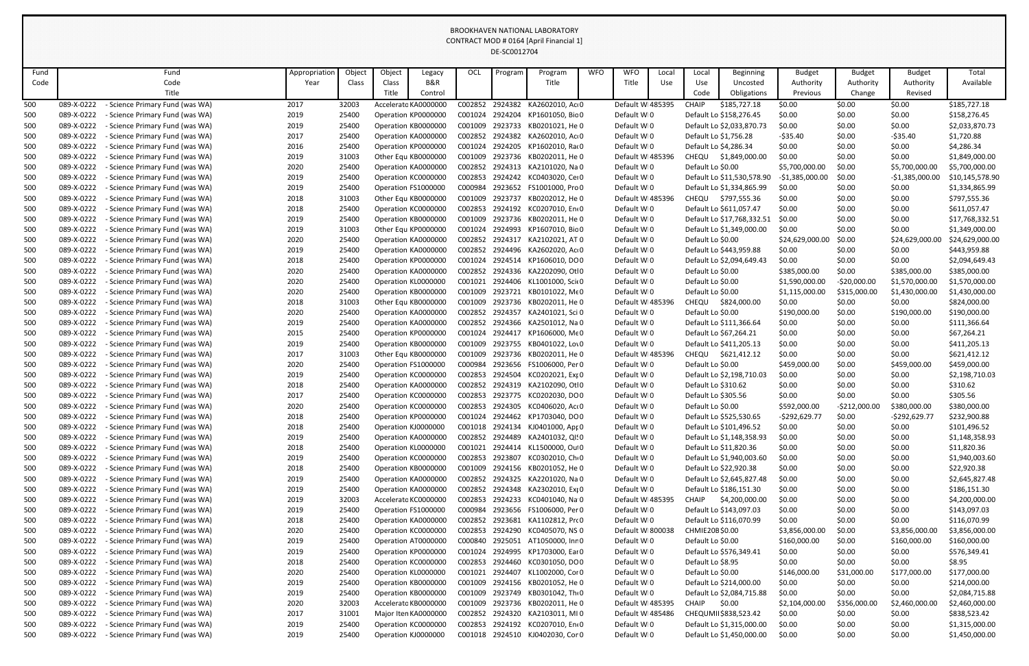| Fund |            | Fund                                 | Appropriation | Object | Object | Legacy               | OCL     | Program | Program                  | <b>WFO</b> | <b>WFO</b>       | Local | Local               | Beginning                  | <b>Budget</b>    | <b>Budget</b>  | <b>Budget</b>    | Total           |
|------|------------|--------------------------------------|---------------|--------|--------|----------------------|---------|---------|--------------------------|------------|------------------|-------|---------------------|----------------------------|------------------|----------------|------------------|-----------------|
| Code |            | Code                                 | Year          | Class  | Class  | B&R                  |         |         | Title                    |            | Title            | Use   | Use                 | Uncosted                   | Authority        | Authority      | Authority        | Available       |
|      |            | Title                                |               |        | Title  | Control              |         |         |                          |            |                  |       | Code                | Obligations                | Previous         | Change         | Revised          |                 |
| 500  | 089-X-0222 | Science Primary Fund (was WA)        | 2017          | 32003  |        | Accelerato KA0000000 | C002852 | 2924382 | KA2602010, Ac 0          |            | Default WI485395 |       | <b>CHAIP</b>        | \$185,727.18               | \$0.00           | \$0.00         | \$0.00           | \$185,727.18    |
| 500  | 089-X-0222 | <b>Science Primary Fund (was WA)</b> | 2019          | 25400  |        | Operation KP000000C  | C001024 | 2924204 | KP1601050, Bic 0         |            | Default WI0      |       |                     | Default Lo \$158,276.45    | \$0.00           | \$0.00         | \$0.00           | \$158,276.45    |
| 500  | 089-X-0222 | - Science Primary Fund (was WA)      | 2019          | 25400  |        | Operation KB0000000  | C001009 | 2923733 | KB0201021, He 0          |            | Default WI0      |       |                     | Default Lo \$2,033,870.73  | \$0.00           | \$0.00         | \$0.00           | \$2,033,870.73  |
| 500  | 089-X-0222 | <b>Science Primary Fund (was WA)</b> | 2017          | 25400  |        | Operation KA0000000  | C002852 | 2924382 | KA2602010, Ac 0          |            | Default WI0      |       |                     | Default Lo \$1,756.28      | $-535.40$        | \$0.00         | $-535.40$        | \$1,720.88      |
| 500  | 089-X-0222 | Science Primary Fund (was WA)        | 2016          | 25400  |        | Operation KP0000000  | C001024 | 2924205 | KP1602010, Rao 0         |            | Default WI0      |       |                     | Default Lo \$4,286.34      | \$0.00           | \$0.00         | \$0.00           | \$4,286.34      |
| 500  | 089-X-0222 | <b>Science Primary Fund (was WA)</b> | 2019          | 31003  |        | Other Equ KB0000000  | C001009 | 2923736 | KB0202011, He 0          |            | Default WI485396 |       | CHEQU               | \$1,849,000.00             | \$0.00           | \$0.00         | \$0.00           | \$1,849,000.00  |
| 500  | 089-X-0222 | <b>Science Primary Fund (was WA)</b> | 2020          | 25400  |        | Operation KA0000000  | C002852 |         | 2924313 KA2101020, Na 0  |            | Default WI0      |       | Default Lo \$0.00   |                            | \$5,700,000.00   | \$0.00         | \$5,700,000.00   | \$5,700,000.00  |
| 500  | 089-X-0222 | <b>Science Primary Fund (was WA)</b> | 2019          | 25400  |        | Operation KC000000C  | C002853 | 2924242 | KC0403020, Cer0          |            | Default WI0      |       |                     | Default Lo \$11,530,578.90 | $-$1,385,000.00$ | \$0.00         | $-$1,385,000.00$ | \$10,145,578.90 |
| 500  | 089-X-0222 | Science Primary Fund (was WA)        | 2019          | 25400  |        | Operation FS1000000  | C000984 | 2923652 | FS1001000, Pro 0         |            | Default WI0      |       |                     | Default Lo \$1,334,865.99  | \$0.00           | \$0.00         | \$0.00           | \$1,334,865.99  |
| 500  | 089-X-0222 | <b>Science Primary Fund (was WA)</b> | 2018          | 31003  |        | Other Equ KB0000000  | C001009 | 2923737 | KB0202012, He 0          |            | Default WI485396 |       | CHEQU               | \$797,555.36               | \$0.00           | \$0.00         | \$0.00           | \$797,555.36    |
| 500  | 089-X-0222 | <b>Science Primary Fund (was WA)</b> | 2018          | 25400  |        | Operation KC000000C  | C002853 | 2924192 | KC0207010, En(0          |            | Default WI0      |       |                     | Default Lo \$611,057.47    | \$0.00           | \$0.00         | \$0.00           | \$611,057.47    |
| 500  | 089-X-0222 | <b>Science Primary Fund (was WA)</b> | 2019          | 25400  |        | Operation KB0000000  | C001009 | 2923736 | KB0202011, He 0          |            | Default WI0      |       |                     | Default Lo \$17,768,332.51 | \$0.00           | \$0.00         | \$0.00           | \$17,768,332.51 |
| 500  | 089-X-0222 | <b>Science Primary Fund (was WA)</b> | 2019          | 31003  |        | Other Equ KP000000C  | C001024 | 2924993 | KP1607010, Bic 0         |            | Default WI0      |       |                     | Default Lo \$1,349,000.00  | \$0.00           | \$0.00         | \$0.00           | \$1,349,000.00  |
| 500  | 089-X-0222 | <b>Science Primary Fund (was WA)</b> | 2020          | 25400  |        | Operation KA0000000  | C002852 | 2924317 | KA2102021, AT 0          |            | Default WI0      |       | Default Lo \$0.00   |                            | \$24,629,000.00  | \$0.00         | \$24,629,000.00  | \$24,629,000.00 |
| 500  | 089-X-0222 | Science Primary Fund (was WA)        | 2019          | 25400  |        | Operation KA0000000  | C002852 |         | 2924496 KA2602020, Ac 0  |            | Default WI0      |       |                     | Default Lo \$443,959.88    | \$0.00           | \$0.00         | \$0.00           | \$443,959.88    |
| 500  | 089-X-0222 | Science Primary Fund (was WA)        | 2018          | 25400  |        | Operation KP000000C  | C001024 | 2924514 | KP1606010, DO0           |            | Default WI0      |       |                     | Default Lo \$2,094,649.43  | \$0.00           | \$0.00         | \$0.00           | \$2,094,649.43  |
| 500  | 089-X-0222 | <b>Science Primary Fund (was WA)</b> | 2020          | 25400  |        | Operation KA0000000  | C002852 |         | 2924336 KA2202090, Otl0  |            | Default WI0      |       | Default Lo \$0.00   |                            | \$385,000.00     | \$0.00         | \$385,000.00     | \$385,000.00    |
| 500  | 089-X-0222 | <b>Science Primary Fund (was WA)</b> | 2020          | 25400  |        | Operation KL0000000  | C001021 |         | 2924406 KL1001000, Sci(0 |            | Default WI0      |       | Default Lo \$0.00   |                            | \$1,590,000.00   | $-520,000.00$  | \$1,570,000.00   | \$1,570,000.00  |
| 500  | 089-X-0222 | <b>Science Primary Fund (was WA)</b> | 2020          | 25400  |        | Operation KB0000000  | C001009 | 2923721 | KB0101022, MEO           |            | Default WI0      |       | Default Lo \$0.00   |                            | \$1,115,000.00   | \$315,000.00   | \$1,430,000.00   | \$1,430,000.00  |
| 500  | 089-X-0222 | Science Primary Fund (was WA)        | 2018          | 31003  |        | Other Equ KB0000000  | C001009 | 2923736 | KB0202011, He 0          |            | Default WI485396 |       | CHEQU               | \$824,000.00               | \$0.00           | \$0.00         | \$0.00           | \$824,000.00    |
| 500  | 089-X-0222 | <b>Science Primary Fund (was WA)</b> | 2020          | 25400  |        | Operation KA0000000  | C002852 | 2924357 | KA2401021, Sci 0         |            | Default WI0      |       | Default Lo \$0.00   |                            | \$190,000.00     | \$0.00         | \$190,000.00     | \$190,000.00    |
| 500  | 089-X-0222 | <b>Science Primary Fund (was WA)</b> | 2019          | 25400  |        | Operation KA0000000  | C002852 | 2924366 | KA2501012, Na 0          |            | Default WI0      |       |                     | Default Lo \$111,366.64    | \$0.00           | \$0.00         | \$0.00           | \$111,366.64    |
| 500  | 089-X-0222 | <b>Science Primary Fund (was WA)</b> | 2015          | 25400  |        | Operation KP000000C  | C001024 | 2924417 | KP1606000, Me0           |            | Default WI0      |       |                     | Default Lo \$67,264.21     | \$0.00           | \$0.00         | \$0.00           | \$67,264.21     |
| 500  | 089-X-0222 | - Science Primary Fund (was WA)      | 2019          | 25400  |        | Operation KB0000000  | C001009 | 2923755 | KB0401022, Lov0          |            | Default WI0      |       |                     | Default Lo \$411,205.13    | \$0.00           | \$0.00         | \$0.00           | \$411,205.13    |
| 500  | 089-X-0222 | <b>Science Primary Fund (was WA)</b> | 2017          | 31003  |        | Other Equ KB0000000  | C001009 | 2923736 | KB0202011, He 0          |            | Default WI485396 |       | CHEQU               | \$621,412.12               | \$0.00           | \$0.00         | \$0.00           | \$621,412.12    |
| 500  | 089-X-0222 | - Science Primary Fund (was WA)      | 2020          | 25400  |        | Operation FS1000000  | C000984 |         | 2923656 FS1006000, Per 0 |            | Default WI0      |       | Default Lo \$0.00   |                            | \$459,000.00     | \$0.00         | \$459,000.00     | \$459,000.00    |
| 500  | 089-X-0222 | - Science Primary Fund (was WA)      | 2019          | 25400  |        | Operation KC0000000  | C002853 |         | 2924504 KC0202021, Exp0  |            | Default WI0      |       |                     | Default Lo \$2,198,710.03  | \$0.00           | \$0.00         | \$0.00           | \$2,198,710.03  |
| 500  | 089-X-0222 | - Science Primary Fund (was WA)      | 2018          | 25400  |        | Operation KA0000000  | C002852 |         | 2924319 KA2102090, Otl0  |            | Default WI0      |       | Default Lo \$310.62 |                            | \$0.00           | \$0.00         | \$0.00           | \$310.62        |
| 500  | 089-X-0222 | - Science Primary Fund (was WA)      | 2017          | 25400  |        | Operation KC0000000  | C002853 |         | 2923775 KC0202030, DO0   |            | Default WI0      |       | Default Lo \$305.56 |                            | \$0.00           | \$0.00         | \$0.00           | \$305.56        |
| 500  | 089-X-0222 | Science Primary Fund (was WA)        | 2020          | 25400  |        | Operation KC0000000  | C002853 |         | 2924305 KC0406020, Act0  |            | Default WI0      |       | Default Lo \$0.00   |                            | \$592,000.00     | $-5212,000.00$ | \$380,000.00     | \$380,000.00    |
| 500  | 089-X-0222 | <b>Science Primary Fund (was WA)</b> | 2018          | 25400  |        | Operation KP000000C  | C001024 |         | 2924462 KP1703040, DO0   |            | Default WI0      |       |                     | Default Lo \$525,530.65    | -\$292,629.77    | \$0.00         | $-$292,629.77$   | \$232,900.88    |
| 500  | 089-X-0222 | Science Primary Fund (was WA)        | 2018          | 25400  |        | Operation KJ0000000  | C001018 |         | 2924134 KJ0401000, Apr 0 |            | Default WI0      |       |                     | Default Lo \$101,496.52    | \$0.00           | \$0.00         | \$0.00           | \$101,496.52    |
| 500  | 089-X-0222 | Science Primary Fund (was WA)        | 2019          | 25400  |        | Operation KA0000000  | C002852 |         | 2924489 KA2401032, QI'0  |            | Default WI0      |       |                     | Default Lo \$1,148,358.93  | \$0.00           | \$0.00         | \$0.00           | \$1,148,358.93  |
| 500  | 089-X-0222 | - Science Primary Fund (was WA)      | 2018          | 25400  |        | Operation KL0000000  | C001021 |         | 2924414 KL1500000, Ou 0  |            | Default WI0      |       |                     | Default Lo \$11,820.36     | \$0.00           | \$0.00         | \$0.00           | \$11,820.36     |
| 500  | 089-X-0222 | <b>Science Primary Fund (was WA)</b> | 2019          | 25400  |        | Operation KC0000000  | C002853 |         | 2923807 KC0302010, Ch. 0 |            | Default WI0      |       |                     | Default Lo \$1,940,003.60  | \$0.00           | \$0.00         | \$0.00           | \$1,940,003.60  |
| 500  | 089-X-0222 | Science Primary Fund (was WA)        | 2018          | 25400  |        | Operation KB0000000  | C001009 |         | 2924156 KB0201052, He 0  |            | Default WI0      |       |                     | Default Lo \$22,920.38     | \$0.00           | \$0.00         | \$0.00           | \$22,920.38     |
| 500  | 089-X-0222 | Science Primary Fund (was WA)        | 2019          | 25400  |        | Operation KA0000000  | C002852 |         | 2924325 KA2201020, Na 0  |            | Default WI0      |       |                     | Default Lo \$2,645,827.48  | \$0.00           | \$0.00         | \$0.00           | \$2,645,827.48  |
| 500  | 089-X-0222 | - Science Primary Fund (was WA)      | 2019          | 25400  |        | Operation KA0000000  | C002852 |         | 2924348 KA2302010, Exi 0 |            | Default WI0      |       |                     | Default Lo \$186,151.30    | \$0.00           | \$0.00         | \$0.00           | \$186,151.30    |
| 500  | 089-X-0222 | - Science Primary Fund (was WA)      | 2019          | 32003  |        | Accelerato KC0000000 | C002853 |         | 2924233 KC0401040, Na 0  |            | Default W 485395 |       | <b>CHAIP</b>        | \$4,200,000.00             | \$0.00           | \$0.00         | \$0.00           | \$4,200,000.00  |
| 500  | 089-X-0222 | Science Primary Fund (was WA)        | 2019          | 25400  |        | Operation FS1000000  | C000984 |         | 2923656 FS1006000, Per 0 |            | Default WI0      |       |                     | Default Lo \$143,097.03    | \$0.00           | \$0.00         | \$0.00           | \$143,097.03    |
| 500  | 089-X-0222 | - Science Primary Fund (was WA)      | 2018          | 25400  |        | Operation KA0000000  | C002852 | 2923681 | KA1102812, Pro 0         |            | Default WI0      |       |                     | Default Lo \$116,070.99    | \$0.00           | \$0.00         | \$0.00           | \$116,070.99    |
| 500  | 089-X-0222 | Science Primary Fund (was WA)        | 2020          | 25400  |        | Operation KC0000000  | C002853 |         | 2924290 KC0405070, NS 0  |            | Default W 800038 |       | CHMIE20B\$0.00      |                            | \$3,856,000.00   | \$0.00         | \$3,856,000.00   | \$3,856,000.00  |
| 500  | 089-X-0222 | Science Primary Fund (was WA)        | 2019          | 25400  |        | Operation AT0000000  | C000840 | 2925051 | AT1050000, Inr 0         |            | Default WI0      |       | Default Lo \$0.00   |                            | \$160,000.00     | \$0.00         | \$160,000.00     | \$160,000.00    |
| 500  | 089-X-0222 | - Science Primary Fund (was WA)      | 2019          | 25400  |        | Operation KP0000000  | C001024 |         | 2924995 KP1703000, Ear 0 |            | Default WI0      |       |                     | Default Lo \$576,349.41    | \$0.00           | \$0.00         | \$0.00           | \$576,349.41    |
| 500  | 089-X-0222 | Science Primary Fund (was WA)        | 2018          | 25400  |        | Operation KC0000000  | C002853 |         | 2924460 KC0301050, DOO   |            | Default WI0      |       | Default Lo \$8.95   |                            | \$0.00           | \$0.00         | \$0.00           | \$8.95          |
| 500  | 089-X-0222 | Science Primary Fund (was WA)        | 2020          | 25400  |        | Operation KL0000000  | C001021 |         | 2924407 KL1002000, Cor 0 |            | Default WI0      |       | Default Lo \$0.00   |                            | \$146,000.00     | \$31,000.00    | \$177,000.00     | \$177,000.00    |
| 500  | 089-X-0222 | Science Primary Fund (was WA)        | 2019          | 25400  |        | Operation KB0000000  | C001009 |         | 2924156 KB0201052, He 0  |            | Default WI0      |       |                     | Default Lo \$214,000.00    | \$0.00           | \$0.00         | \$0.00           | \$214,000.00    |
| 500  | 089-X-0222 | Science Primary Fund (was WA)        | 2019          | 25400  |        | Operation KB0000000  | C001009 |         | 2923749 KB0301042, Th: 0 |            | Default WI0      |       |                     | Default Lo \$2,084,715.88  | \$0.00           | \$0.00         | \$0.00           | \$2,084,715.88  |
| 500  | 089-X-0222 | - Science Primary Fund (was WA)      | 2020          | 32003  |        | Accelerato KB0000000 | C001009 |         | 2923736 KB0202011, He 0  |            | Default W 485395 |       | <b>CHAIP</b>        | \$0.00                     | \$2,104,000.00   | \$356,000.00   | \$2,460,000.00   | \$2,460,000.00  |
| 500  | 089-X-0222 | Science Primary Fund (was WA)        | 2017          | 31001  |        | Major Iten KA0000000 | C002852 |         | 2924320 KA2103011, MI 0  |            | Default WI485486 |       |                     | CHEQUMII\$838,523.42       | \$0.00           | \$0.00         | \$0.00           | \$838,523.42    |
| 500  | 089-X-0222 | - Science Primary Fund (was WA)      | 2019          | 25400  |        | Operation KC0000000  | C002853 |         | 2924192 KC0207010, Ent0  |            | Default WI0      |       |                     | Default Lo \$1,315,000.00  | \$0.00           | \$0.00         | \$0.00           | \$1,315,000.00  |
| 500  | 089-X-0222 | - Science Primary Fund (was WA)      | 2019          | 25400  |        | Operation KJ0000000  | C001018 |         | 2924510 KJ0402030, Cor 0 |            | Default WI0      |       |                     | Default Lo \$1,450,000.00  | \$0.00           | \$0.00         | \$0.00           | \$1,450,000.00  |
|      |            |                                      |               |        |        |                      |         |         |                          |            |                  |       |                     |                            |                  |                |                  |                 |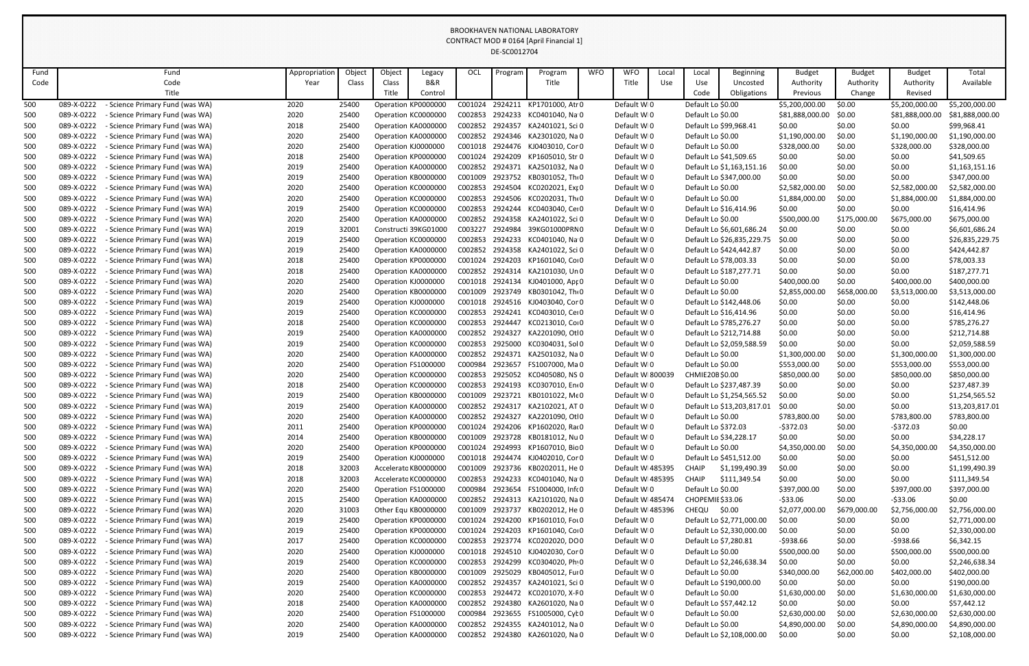| Fund |            | Fund                                 | Appropriation | Object | Object | Legacy               | OCL     | Program | Program                          | <b>WFO</b> | <b>WFO</b>       | Local | Local             | <b>Beginning</b>           | <b>Budget</b>   | <b>Budget</b> | <b>Budget</b>   | Total           |
|------|------------|--------------------------------------|---------------|--------|--------|----------------------|---------|---------|----------------------------------|------------|------------------|-------|-------------------|----------------------------|-----------------|---------------|-----------------|-----------------|
| Code |            | Code                                 | Year          | Class  | Class  | B&R                  |         |         | Title                            |            | Title            | Use   | Use               | Uncosted                   | Authority       | Authority     | Authority       | Available       |
|      |            | Title                                |               |        | Title  | Control              |         |         |                                  |            |                  |       | Code              | Obligations                | Previous        | Change        | Revised         |                 |
| 500  | 089-X-0222 | Science Primary Fund (was WA)        | 2020          | 25400  |        | Operation KP0000000  | C001024 | 2924211 | KP1701000, Atr 0                 |            | Default WI0      |       | Default Lo \$0.00 |                            | \$5,200,000.00  | \$0.00        | \$5,200,000.00  | \$5,200,000.00  |
| 500  | 089-X-0222 | - Science Primary Fund (was WA)      | 2020          | 25400  |        | Operation KC0000000  | C002853 |         | 2924233 KC0401040, Na 0          |            | Default WI0      |       | Default Lo \$0.00 |                            | \$81,888,000.00 | \$0.00        | \$81,888,000.00 | \$81,888,000.00 |
| 500  | 089-X-0222 | - Science Primary Fund (was WA)      | 2018          | 25400  |        | Operation KA0000000  | C002852 |         | 2924357 KA2401021, Sci 0         |            | Default WI0      |       |                   | Default Lo \$99,968.41     | \$0.00          | \$0.00        | \$0.00          | \$99,968.41     |
| 500  | 089-X-0222 | - Science Primary Fund (was WA)      | 2020          | 25400  |        | Operation KA0000000  | C002852 |         | 2924346 KA2301020, Na 0          |            | Default WI0      |       | Default Lo \$0.00 |                            | \$1,190,000.00  | \$0.00        | \$1,190,000.00  | \$1,190,000.00  |
| 500  | 089-X-0222 | <b>Science Primary Fund (was WA)</b> | 2020          | 25400  |        | Operation KJ0000000  | C001018 |         | 2924476 KJ0403010, Cor 0         |            | Default WI0      |       | Default Lo \$0.00 |                            | \$328,000.00    | \$0.00        | \$328,000.00    | \$328,000.00    |
| 500  | 089-X-0222 | - Science Primary Fund (was WA)      | 2018          | 25400  |        | Operation KP0000000  | C001024 | 2924209 | KP1605010, Str 0                 |            | Default WI0      |       |                   | Default Lo \$41,509.65     | \$0.00          | \$0.00        | \$0.00          | \$41,509.65     |
| 500  | 089-X-0222 | - Science Primary Fund (was WA)      | 2019          | 25400  |        | Operation KA0000000  | C002852 |         | 2924371 KA2501032, Na 0          |            | Default WI0      |       |                   | Default Lo \$1,163,151.16  | \$0.00          | \$0.00        | \$0.00          | \$1,163,151.16  |
| 500  | 089-X-0222 | <b>Science Primary Fund (was WA)</b> | 2019          | 25400  |        | Operation KB0000000  | C001009 |         | 2923752 KB0301052, Th: 0         |            | Default WI0      |       |                   | Default Lo \$347,000.00    | \$0.00          | \$0.00        | \$0.00          | \$347,000.00    |
| 500  | 089-X-0222 | - Science Primary Fund (was WA)      | 2020          | 25400  |        | Operation KC0000000  | C002853 | 2924504 | KC0202021, Exr 0                 |            | Default WI0      |       | Default Lo \$0.00 |                            | \$2,582,000.00  | \$0.00        | \$2,582,000.00  | \$2,582,000.00  |
| 500  | 089-X-0222 | <b>Science Primary Fund (was WA)</b> | 2020          | 25400  |        | Operation KC0000000  | C002853 |         | 2924506 KC0202031, Tho 0         |            | Default WI0      |       | Default Lo \$0.00 |                            | \$1,884,000.00  | \$0.00        | \$1,884,000.00  | \$1,884,000.00  |
| 500  | 089-X-0222 | - Science Primary Fund (was WA)      | 2019          | 25400  |        | Operation KC0000000  | C002853 | 2924244 | KC0403040, Cei 0                 |            | Default WI0      |       |                   | Default Lo \$16,414.96     | \$0.00          | \$0.00        | \$0.00          | \$16,414.96     |
| 500  | 089-X-0222 | - Science Primary Fund (was WA)      | 2020          | 25400  |        | Operation KA0000000  | C002852 |         | 2924358 KA2401022, Sci 0         |            | Default WI0      |       | Default Lo \$0.00 |                            | \$500,000.00    | \$175,000.00  | \$675,000.00    | \$675,000.00    |
| 500  | 089-X-0222 | - Science Primary Fund (was WA)      | 2019          | 32001  |        | Constructi 39KG01000 | C003227 | 2924984 | 39KG01000PRN0                    |            | Default WI0      |       |                   | Default Lo \$6,601,686.24  | \$0.00          | \$0.00        | \$0.00          | \$6,601,686.24  |
| 500  | 089-X-0222 | - Science Primary Fund (was WA)      | 2019          | 25400  |        | Operation KC0000000  | C002853 |         | 2924233 KC0401040, Na 0          |            | Default WI0      |       |                   | Default Lo \$26,835,229.75 | \$0.00          | \$0.00        | \$0.00          | \$26,835,229.75 |
| 500  | 089-X-0222 | Science Primary Fund (was WA)        | 2019          | 25400  |        | Operation KA0000000  | C002852 |         | 2924358 KA2401022, Sci 0         |            | Default WI0      |       |                   | Default Lo \$424,442.87    | \$0.00          | \$0.00        | \$0.00          | \$424,442.87    |
| 500  | 089-X-0222 | <b>Science Primary Fund (was WA)</b> | 2018          | 25400  |        | Operation KP0000000  | C001024 | 2924203 | KP1601040, Co+0                  |            | Default WI0      |       |                   | Default Lo \$78,003.33     | \$0.00          | \$0.00        | \$0.00          | \$78,003.33     |
| 500  | 089-X-0222 | - Science Primary Fund (was WA)      | 2018          | 25400  |        | Operation KA0000000  | C002852 | 2924314 | KA2101030, Un 0                  |            | Default WI0      |       |                   | Default Lo \$187,277.71    | \$0.00          | \$0.00        | \$0.00          | \$187,277.71    |
| 500  | 089-X-0222 | <b>Science Primary Fund (was WA)</b> | 2020          | 25400  |        | Operation KJ0000000  | C001018 |         | 2924134 KJ0401000, Apr 0         |            | Default WI0      |       | Default Lo \$0.00 |                            | \$400,000.00    | \$0.00        | \$400,000.00    | \$400,000.00    |
| 500  | 089-X-0222 | - Science Primary Fund (was WA)      | 2020          | 25400  |        | Operation KB0000000  | C001009 |         | 2923749 KB0301042, Th: 0         |            | Default WI0      |       | Default Lo \$0.00 |                            | \$2,855,000.00  | \$658,000.00  | \$3,513,000.00  | \$3,513,000.00  |
| 500  | 089-X-0222 | <b>Science Primary Fund (was WA)</b> | 2019          | 25400  |        | Operation KJ0000000  | C001018 |         | 2924516 KJ0403040, Cor 0         |            | Default WI0      |       |                   | Default Lo \$142,448.06    | \$0.00          | \$0.00        | \$0.00          | \$142,448.06    |
| 500  | 089-X-0222 | <b>Science Primary Fund (was WA)</b> | 2019          | 25400  |        | Operation KC0000000  | C002853 | 2924241 | KC0403010, Cei 0                 |            | Default WI0      |       |                   | Default Lo \$16,414.96     | \$0.00          | \$0.00        | \$0.00          | \$16,414.96     |
| 500  | 089-X-0222 | - Science Primary Fund (was WA)      | 2018          | 25400  |        | Operation KC0000000  | C002853 | 2924447 | KC0213010, Co+0                  |            | Default WI0      |       |                   | Default Lo \$785,276.27    | \$0.00          | \$0.00        | \$0.00          | \$785,276.27    |
| 500  | 089-X-0222 | - Science Primary Fund (was WA)      | 2019          | 25400  |        | Operation KA0000000  | C002852 |         | 2924327 KA2201090, Otl0          |            | Default WI0      |       |                   | Default Lo \$212,714.88    | \$0.00          | \$0.00        | \$0.00          | \$212,714.88    |
| 500  | 089-X-0222 | - Science Primary Fund (was WA)      | 2019          | 25400  |        | Operation KC0000000  | C002853 | 2925000 | KC0304031, Sol 0                 |            | Default WI0      |       |                   | Default Lo \$2,059,588.59  | \$0.00          | \$0.00        | \$0.00          | \$2,059,588.59  |
| 500  | 089-X-0222 | - Science Primary Fund (was WA)      | 2020          | 25400  |        | Operation KA0000000  | C002852 | 2924371 | KA2501032, Na 0                  |            | Default WI0      |       | Default Lo \$0.00 |                            | \$1,300,000.00  | \$0.00        | \$1,300,000.00  | \$1,300,000.00  |
| 500  | 089-X-0222 | - Science Primary Fund (was WA)      | 2020          | 25400  |        | Operation FS1000000  | C000984 | 2923657 | FS1007000, Ma 0                  |            | Default WI0      |       | Default Lo \$0.00 |                            | \$553,000.00    | \$0.00        | \$553,000.00    | \$553,000.00    |
| 500  | 089-X-0222 | - Science Primary Fund (was WA)      | 2020          | 25400  |        | Operation KC0000000  | C002853 |         | 2925052 KC0405080, NS 0          |            | Default WI800039 |       | CHMIE20B\$0.00    |                            | \$850,000.00    | \$0.00        | \$850,000.00    | \$850,000.00    |
| 500  | 089-X-0222 | - Science Primary Fund (was WA)      | 2018          | 25400  |        | Operation KC0000000  | C002853 |         | 2924193 KC0307010, Ent0          |            | Default WI0      |       |                   | Default Lo \$237,487.39    | \$0.00          | \$0.00        | \$0.00          | \$237,487.39    |
| 500  | 089-X-0222 | - Science Primary Fund (was WA)      | 2019          | 25400  |        | Operation KB000000C  | C001009 |         | 2923721 KB0101022, MEO           |            | Default WI0      |       |                   | Default Lo \$1,254,565.52  | \$0.00          | \$0.00        | \$0.00          | \$1,254,565.52  |
| 500  | 089-X-0222 | - Science Primary Fund (was WA)      | 2019          | 25400  |        | Operation KA0000000  |         |         | C002852 2924317 KA2102021, AT 0  |            | Default WI0      |       |                   | Default Lo \$13,203,817.01 | \$0.00          | \$0.00        | \$0.00          | \$13,203,817.01 |
| 500  | 089-X-0222 | - Science Primary Fund (was WA)      | 2020          | 25400  |        | Operation KA0000000  |         |         | C002852 2924327 KA2201090, Otl0  |            | Default WI0      |       | Default Lo \$0.00 |                            | \$783,800.00    | \$0.00        | \$783,800.00    | \$783,800.00    |
| 500  | 089-X-0222 | - Science Primary Fund (was WA)      | 2011          | 25400  |        | Operation KP0000000  | C001024 |         | 2924206 KP1602020, Rai 0         |            | Default WI0      |       |                   | Default Lo \$372.03        | $-5372.03$      | \$0.00        | $-5372.03$      | \$0.00          |
| 500  | 089-X-0222 | Science Primary Fund (was WA)        | 2014          | 25400  |        | Operation KB0000000  | C001009 |         | 2923728 KB0181012, Nu 0          |            | Default WI0      |       |                   | Default Lo \$34,228.17     | \$0.00          | \$0.00        | \$0.00          | \$34,228.17     |
| 500  | 089-X-0222 | - Science Primary Fund (was WA)      | 2020          | 25400  |        | Operation KP0000000  | C001024 |         | 2924993 KP1607010, Bic 0         |            | Default WI0      |       | Default Lo \$0.00 |                            | \$4,350,000.00  | \$0.00        | \$4,350,000.00  | \$4,350,000.00  |
| 500  | 089-X-0222 | <b>Science Primary Fund (was WA)</b> | 2019          | 25400  |        | Operation KJ0000000  | C001018 |         | 2924474 KJ0402010, Cor 0         |            | Default WI0      |       |                   | Default Lo \$451,512.00    | \$0.00          | \$0.00        | \$0.00          | \$451,512.00    |
| 500  | 089-X-0222 | Science Primary Fund (was WA)        | 2018          | 32003  |        | Accelerato KB0000000 | C001009 |         | 2923736 KB0202011, He 0          |            | Default W 485395 |       | <b>CHAIP</b>      | \$1,199,490.39             | \$0.00          | \$0.00        | \$0.00          | \$1,199,490.39  |
| 500  | 089-X-0222 | - Science Primary Fund (was WA)      | 2018          | 32003  |        | Accelerato KC0000000 | C002853 |         | 2924233 KC0401040, Na 0          |            | Default WI485395 |       | <b>CHAIP</b>      | \$111,349.54               | \$0.00          | \$0.00        | \$0.00          | \$111,349.54    |
| 500  | 089-X-0222 | <b>Science Primary Fund (was WA)</b> | 2020          | 25400  |        | Operation FS1000000  |         |         | C000984 2923654 FS1004000, Inf(0 |            | Default WI0      |       | Default Lo \$0.00 |                            | \$397,000.00    | \$0.00        | \$397,000.00    | \$397,000.00    |
| 500  | 089-X-0222 | - Science Primary Fund (was WA)      | 2015          | 25400  |        | Operation KA0000000  | C002852 |         | 2924313 KA2101020, Na 0          |            | Default WI485474 |       |                   | CHOPEMIE \$33.06           | $-533.06$       | \$0.00        | $-533.06$       | \$0.00          |
| 500  | 089-X-0222 | - Science Primary Fund (was WA)      | 2020          | 31003  |        | Other Equ KB0000000  | C001009 |         | 2923737 KB0202012, He 0          |            | Default WI485396 |       | CHEQU \$0.00      |                            | \$2,077,000.00  | \$679,000.00  | \$2,756,000.00  | \$2,756,000.00  |
| 500  | 089-X-0222 | - Science Primary Fund (was WA)      | 2019          | 25400  |        | Operation KP0000000  | C001024 |         | 2924200 KP1601010, For 0         |            | Default WI0      |       |                   | Default Lo \$2,771,000.00  | \$0.00          | \$0.00        | \$0.00          | \$2,771,000.00  |
| 500  | 089-X-0222 | - Science Primary Fund (was WA)      | 2019          | 25400  |        | Operation KP0000000  | C001024 |         | 2924203 KP1601040, CoIO          |            | Default WI0      |       |                   | Default Lo \$2,330,000.00  | \$0.00          | \$0.00        | \$0.00          | \$2,330,000.00  |
| 500  | 089-X-0222 | Science Primary Fund (was WA)        | 2017          | 25400  |        | Operation KC0000000  | C002853 |         | 2923774 KC0202020, DO0           |            | Default WI0      |       |                   | Default Lo \$7,280.81      | -\$938.66       | \$0.00        | -\$938.66       | \$6,342.15      |
| 500  | 089-X-0222 | - Science Primary Fund (was WA)      | 2020          | 25400  |        | Operation KJ0000000  | C001018 | 2924510 | KJ0402030, Cor 0                 |            | Default WI0      |       | Default Lo \$0.00 |                            | \$500,000.00    | \$0.00        | \$500,000.00    | \$500,000.00    |
| 500  | 089-X-0222 | <b>Science Primary Fund (was WA)</b> | 2019          | 25400  |        | Operation KC0000000  | C002853 |         | 2924299 KC0304020, Ph 0          |            | Default WI0      |       |                   | Default Lo \$2,246,638.34  | \$0.00          | \$0.00        | \$0.00          | \$2,246,638.34  |
| 500  | 089-X-0222 | - Science Primary Fund (was WA)      | 2020          | 25400  |        | Operation KB0000000  | C001009 |         | 2925029 KB0405012, Fui 0         |            | Default WI0      |       | Default Lo \$0.00 |                            | \$340,000.00    | \$62,000.00   | \$402,000.00    | \$402,000.00    |
| 500  | 089-X-0222 | - Science Primary Fund (was WA)      | 2019          | 25400  |        | Operation KA0000000  | C002852 |         | 2924357 KA2401021, Sci 0         |            | Default WI0      |       |                   | Default Lo \$190,000.00    | \$0.00          | \$0.00        | \$0.00          | \$190,000.00    |
| 500  | 089-X-0222 | Science Primary Fund (was WA)        | 2020          | 25400  |        | Operation KC0000000  | C002853 |         | 2924472 KC0201070, X-F0          |            | Default WI0      |       | Default Lo \$0.00 |                            | \$1,630,000.00  | \$0.00        | \$1,630,000.00  | \$1,630,000.00  |
| 500  | 089-X-0222 | - Science Primary Fund (was WA)      | 2018          | 25400  |        | Operation KA0000000  | C002852 | 2924380 | KA2601020, Na 0                  |            | Default WI0      |       |                   | Default Lo \$57,442.12     | \$0.00          | \$0.00        | \$0.00          | \$57,442.12     |
| 500  | 089-X-0222 | - Science Primary Fund (was WA)      | 2020          | 25400  |        | Operation FS1000000  | C000984 |         | 2923655 FS1005000, Cyt 0         |            | Default WI0      |       | Default Lo \$0.00 |                            | \$2,630,000.00  | \$0.00        | \$2,630,000.00  | \$2,630,000.00  |
| 500  | 089-X-0222 | - Science Primary Fund (was WA)      | 2020          | 25400  |        | Operation KA0000000  | C002852 |         | 2924355 KA2401012, Na 0          |            | Default WI0      |       | Default Lo \$0.00 |                            | \$4,890,000.00  | \$0.00        | \$4,890,000.00  | \$4,890,000.00  |
| 500  | 089-X-0222 | - Science Primary Fund (was WA)      | 2019          | 25400  |        | Operation KA0000000  | C002852 | 2924380 | KA2601020, Na 0                  |            | Default WI0      |       |                   | Default Lo \$2,108,000.00  | \$0.00          | \$0.00        | \$0.00          | \$2,108,000.00  |
|      |            |                                      |               |        |        |                      |         |         |                                  |            |                  |       |                   |                            |                 |               |                 |                 |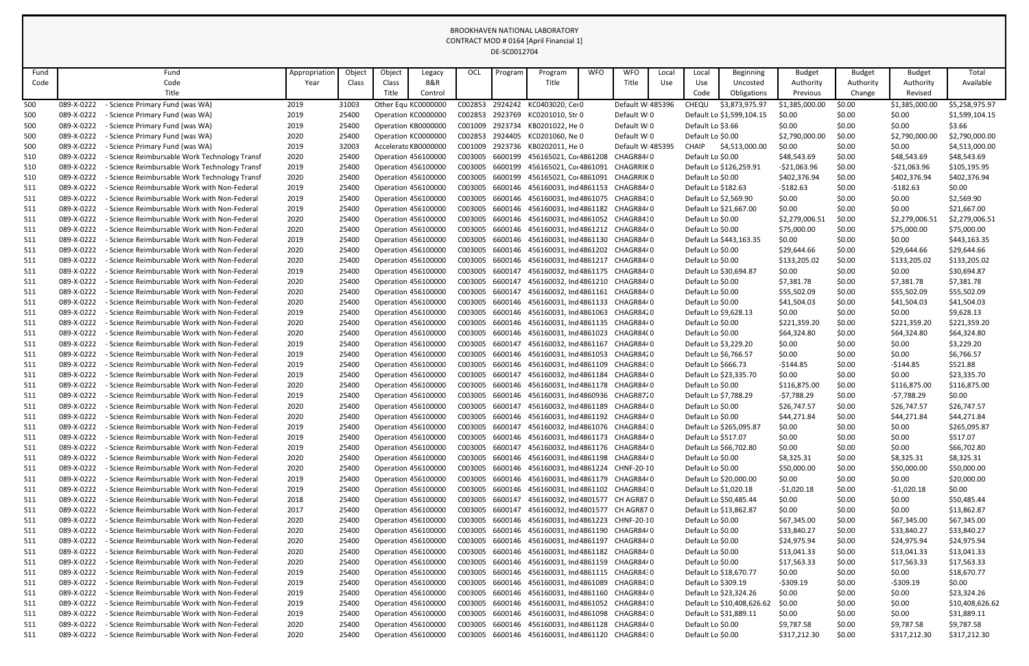| Fund |            | Fund                                          | Appropriation | Object | Object | Legacy                     | <b>OCL</b>      | Program | Program                           | <b>WFO</b> | <b>WFO</b>       | Local | Local                 | <b>Beginning</b>           | <b>Budget</b>  | <b>Budget</b> | <b>Budget</b>  | Total           |
|------|------------|-----------------------------------------------|---------------|--------|--------|----------------------------|-----------------|---------|-----------------------------------|------------|------------------|-------|-----------------------|----------------------------|----------------|---------------|----------------|-----------------|
| Code |            | Code                                          | Year          | Class  | Class  | <b>B&amp;R</b>             |                 |         | Title                             |            | Title            | Use   | Use                   | Uncosted                   | Authority      | Authority     | Authority      | Available       |
|      |            | Title                                         |               |        | Title  | Control                    |                 |         |                                   |            |                  |       | Code                  | Obligations                | Previous       | Change        | Revised        |                 |
| 500  | 089-X-0222 | Science Primary Fund (was WA)                 | 2019          | 31003  |        | Other Equ KC0000000        | C002853         | 2924242 | KC0403020, Cei 0                  |            | Default WI485396 |       | CHEQU                 | \$3,873,975.97             | \$1,385,000.00 | \$0.00        | \$1,385,000.00 | \$5,258,975.97  |
| 500  | 089-X-0222 | - Science Primary Fund (was WA)               | 2019          | 25400  |        | Operation KC0000000        | C002853         | 2923769 | KC0201010, Str 0                  |            | Default WI0      |       |                       | Default Lo \$1,599,104.15  | \$0.00         | \$0.00        | \$0.00         | \$1,599,104.15  |
| 500  | 089-X-0222 | - Science Primary Fund (was WA)               | 2019          | 25400  |        | Operation KB0000000        | C001009         | 2923734 | KB0201022, He 0                   |            | Default WI0      |       | Default Lo \$3.66     |                            | \$0.00         | \$0.00        | \$0.00         | \$3.66          |
| 500  | 089-X-0222 | - Science Primary Fund (was WA)               | 2020          | 25400  |        | Operation KC0000000        | C002853         | 2924405 | KC0201060, Ne 0                   |            | Default WI0      |       | Default Lo \$0.00     |                            | \$2,790,000.00 | \$0.00        | \$2,790,000.00 | \$2,790,000.00  |
| 500  | 089-X-0222 | - Science Primary Fund (was WA)               | 2019          | 32003  |        | Accelerato KB0000000       | C001009         | 2923736 | KB0202011, He 0                   |            | Default WI485395 |       | CHAIP                 | \$4,513,000.00             | \$0.00         | \$0.00        | \$0.00         | \$4,513,000.00  |
| 510  | 089-X-0222 | Science Reimbursable Work Technology Transf   | 2020          | 25400  |        | Operation 456100000        | C003005         | 6600199 | 456165021, Cor 4861208            |            | CHAGR8440        |       | Default Lo \$0.00     |                            | \$48,543.69    | \$0.00        | \$48,543.69    | \$48,543.69     |
| 510  | 089-X-0222 | - Science Reimbursable Work Technology Transf | 2019          | 25400  |        | <b>Operation 456100000</b> | C003005         | 6600199 | 456165021, Co(4861091             |            | CHAGRRIK 0       |       |                       | Default Lo \$126,259.91    | $-521,063.96$  | \$0.00        | $-521,063.96$  | \$105,195.95    |
| 510  | 089-X-0222 | - Science Reimbursable Work Technology Transf | 2020          | 25400  |        | Operation 456100000        | C003005         | 6600199 | 456165021, Co(4861091             |            | CHAGRRIK 0       |       | Default Lo \$0.00     |                            | \$402,376.94   | \$0.00        | \$402,376.94   | \$402,376.94    |
| 511  | 089-X-0222 | - Science Reimbursable Work with Non-Federal  | 2019          | 25400  |        | <b>Operation 456100000</b> | C003005         | 6600146 | 456160031, Ind 4861153            |            | CHAGR8440        |       | Default Lo \$182.63   |                            | $-$182.63$     | \$0.00        | $-$182.63$     | \$0.00          |
| 511  | 089-X-0222 | - Science Reimbursable Work with Non-Federal  | 2019          | 25400  |        | Operation 456100000        | C003005         | 6600146 | 456160031, Ind 4861075 CHAGR8430  |            |                  |       | Default Lo \$2,569.90 |                            | \$0.00         | \$0.00        | \$0.00         | \$2,569.90      |
| 511  | 089-X-0222 | - Science Reimbursable Work with Non-Federal  | 2019          | 25400  |        | <b>Operation 456100000</b> | C003005         | 6600146 | 456160031, Ind 4861182            |            | CHAGR8440        |       |                       | Default Lo \$21,667.00     | \$0.00         | \$0.00        | \$0.00         | \$21,667.00     |
| 511  | 089-X-0222 | - Science Reimbursable Work with Non-Federal  | 2020          | 25400  |        | <b>Operation 456100000</b> | C003005         | 6600146 | 456160031, Ind 4861052            |            | CHAGR8410        |       | Default Lo \$0.00     |                            | \$2,279,006.51 | \$0.00        | \$2,279,006.51 | \$2,279,006.51  |
| 511  | 089-X-0222 | - Science Reimbursable Work with Non-Federal  | 2020          | 25400  |        | Operation 456100000        | C003005         | 6600146 | 456160031, Ind 4861212 CHAGR8440  |            |                  |       | Default Lo \$0.00     |                            | \$75,000.00    | \$0.00        | \$75,000.00    | \$75,000.00     |
| 511  | 089-X-0222 | - Science Reimbursable Work with Non-Federal  | 2019          | 25400  |        | <b>Operation 456100000</b> | C003005         | 6600146 | 456160031, Ind 4861130            |            | CHAGR8440        |       |                       | Default Lo \$443,163.35    | \$0.00         | \$0.00        | \$0.00         | \$443,163.35    |
| 511  | 089-X-0222 | - Science Reimbursable Work with Non-Federal  | 2020          | 25400  |        | Operation 456100000        | C003005         | 6600146 | 456160031, Ind 4861202 CHAGR8440  |            |                  |       | Default Lo \$0.00     |                            | \$29,644.66    | \$0.00        | \$29,644.66    | \$29,644.66     |
| 511  | 089-X-0222 | - Science Reimbursable Work with Non-Federal  | 2020          | 25400  |        | Operation 456100000        | C003005         | 6600146 | 456160031, Ind 4861217            |            | CHAGR8440        |       | Default Lo \$0.00     |                            | \$133,205.02   | \$0.00        | \$133,205.02   | \$133,205.02    |
| 511  | 089-X-0222 | - Science Reimbursable Work with Non-Federal  | 2019          | 25400  |        | <b>Operation 456100000</b> | C003005         | 6600147 | 456160032, Ind 4861175 CHAGR8440  |            |                  |       |                       | Default Lo \$30,694.87     | \$0.00         | \$0.00        | \$0.00         | \$30,694.87     |
| 511  | 089-X-0222 | - Science Reimbursable Work with Non-Federal  | 2020          | 25400  |        | Operation 456100000        | C003005         | 6600147 | 456160032, Ind 4861210 CHAGR8440  |            |                  |       | Default Lo \$0.00     |                            | \$7,381.78     | \$0.00        | \$7,381.78     | \$7,381.78      |
| 511  | 089-X-0222 | - Science Reimbursable Work with Non-Federal  | 2020          | 25400  |        | Operation 456100000        | C003005         | 6600147 | 456160032, Ind 4861161            |            | CHAGR8440        |       | Default Lo \$0.00     |                            | \$55,502.09    | \$0.00        | \$55,502.09    | \$55,502.09     |
| 511  | 089-X-0222 | - Science Reimbursable Work with Non-Federal  | 2020          | 25400  |        | <b>Operation 456100000</b> | C003005         | 6600146 | 456160031, Ind 4861133            |            | CHAGR8440        |       | Default Lo \$0.00     |                            | \$41,504.03    | \$0.00        | \$41,504.03    | \$41,504.03     |
| 511  | 089-X-0222 | - Science Reimbursable Work with Non-Federal  | 2019          | 25400  |        | <b>Operation 456100000</b> | C003005         | 6600146 | 456160031, Ind 4861063            |            | CHAGR8420        |       | Default Lo \$9,628.13 |                            | \$0.00         | \$0.00        | \$0.00         | \$9,628.13      |
| 511  | 089-X-0222 | - Science Reimbursable Work with Non-Federal  | 2020          | 25400  |        | <b>Operation 456100000</b> | C003005         | 6600146 | 456160031, Ind 4861135            |            | CHAGR8440        |       | Default Lo \$0.00     |                            | \$221,359.20   | \$0.00        | \$221,359.20   | \$221,359.20    |
| 511  | 089-X-0222 | - Science Reimbursable Work with Non-Federal  | 2020          | 25400  |        | Operation 456100000        | C003005         | 6600146 | 456160031, Ind 4861023 CHAGR84(0  |            |                  |       | Default Lo \$0.00     |                            | \$64,324.80    | \$0.00        | \$64,324.80    | \$64,324.80     |
| 511  | 089-X-0222 | - Science Reimbursable Work with Non-Federal  | 2019          | 25400  |        | <b>Operation 456100000</b> | C003005         | 6600147 | 456160032, Ind 4861167            |            | CHAGR8440        |       | Default Lo \$3,229.20 |                            | \$0.00         | \$0.00        | \$0.00         | \$3,229.20      |
| 511  | 089-X-0222 | - Science Reimbursable Work with Non-Federal  | 2019          | 25400  |        | <b>Operation 456100000</b> | C003005         | 6600146 | 456160031, Ind 4861053            |            | CHAGR8420        |       | Default Lo \$6,766.57 |                            | \$0.00         | \$0.00        | \$0.00         | \$6,766.57      |
| 511  | 089-X-0222 | - Science Reimbursable Work with Non-Federal  | 2019          | 25400  |        | <b>Operation 456100000</b> | C003005         | 6600146 | 456160031, Ind 4861109            |            | CHAGR8430        |       | Default Lo \$666.73   |                            | -\$144.85      | \$0.00        | $-5144.85$     | \$521.88        |
| 511  | 089-X-0222 | - Science Reimbursable Work with Non-Federal  | 2019          | 25400  |        | Operation 456100000        | C003005         | 6600147 | 456160032, Ind 4861184 CHAGR8440  |            |                  |       |                       | Default Lo \$23,335.70     | \$0.00         | \$0.00        | \$0.00         | \$23,335.70     |
| 511  | 089-X-0222 | - Science Reimbursable Work with Non-Federal  | 2020          | 25400  |        | Operation 456100000        | C003005         | 6600146 | 456160031, Ind 4861178 CHAGR8440  |            |                  |       | Default Lo \$0.00     |                            | \$116,875.00   | \$0.00        | \$116,875.00   | \$116,875.00    |
| 511  | 089-X-0222 | - Science Reimbursable Work with Non-Federal  | 2019          | 25400  |        | <b>Operation 456100000</b> | C003005         | 6600146 | 456160031, Ind 4860936 CHAGR8720  |            |                  |       | Default Lo \$7,788.29 |                            | -\$7,788.29    | \$0.00        | -\$7,788.29    | \$0.00          |
| 511  | 089-X-0222 | - Science Reimbursable Work with Non-Federal  | 2020          | 25400  |        | <b>Operation 456100000</b> | C003005         | 6600147 | 456160032, Ind 4861189 CHAGR8440  |            |                  |       | Default Lo \$0.00     |                            | \$26,747.57    | \$0.00        | \$26,747.57    | \$26,747.57     |
| 511  | 089-X-0222 | - Science Reimbursable Work with Non-Federal  | 2020          | 25400  |        | <b>Operation 456100000</b> | C003005         | 6600146 | 456160031, Ind 4861192 CHAGR8440  |            |                  |       | Default Lo \$0.00     |                            | \$44,271.84    | \$0.00        | \$44,271.84    | \$44,271.84     |
| 511  | 089-X-0222 | - Science Reimbursable Work with Non-Federal  | 2019          | 25400  |        | <b>Operation 456100000</b> | C003005         | 6600147 | 456160032, Ind 4861076 CHAGR8430  |            |                  |       |                       | Default Lo \$265,095.87    | \$0.00         | \$0.00        | \$0.00         | \$265,095.87    |
| 511  | 089-X-0222 | - Science Reimbursable Work with Non-Federal  | 2019          | 25400  |        | <b>Operation 456100000</b> | C003005         | 6600146 | 456160031, Ind 4861173 CHAGR8440  |            |                  |       | Default Lo \$517.07   |                            | \$0.00         | \$0.00        | \$0.00         | \$517.07        |
| 511  | 089-X-0222 | - Science Reimbursable Work with Non-Federal  | 2019          | 25400  |        | <b>Operation 456100000</b> | C003005         | 6600147 | 456160032, Ind 4861176 CHAGR8440  |            |                  |       |                       | Default Lo \$66,702.80     | \$0.00         | \$0.00        | \$0.00         | \$66,702.80     |
| 511  | 089-X-0222 | - Science Reimbursable Work with Non-Federal  | 2020          | 25400  |        | <b>Operation 456100000</b> | C003005         | 6600146 | 456160031, Ind 4861198 CHAGR8440  |            |                  |       | Default Lo \$0.00     |                            | \$8,325.31     | \$0.00        | \$8,325.31     | \$8,325.31      |
| 511  | 089-X-0222 | - Science Reimbursable Work with Non-Federal  | 2020          | 25400  |        | <b>Operation 456100000</b> | C003005         | 6600146 | 456160031, Ind 4861224 CHNF-20-10 |            |                  |       | Default Lo \$0.00     |                            | \$50,000.00    | \$0.00        | \$50,000.00    | \$50,000.00     |
| 511  | 089-X-0222 | - Science Reimbursable Work with Non-Federal  | 2019          | 25400  |        | <b>Operation 456100000</b> | C003005         | 6600146 | 456160031, Ind 4861179            |            | CHAGR8440        |       |                       | Default Lo \$20,000.00     | \$0.00         | \$0.00        | \$0.00         | \$20,000.00     |
| 511  | 089-X-0222 | - Science Reimbursable Work with Non-Federal  | 2019          | 25400  |        | Operation 456100000        | C003005         | 6600146 | 456160031, Ind 4861102 CHAGR8430  |            |                  |       | Default Lo \$1,020.18 |                            | $-51,020.18$   | \$0.00        | $-51,020.18$   | \$0.00          |
| 511  | 089-X-0222 | - Science Reimbursable Work with Non-Federal  | 2018          | 25400  |        | <b>Operation 456100000</b> | C003005         | 6600147 | 456160032, Ind 4801577 CH AGR87 0 |            |                  |       |                       | Default Lo \$50,485.44     | \$0.00         | \$0.00        | \$0.00         | \$50,485.44     |
| 511  | 089-X-0222 | - Science Reimbursable Work with Non-Federal  | 2017          | 25400  |        | <b>Operation 456100000</b> | C003005 6600147 |         | 456160032, Ind 4801577 CH AGR87 0 |            |                  |       |                       | Default Lo \$13,862.87     | \$0.00         | \$0.00        | \$0.00         | \$13,862.87     |
| 511  | 089-X-0222 | - Science Reimbursable Work with Non-Federal  | 2020          | 25400  |        | <b>Operation 456100000</b> | C003005         | 6600146 | 456160031, Ind 4861223 CHNF-20-10 |            |                  |       | Default Lo \$0.00     |                            | \$67,345.00    | \$0.00        | \$67,345.00    | \$67,345.00     |
| 511  | 089-X-0222 | - Science Reimbursable Work with Non-Federal  | 2020          | 25400  |        | <b>Operation 456100000</b> | C003005         | 6600146 | 456160031, Ind 4861190            |            | CHAGR8440        |       | Default Lo \$0.00     |                            | \$33,840.27    | \$0.00        | \$33,840.27    | \$33,840.27     |
| 511  | 089-X-0222 | - Science Reimbursable Work with Non-Federal  | 2020          | 25400  |        | <b>Operation 456100000</b> | C003005         | 6600146 | 456160031, Ind 4861197            |            | CHAGR8440        |       | Default Lo \$0.00     |                            | \$24,975.94    | \$0.00        | \$24,975.94    | \$24,975.94     |
| 511  | 089-X-0222 | - Science Reimbursable Work with Non-Federal  | 2020          | 25400  |        | <b>Operation 456100000</b> | C003005         | 6600146 | 456160031, Ind 4861182            |            | CHAGR8440        |       | Default Lo \$0.00     |                            | \$13,041.33    | \$0.00        | \$13,041.33    | \$13,041.33     |
| 511  | 089-X-0222 | - Science Reimbursable Work with Non-Federal  | 2020          | 25400  |        | <b>Operation 456100000</b> | C003005         | 6600146 | 456160031, Ind 4861159 CHAGR8440  |            |                  |       | Default Lo \$0.00     |                            | \$17,563.33    | \$0.00        | \$17,563.33    | \$17,563.33     |
| 511  | 089-X-0222 | - Science Reimbursable Work with Non-Federal  | 2019          | 25400  |        | <b>Operation 456100000</b> | C003005         | 6600146 | 456160031, Ind 4861115 CHAGR8430  |            |                  |       |                       | Default Lo \$18,670.77     | \$0.00         | \$0.00        | \$0.00         | \$18,670.77     |
| 511  | 089-X-0222 | - Science Reimbursable Work with Non-Federal  | 2019          | 25400  |        | <b>Operation 456100000</b> | C003005         | 6600146 | 456160031, Ind 4861089            |            | CHAGR8430        |       | Default Lo \$309.19   |                            | $-5309.19$     | \$0.00        | $-5309.19$     | \$0.00          |
| 511  | 089-X-0222 | - Science Reimbursable Work with Non-Federal  | 2019          | 25400  |        | <b>Operation 456100000</b> | C003005         | 6600146 | 456160031, Ind 4861160 CHAGR8440  |            |                  |       |                       | Default Lo \$23,324.26     | \$0.00         | \$0.00        | \$0.00         | \$23,324.26     |
| 511  | 089-X-0222 | - Science Reimbursable Work with Non-Federal  | 2019          | 25400  |        | <b>Operation 456100000</b> | C003005         | 6600146 | 456160031, Ind 4861052 CHAGR8410  |            |                  |       |                       | Default Lo \$10,408,626.62 | \$0.00         | \$0.00        | \$0.00         | \$10,408,626.62 |
| 511  | 089-X-0222 | - Science Reimbursable Work with Non-Federal  | 2019          | 25400  |        | <b>Operation 456100000</b> | C003005         | 6600146 | 456160031, Ind 4861098 CHAGR8430  |            |                  |       |                       | Default Lo \$31,889.11     | \$0.00         | \$0.00        | \$0.00         | \$31,889.11     |
| 511  | 089-X-0222 | - Science Reimbursable Work with Non-Federal  | 2020          | 25400  |        | Operation 456100000        | C003005         | 6600146 | 456160031, Ind 4861128 CHAGR8440  |            |                  |       | Default Lo \$0.00     |                            | \$9,787.58     | \$0.00        | \$9,787.58     | \$9,787.58      |
| 511  | 089-X-0222 | - Science Reimbursable Work with Non-Federal  | 2020          | 25400  |        | Operation 456100000        | C003005         | 6600146 | 456160031, Ind 4861120 CHAGR8430  |            |                  |       | Default Lo \$0.00     |                            | \$317,212.30   | \$0.00        | \$317,212.30   | \$317,212.30    |
|      |            |                                               |               |        |        |                            |                 |         |                                   |            |                  |       |                       |                            |                |               |                |                 |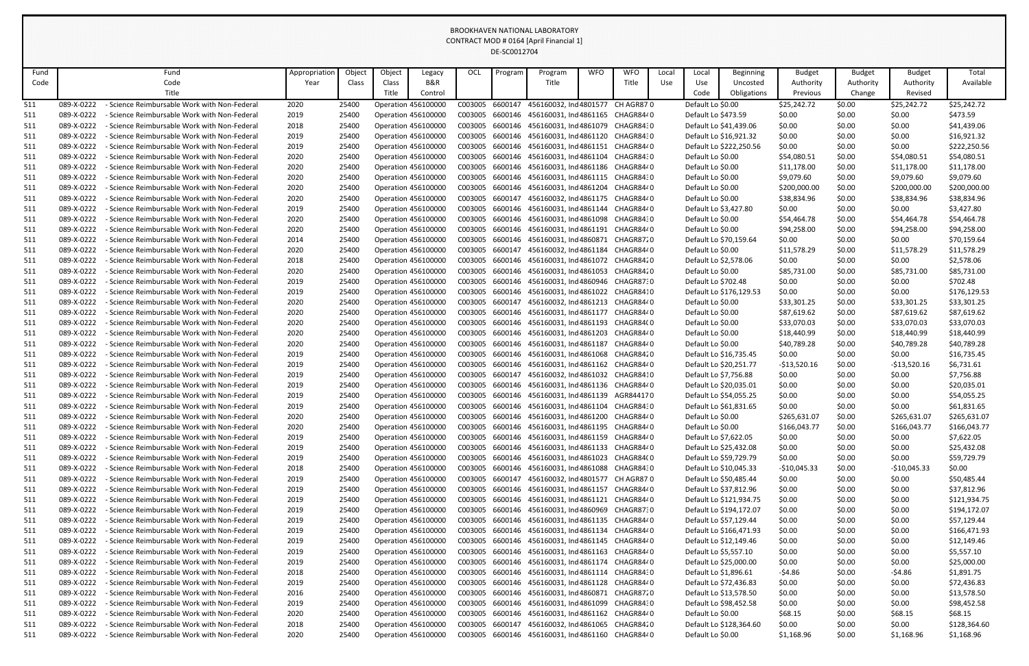| Fund |            | Fund                                              | Appropriation | Object | Object                     | Legacy         | OCL     | Program | Program                                  | <b>WFO</b> | <b>WFO</b> | Local | Local                 | Beginning               | <b>Budget</b> | <b>Budget</b> | <b>Budget</b> | Total        |
|------|------------|---------------------------------------------------|---------------|--------|----------------------------|----------------|---------|---------|------------------------------------------|------------|------------|-------|-----------------------|-------------------------|---------------|---------------|---------------|--------------|
| Code |            | Code                                              | Year          | Class  | Class                      | <b>B&amp;R</b> |         |         | Title                                    |            | Title      | Use   | Use                   | Uncosted                | Authority     | Authority     | Authority     | Available    |
|      |            | Title                                             |               |        | Title                      | Control        |         |         |                                          |            |            |       | Code                  | Obligations             | Previous      | Change        | Revised       |              |
| 511  | 089-X-0222 | Science Reimbursable Work with Non-Federal        | 2020          | 25400  | Operation 45610000         |                | C003005 | 6600147 | 456160032, Ind 4801577                   |            | CH AGR87 0 |       | Default Lo \$0.00     |                         | \$25,242.72   | \$0.00        | \$25,242.72   | \$25,242.72  |
| 511  | 089-X-0222 | Science Reimbursable Work with Non-Federal        | 2019          | 25400  | <b>Operation 456100000</b> |                | C003005 |         | 6600146 456160031, Ind 4861165 CHAGR8440 |            |            |       | Default Lo \$473.59   |                         | \$0.00        | \$0.00        | \$0.00        | \$473.59     |
| 511  | 089-X-0222 | - Science Reimbursable Work with Non-Federal      | 2018          | 25400  | Operation 456100000        |                | C003005 | 6600146 | 456160031, Ind 4861079 CHAGR8430         |            |            |       |                       | Default Lo \$41,439.06  | \$0.00        | \$0.00        | \$0.00        | \$41,439.06  |
| 511  | 089-X-0222 | - Science Reimbursable Work with Non-Federal      | 2019          | 25400  | Operation 456100000        |                | C003005 | 6600146 | 456160031, Ind 4861120                   |            | CHAGR8430  |       |                       | Default Lo \$16,921.32  | \$0.00        | \$0.00        | \$0.00        | \$16,921.32  |
| 511  | 089-X-0222 | Science Reimbursable Work with Non-Federal        | 2019          | 25400  | Operation 456100000        |                | C003005 |         | 6600146 456160031, Ind 4861151 CHAGR8440 |            |            |       |                       | Default Lo \$222,250.56 | \$0.00        | \$0.00        | \$0.00        | \$222,250.56 |
| 511  | 089-X-0222 | <b>Science Reimbursable Work with Non-Federal</b> | 2020          | 25400  | <b>Operation 456100000</b> |                | C003005 | 6600146 | 456160031, Ind 4861104 CHAGR8430         |            |            |       | Default Lo \$0.00     |                         | \$54,080.51   | \$0.00        | \$54,080.51   | \$54,080.51  |
| 511  | 089-X-0222 | Science Reimbursable Work with Non-Federal        | 2020          | 25400  | Operation 456100000        |                | C003005 | 6600146 | 456160031, Ind 4861186 CHAGR8440         |            |            |       | Default Lo \$0.00     |                         | \$11,178.00   | \$0.00        | \$11,178.00   | \$11,178.00  |
| 511  | 089-X-0222 | - Science Reimbursable Work with Non-Federal      | 2020          | 25400  | Operation 456100000        |                | C003005 | 6600146 | 456160031, Ind 4861115 CHAGR8430         |            |            |       | Default Lo \$0.00     |                         | \$9,079.60    | \$0.00        | \$9,079.60    | \$9,079.60   |
| 511  | 089-X-0222 | Science Reimbursable Work with Non-Federal        | 2020          | 25400  | Operation 456100000        |                | C003005 | 6600146 | 456160031, Ind 4861204 CHAGR8440         |            |            |       | Default Lo \$0.00     |                         | \$200,000.00  | \$0.00        | \$200,000.00  | \$200,000.00 |
| 511  | 089-X-0222 | Science Reimbursable Work with Non-Federal        | 2020          | 25400  | Operation 456100000        |                | C003005 | 6600147 | 456160032, Ind 4861175 CHAGR8440         |            |            |       | Default Lo \$0.00     |                         | \$38,834.96   | \$0.00        | \$38,834.96   | \$38,834.96  |
| 511  | 089-X-0222 | <b>Science Reimbursable Work with Non-Federal</b> | 2019          | 25400  | Operation 456100000        |                | C003005 | 6600146 | 456160031, Ind 4861144 CHAGR8440         |            |            |       |                       | Default Lo \$3,427.80   | \$0.00        | \$0.00        | \$0.00        | \$3,427.80   |
| 511  | 089-X-0222 | Science Reimbursable Work with Non-Federal        | 2020          | 25400  | <b>Operation 456100000</b> |                | C003005 |         | 6600146 456160031, Ind 4861098 CHAGR8430 |            |            |       | Default Lo \$0.00     |                         | \$54,464.78   | \$0.00        | \$54,464.78   | \$54,464.78  |
| 511  | 089-X-0222 | - Science Reimbursable Work with Non-Federal      | 2020          | 25400  | Operation 456100000        |                | C003005 | 6600146 | 456160031, Ind 4861191 CHAGR8440         |            |            |       | Default Lo \$0.00     |                         | \$94,258.00   | \$0.00        | \$94,258.00   | \$94,258.00  |
| 511  | 089-X-0222 | Science Reimbursable Work with Non-Federal        | 2014          | 25400  | Operation 456100000        |                | C003005 | 6600146 | 456160031, Ind 4860871                   |            | CHAGR8720  |       |                       | Default Lo \$70,159.64  | \$0.00        | \$0.00        | \$0.00        | \$70,159.64  |
| 511  | 089-X-0222 | Science Reimbursable Work with Non-Federal        | 2020          | 25400  | <b>Operation 456100000</b> |                | C003005 | 6600147 | 456160032, Ind 4861184 CHAGR8440         |            |            |       | Default Lo \$0.00     |                         | \$11,578.29   | \$0.00        | \$11,578.29   | \$11,578.29  |
| 511  | 089-X-0222 | Science Reimbursable Work with Non-Federal        | 2018          | 25400  | <b>Operation 456100000</b> |                | C003005 | 6600146 | 456160031, Ind 4861072                   |            | CHAGR8420  |       |                       | Default Lo \$2,578.06   | \$0.00        | \$0.00        | \$0.00        | \$2,578.06   |
| 511  | 089-X-0222 | <b>Science Reimbursable Work with Non-Federal</b> | 2020          | 25400  | <b>Operation 456100000</b> |                | C003005 | 6600146 | 456160031, Ind 4861053 CHAGR8420         |            |            |       | Default Lo \$0.00     |                         | \$85,731.00   | \$0.00        | \$85,731.00   | \$85,731.00  |
| 511  | 089-X-0222 | - Science Reimbursable Work with Non-Federal      | 2019          | 25400  | Operation 456100000        |                | C003005 | 6600146 | 456160031, Ind 4860946 CHAGR8730         |            |            |       | Default Lo \$702.48   |                         | \$0.00        | \$0.00        | \$0.00        | \$702.48     |
| 511  | 089-X-0222 | Science Reimbursable Work with Non-Federal        | 2019          | 25400  | Operation 456100000        |                | C003005 | 6600146 | 456160031, Ind 4861022                   |            | CHAGR8410  |       |                       | Default Lo \$176,129.53 | \$0.00        | \$0.00        | \$0.00        | \$176,129.53 |
| 511  | 089-X-0222 | Science Reimbursable Work with Non-Federal        | 2020          | 25400  | Operation 456100000        |                | C003005 | 6600147 | 456160032, Ind 4861213 CHAGR8440         |            |            |       | Default Lo \$0.00     |                         | \$33,301.25   | \$0.00        | \$33,301.25   | \$33,301.25  |
| 511  | 089-X-0222 | <b>Science Reimbursable Work with Non-Federal</b> | 2020          | 25400  | <b>Operation 456100000</b> |                | C003005 | 6600146 | 456160031, Ind 4861177 CHAGR8440         |            |            |       | Default Lo \$0.00     |                         | \$87,619.62   | \$0.00        | \$87,619.62   | \$87,619.62  |
| 511  | 089-X-0222 | <b>Science Reimbursable Work with Non-Federal</b> | 2020          | 25400  | <b>Operation 456100000</b> |                | C003005 | 6600146 | 456160031, Ind 4861193 CHAGR84(0         |            |            |       | Default Lo \$0.00     |                         | \$33,070.03   | \$0.00        | \$33,070.03   | \$33,070.03  |
| 511  | 089-X-0222 | - Science Reimbursable Work with Non-Federal      | 2020          | 25400  | Operation 456100000        |                | C003005 | 6600146 | 456160031, Ind 4861203 CHAGR8440         |            |            |       | Default Lo \$0.00     |                         | \$18,440.99   | \$0.00        | \$18,440.99   | \$18,440.99  |
| 511  | 089-X-0222 | Science Reimbursable Work with Non-Federal        | 2020          | 25400  | Operation 456100000        |                | C003005 | 6600146 | 456160031, Ind 4861187                   |            | CHAGR8440  |       | Default Lo \$0.00     |                         | \$40,789.28   | \$0.00        | \$40,789.28   | \$40,789.28  |
| 511  | 089-X-0222 | Science Reimbursable Work with Non-Federal        | 2019          | 25400  | <b>Operation 456100000</b> |                | C003005 |         | 6600146 456160031, Ind 4861068 CHAGR8420 |            |            |       |                       | Default Lo \$16,735.45  | \$0.00        | \$0.00        | \$0.00        | \$16,735.45  |
| 511  | 089-X-0222 | <b>Science Reimbursable Work with Non-Federal</b> | 2019          | 25400  | <b>Operation 456100000</b> |                | C003005 | 6600146 | 456160031, Ind 4861162 CHAGR8440         |            |            |       |                       | Default Lo \$20,251.77  | -\$13,520.16  | \$0.00        | $-$13,520.16$ | \$6,731.61   |
| 511  | 089-X-0222 | - Science Reimbursable Work with Non-Federal      | 2019          | 25400  | <b>Operation 456100000</b> |                | C003005 |         | 6600147 456160032, Ind 4861032 CHAGR8410 |            |            |       | Default Lo \$7,756.88 |                         | \$0.00        | \$0.00        | \$0.00        | \$7,756.88   |
| 511  | 089-X-0222 | - Science Reimbursable Work with Non-Federal      | 2019          | 25400  | Operation 456100000        |                | C003005 |         | 6600146 456160031, Ind 4861136 CHAGR8440 |            |            |       |                       | Default Lo \$20,035.01  | \$0.00        | \$0.00        | \$0.00        | \$20,035.01  |
| 511  | 089-X-0222 | - Science Reimbursable Work with Non-Federal      | 2019          | 25400  | <b>Operation 456100000</b> |                | C003005 |         | 6600146 456160031, Ind 4861139 AGR844170 |            |            |       |                       | Default Lo \$54,055.25  | \$0.00        | \$0.00        | \$0.00        | \$54,055.25  |
| 511  | 089-X-0222 | - Science Reimbursable Work with Non-Federal      | 2019          | 25400  | <b>Operation 456100000</b> |                | C003005 |         | 6600146 456160031, Ind 4861104 CHAGR8430 |            |            |       |                       | Default Lo \$61,831.65  | \$0.00        | \$0.00        | \$0.00        | \$61,831.65  |
| 511  | 089-X-0222 | - Science Reimbursable Work with Non-Federal      | 2020          | 25400  | <b>Operation 456100000</b> |                | C003005 |         | 6600146 456160031, Ind 4861200           |            | CHAGR8440  |       | Default Lo \$0.00     |                         | \$265,631.07  | \$0.00        | \$265,631.07  | \$265,631.07 |
| 511  | 089-X-0222 | - Science Reimbursable Work with Non-Federal      | 2020          | 25400  | <b>Operation 456100000</b> |                | C003005 |         | 6600146 456160031, Ind 4861195 CHAGR8440 |            |            |       | Default Lo \$0.00     |                         | \$166,043.77  | \$0.00        | \$166,043.77  | \$166,043.77 |
| 511  | 089-X-0222 | - Science Reimbursable Work with Non-Federal      | 2019          | 25400  | <b>Operation 456100000</b> |                | C003005 |         | 6600146 456160031, Ind 4861159 CHAGR8440 |            |            |       |                       | Default Lo \$7,622.05   | \$0.00        | \$0.00        | \$0.00        | \$7,622.05   |
| 511  | 089-X-0222 | - Science Reimbursable Work with Non-Federal      | 2019          | 25400  | <b>Operation 456100000</b> |                | C003005 |         | 6600146 456160031, Ind 4861133 CHAGR8440 |            |            |       |                       | Default Lo \$25,432.08  | \$0.00        | \$0.00        | \$0.00        | \$25,432.08  |
| 511  | 089-X-0222 | - Science Reimbursable Work with Non-Federal      | 2019          | 25400  | <b>Operation 456100000</b> |                | C003005 |         | 6600146 456160031, Ind 4861023 CHAGR84(0 |            |            |       |                       | Default Lo \$59,729.79  | \$0.00        | \$0.00        | \$0.00        | \$59,729.79  |
| 511  | 089-X-0222 | - Science Reimbursable Work with Non-Federal      | 2018          | 25400  | <b>Operation 456100000</b> |                | C003005 |         | 6600146 456160031, Ind 4861088 CHAGR8430 |            |            |       |                       | Default Lo \$10,045.33  | -\$10,045.33  | \$0.00        | -\$10,045.33  | \$0.00       |
| 511  | 089-X-0222 | - Science Reimbursable Work with Non-Federal      | 2019          | 25400  | <b>Operation 456100000</b> |                | C003005 | 6600147 | 456160032, Ind 4801577 CH AGR87 0        |            |            |       |                       | Default Lo \$50,485.44  | \$0.00        | \$0.00        | \$0.00        | \$50,485.44  |
| 511  | 089-X-0222 | Science Reimbursable Work with Non-Federal        | 2019          | 25400  | <b>Operation 456100000</b> |                | C003005 |         | 6600146 456160031, Ind 4861157 CHAGR8440 |            |            |       |                       | Default Lo \$37,812.96  | \$0.00        | \$0.00        | \$0.00        | \$37,812.96  |
| 511  | 089-X-0222 | - Science Reimbursable Work with Non-Federal      | 2019          | 25400  | <b>Operation 456100000</b> |                | C003005 |         | 6600146 456160031, Ind 4861121 CHAGR8440 |            |            |       |                       | Default Lo \$121,934.75 | \$0.00        | \$0.00        | \$0.00        | \$121,934.75 |
| 511  | 089-X-0222 | - Science Reimbursable Work with Non-Federal      | 2019          | 25400  | <b>Operation 456100000</b> |                | C003005 |         | 6600146 456160031, Ind 4860969 CHAGR8730 |            |            |       |                       | Default Lo \$194,172.07 | \$0.00        | \$0.00        | \$0.00        | \$194,172.07 |
| 511  | 089-X-0222 | - Science Reimbursable Work with Non-Federal      | 2019          | 25400  | <b>Operation 456100000</b> |                | C003005 |         | 6600146 456160031, Ind 4861135 CHAGR8440 |            |            |       |                       | Default Lo \$57,129.44  | \$0.00        | \$0.00        | \$0.00        | \$57,129.44  |
| 511  | 089-X-0222 | - Science Reimbursable Work with Non-Federal      | 2019          | 25400  | <b>Operation 456100000</b> |                | C003005 |         | 6600146 456160031, Ind 4861134 CHAGR8440 |            |            |       |                       | Default Lo \$166,471.93 | \$0.00        | \$0.00        | \$0.00        | \$166,471.93 |
| 511  | 089-X-0222 | Science Reimbursable Work with Non-Federal        | 2019          | 25400  | <b>Operation 456100000</b> |                | C003005 |         | 6600146 456160031, Ind 4861145 CHAGR8440 |            |            |       |                       | Default Lo \$12,149.46  | \$0.00        | \$0.00        | \$0.00        | \$12,149.46  |
| 511  | 089-X-0222 | - Science Reimbursable Work with Non-Federal      | 2019          | 25400  | <b>Operation 456100000</b> |                | C003005 |         | 6600146 456160031, Ind 4861163 CHAGR8440 |            |            |       |                       | Default Lo \$5,557.10   | \$0.00        | \$0.00        | \$0.00        | \$5,557.10   |
| 511  | 089-X-0222 | - Science Reimbursable Work with Non-Federal      | 2019          | 25400  | <b>Operation 456100000</b> |                | C003005 |         | 6600146 456160031, Ind 4861174 CHAGR8440 |            |            |       |                       | Default Lo \$25,000.00  | \$0.00        | \$0.00        | \$0.00        | \$25,000.00  |
| 511  | 089-X-0222 | - Science Reimbursable Work with Non-Federal      | 2018          | 25400  | <b>Operation 456100000</b> |                | C003005 |         | 6600146 456160031, Ind 4861114 CHAGR8430 |            |            |       | Default Lo \$1,896.61 |                         | -\$4.86       | \$0.00        | -\$4.86       | \$1,891.75   |
| 511  | 089-X-0222 | - Science Reimbursable Work with Non-Federal      | 2019          | 25400  | <b>Operation 456100000</b> |                | C003005 |         | 6600146 456160031, Ind 4861128 CHAGR8440 |            |            |       |                       | Default Lo \$72,436.83  | \$0.00        | \$0.00        | \$0.00        | \$72,436.83  |
| 511  | 089-X-0222 | Science Reimbursable Work with Non-Federal        | 2016          | 25400  | <b>Operation 456100000</b> |                | C003005 |         | 6600146 456160031, Ind 4860871 CHAGR8720 |            |            |       |                       | Default Lo \$13,578.50  | \$0.00        | \$0.00        | \$0.00        | \$13,578.50  |
| 511  | 089-X-0222 | - Science Reimbursable Work with Non-Federal      | 2019          | 25400  | Operation 456100000        |                | C003005 |         | 6600146 456160031, Ind 4861099 CHAGR8430 |            |            |       |                       | Default Lo \$98,452.58  | \$0.00        | \$0.00        | \$0.00        | \$98,452.58  |
| 511  | 089-X-0222 | - Science Reimbursable Work with Non-Federal      | 2020          | 25400  | <b>Operation 456100000</b> |                | C003005 |         | 6600146 456160031, Ind 4861162 CHAGR8440 |            |            |       | Default Lo \$0.00     |                         | \$68.15       | \$0.00        | \$68.15       | \$68.15      |
| 511  | 089-X-0222 | - Science Reimbursable Work with Non-Federal      | 2018          | 25400  | <b>Operation 456100000</b> |                | C003005 | 6600147 | 456160032, Ind 4861065 CHAGR8420         |            |            |       |                       | Default Lo \$128,364.60 | \$0.00        | \$0.00        | \$0.00        | \$128,364.60 |
| 511  | 089-X-0222 | - Science Reimbursable Work with Non-Federal      | 2020          | 25400  | Operation 456100000        |                | C003005 |         | 6600146 456160031, Ind 4861160 CHAGR8440 |            |            |       | Default Lo \$0.00     |                         | \$1,168.96    | \$0.00        | \$1,168.96    | \$1,168.96   |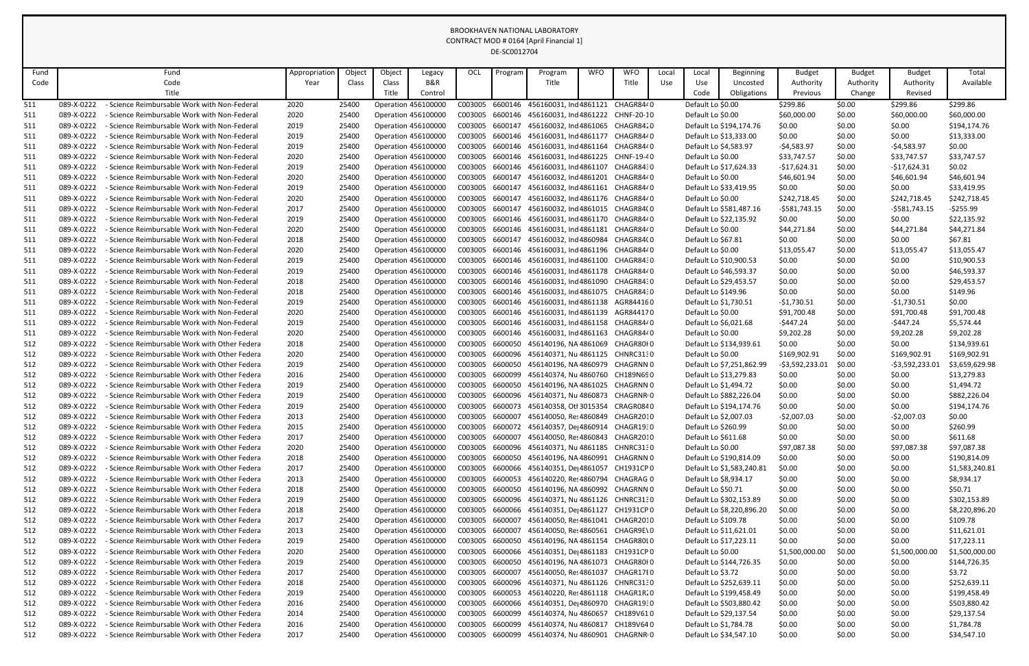| Fund |            | Fund                                              | Appropriation | Object | Object | Legacy                     | OCL     | Program | Program                                          | <b>WFO</b> | <b>WFO</b> | Local | Local              | Beginning                 | <b>Budget</b>   | <b>Budget</b> | <b>Budget</b>    | Total          |
|------|------------|---------------------------------------------------|---------------|--------|--------|----------------------------|---------|---------|--------------------------------------------------|------------|------------|-------|--------------------|---------------------------|-----------------|---------------|------------------|----------------|
| Code |            | Code                                              | Year          | Class  | Class  | B&R                        |         |         | Title                                            |            | Title      | Use   | Use                | Uncosted                  | Authority       | Authority     | Authority        | Available      |
|      |            | Title                                             |               |        | Title  | Control                    |         |         |                                                  |            |            |       | Code               | Obligations               | Previous        | Change        | Revised          |                |
| 511  | 089-X-0222 | Science Reimbursable Work with Non-Federal        | 2020          | 25400  |        | <b>Operation 456100000</b> | C003005 | 6600146 | 456160031, Ind 4861121                           |            | CHAGR8440  |       | Default Lo \$0.00  |                           | \$299.86        | \$0.00        | \$299.86         | \$299.86       |
| 511  | 089-X-0222 | - Science Reimbursable Work with Non-Federal      | 2020          | 25400  |        | <b>Operation 456100000</b> | C003005 |         | 6600146 456160031, Ind 4861222 CHNF-20-10        |            |            |       | Default Lo \$0.00  |                           | \$60,000.00     | \$0.00        | \$60,000.00      | \$60,000.00    |
| 511  | 089-X-0222 | - Science Reimbursable Work with Non-Federal      | 2019          | 25400  |        | <b>Operation 456100000</b> | C003005 | 6600147 | 456160032, Ind 4861065                           |            | CHAGR8420  |       |                    | Default Lo \$194,174.76   | \$0.00          | \$0.00        | \$0.00           | \$194,174.76   |
| 511  | 089-X-0222 | - Science Reimbursable Work with Non-Federal      | 2019          | 25400  |        | <b>Operation 456100000</b> | C003005 | 6600146 | 456160031, Ind 4861177                           |            | CHAGR8440  |       |                    | Default Lo \$13,333.00    | \$0.00          | \$0.00        | \$0.00           | \$13,333.00    |
| 511  | 089-X-0222 | - Science Reimbursable Work with Non-Federal      | 2019          | 25400  |        | <b>Operation 456100000</b> | C003005 | 6600146 | 456160031, Ind 4861164 CHAGR8440                 |            |            |       |                    | Default Lo \$4,583.97     | $-54,583.97$    | \$0.00        | $-54,583.97$     | \$0.00         |
| 511  | 089-X-0222 | - Science Reimbursable Work with Non-Federal      | 2020          | 25400  |        | <b>Operation 456100000</b> | C003005 | 6600146 | 456160031, Ind 4861225 CHNF-19-40                |            |            |       | Default Lo \$0.00  |                           | \$33,747.57     | \$0.00        | \$33,747.57      | \$33,747.57    |
| 511  | 089-X-0222 | - Science Reimbursable Work with Non-Federal      | 2019          | 25400  |        | <b>Operation 456100000</b> | C003005 |         | 6600146 456160031, Ind 4861107 CHAGR8430         |            |            |       |                    | Default Lo \$17,624.33    | $-$17,624.31$   | \$0.00        | $-$17,624.31$    | \$0.02         |
| 511  | 089-X-0222 | - Science Reimbursable Work with Non-Federal      | 2020          | 25400  |        | <b>Operation 456100000</b> | C003005 | 6600147 | 456160032, Ind 4861201                           |            | CHAGR8440  |       | Default Lo \$0.00  |                           | \$46,601.94     | \$0.00        | \$46,601.94      | \$46,601.94    |
| 511  | 089-X-0222 | - Science Reimbursable Work with Non-Federal      | 2019          | 25400  |        | <b>Operation 456100000</b> | C003005 | 6600147 | 456160032, Ind 4861161                           |            | CHAGR8440  |       |                    | Default Lo \$33,419.95    | \$0.00          | \$0.00        | \$0.00           | \$33,419.95    |
| 511  | 089-X-0222 | <b>Science Reimbursable Work with Non-Federal</b> | 2020          | 25400  |        | <b>Operation 456100000</b> | C003005 | 6600147 | 456160032, Ind 4861176 CHAGR8440                 |            |            |       | Default Lo \$0.00  |                           | \$242,718.45    | \$0.00        | \$242,718.45     | \$242,718.45   |
| 511  | 089-X-0222 | - Science Reimbursable Work with Non-Federal      | 2017          | 25400  |        | <b>Operation 456100000</b> | C003005 | 6600147 | 456160032, Ind 4861015                           |            | CHAGR84(0  |       |                    | Default Lo \$581,487.16   | $-5581,743.15$  | \$0.00        | $-5581,743.15$   | $-5255.99$     |
| 511  | 089-X-0222 | - Science Reimbursable Work with Non-Federal      | 2019          | 25400  |        | <b>Operation 456100000</b> | C003005 | 6600146 | 456160031, Ind 4861170 CHAGR8440                 |            |            |       |                    | Default Lo \$22,135.92    | \$0.00          | \$0.00        | \$0.00           | \$22,135.92    |
| 511  | 089-X-0222 | - Science Reimbursable Work with Non-Federal      | 2020          | 25400  |        | <b>Operation 456100000</b> | C003005 | 6600146 | 456160031, Ind 4861181 CHAGR8440                 |            |            |       | Default Lo \$0.00  |                           | \$44,271.84     | \$0.00        | \$44,271.84      | \$44,271.84    |
| 511  | 089-X-0222 | - Science Reimbursable Work with Non-Federal      | 2018          | 25400  |        | <b>Operation 456100000</b> | C003005 | 6600147 | 456160032, Ind 4860984                           |            | CHAGR84(0  |       | Default Lo \$67.81 |                           | \$0.00          | \$0.00        | \$0.00           | \$67.81        |
| 511  | 089-X-0222 | Science Reimbursable Work with Non-Federal        | 2020          | 25400  |        | <b>Operation 456100000</b> | C003005 |         | 6600146 456160031, Ind 4861196 CHAGR8440         |            |            |       | Default Lo \$0.00  |                           | \$13,055.47     | \$0.00        | \$13,055.47      | \$13,055.47    |
| 511  | 089-X-0222 | - Science Reimbursable Work with Non-Federal      | 2019          | 25400  |        | <b>Operation 456100000</b> | C003005 | 6600146 | 456160031, Ind 4861100 CHAGR8430                 |            |            |       |                    | Default Lo \$10,900.53    | \$0.00          | \$0.00        | \$0.00           | \$10,900.53    |
| 511  | 089-X-0222 | - Science Reimbursable Work with Non-Federal      | 2019          | 25400  |        | <b>Operation 456100000</b> | C003005 | 6600146 | 456160031, Ind 4861178 CHAGR8440                 |            |            |       |                    | Default Lo \$46,593.37    | \$0.00          | \$0.00        | \$0.00           | \$46,593.37    |
| 511  | 089-X-0222 | - Science Reimbursable Work with Non-Federal      | 2018          | 25400  |        | <b>Operation 456100000</b> | C003005 |         | 6600146 456160031, Ind 4861090                   |            | CHAGR8430  |       |                    | Default Lo \$29,453.57    | \$0.00          | \$0.00        | \$0.00           | \$29,453.57    |
| 511  | 089-X-0222 | - Science Reimbursable Work with Non-Federal      | 2018          | 25400  |        | <b>Operation 456100000</b> | C003005 | 6600146 | 456160031, Ind 4861075                           |            | CHAGR8430  |       |                    | Default Lo \$149.96       | \$0.00          | \$0.00        | \$0.00           | \$149.96       |
| 511  | 089-X-0222 | <b>Science Reimbursable Work with Non-Federal</b> | 2019          | 25400  |        | <b>Operation 456100000</b> | C003005 |         | 6600146 456160031, Ind 4861138 AGR844160         |            |            |       |                    | Default Lo \$1,730.51     | $-$1,730.51$    | \$0.00        | -\$1,730.51      | \$0.00         |
| 511  | 089-X-0222 | - Science Reimbursable Work with Non-Federal      | 2020          | 25400  |        | <b>Operation 456100000</b> | C003005 | 6600146 | 456160031, Ind 4861139                           |            | AGR844170  |       | Default Lo \$0.00  |                           | \$91,700.48     | \$0.00        | \$91,700.48      | \$91,700.48    |
| 511  | 089-X-0222 | - Science Reimbursable Work with Non-Federal      | 2019          | 25400  |        | <b>Operation 456100000</b> | C003005 | 6600146 | 456160031, Ind 4861158 CHAGR8440                 |            |            |       |                    | Default Lo \$6,021.68     | $-5447.24$      | \$0.00        | $-5447.24$       | \$5,574.44     |
| 511  | 089-X-0222 | - Science Reimbursable Work with Non-Federal      | 2020          | 25400  |        | <b>Operation 456100000</b> | C003005 | 6600146 | 456160031, Ind 4861163                           |            | CHAGR8440  |       | Default Lo \$0.00  |                           | \$9,202.28      | \$0.00        | \$9,202.28       | \$9,202.28     |
| 512  | 089-X-0222 | - Science Reimbursable Work with Other Federa     | 2018          | 25400  |        | <b>Operation 456100000</b> | C003005 | 6600050 | 456140196, NA 4861069                            |            | CHAGR80I0  |       |                    | Default Lo \$134,939.61   | \$0.00          | \$0.00        | \$0.00           | \$134,939.61   |
| 512  | 089-X-0222 | Science Reimbursable Work with Other Federa       | 2020          | 25400  |        | <b>Operation 456100000</b> | C003005 | 6600096 | 456140371, Nu 4861125 CHNRC3130                  |            |            |       | Default Lo \$0.00  |                           | \$169,902.91    | \$0.00        | \$169,902.91     | \$169,902.91   |
| 512  | 089-X-0222 | - Science Reimbursable Work with Other Federa     | 2019          | 25400  |        | <b>Operation 456100000</b> | C003005 | 6600050 | 456140196, NA 4860979                            |            | CHAGRNN 0  |       |                    | Default Lo \$7,251,862.99 | -\$3,592,233.01 | \$0.00        | $-53,592,233.01$ | \$3,659,629.98 |
| 512  | 089-X-0222 | - Science Reimbursable Work with Other Federa     | 2016          | 25400  |        | <b>Operation 456100000</b> | C003005 | 6600099 | 456140374, Nu 4860760 CH189N690                  |            |            |       |                    | Default Lo \$13,279.83    | \$0.00          | \$0.00        | \$0.00           | \$13,279.83    |
| 512  | 089-X-0222 | - Science Reimbursable Work with Other Federa     | 2019          | 25400  |        | Operation 456100000        | C003005 | 6600050 | 456140196, NA 4861025                            |            | CHAGRNN 0  |       |                    | Default Lo \$1,494.72     | \$0.00          | \$0.00        | \$0.00           | \$1,494.72     |
| 512  | 089-X-0222 | - Science Reimbursable Work with Other Federa     | 2019          | 25400  |        | <b>Operation 456100000</b> | C003005 |         | 6600096 456140371, Nu 4860873 CHAGRNRIO          |            |            |       |                    | Default Lo \$882,226.04   | \$0.00          | \$0.00        | \$0.00           | \$882,226.04   |
| 512  | 089-X-0222 | - Science Reimbursable Work with Other Federa     | 2019          | 25400  |        | <b>Operation 456100000</b> |         |         | C003005 6600073 456140358, Otl 3015354 CRAGR0840 |            |            |       |                    | Default Lo \$194,174.76   | \$0.00          | \$0.00        | \$0.00           | \$194,174.76   |
| 512  | 089-X-0222 | - Science Reimbursable Work with Other Federa     | 2013          | 25400  |        | <b>Operation 456100000</b> | C003005 | 6600007 | 456140050, Re: 4860849 CHAGR2010                 |            |            |       |                    | Default Lo \$2,007.03     | $-52,007.03$    | \$0.00        | $-52,007.03$     | \$0.00         |
| 512  | 089-X-0222 | - Science Reimbursable Work with Other Federa     | 2015          | 25400  |        | <b>Operation 456100000</b> | C003005 |         | 6600072 456140357, De 4860914 CHAGR1930          |            |            |       |                    | Default Lo \$260.99       | \$0.00          | \$0.00        | \$0.00           | \$260.99       |
| 512  | 089-X-0222 | - Science Reimbursable Work with Other Federa     | 2017          | 25400  |        | <b>Operation 456100000</b> | C003005 | 6600007 | 456140050, Re: 4860843 CHAGR2010                 |            |            |       |                    | Default Lo \$611.68       | \$0.00          | \$0.00        | \$0.00           | \$611.68       |
| 512  | 089-X-0222 | - Science Reimbursable Work with Other Federa     | 2020          | 25400  |        | <b>Operation 456100000</b> | C003005 |         | 6600096 456140371, Nu 4861185 CHNRC3130          |            |            |       | Default Lo \$0.00  |                           | \$97,087.38     | \$0.00        | \$97,087.38      | \$97,087.38    |
| 512  | 089-X-0222 | - Science Reimbursable Work with Other Federa     | 2018          | 25400  |        | <b>Operation 456100000</b> | C003005 | 6600050 | 456140196, NA 4860991 CHAGRNN 0                  |            |            |       |                    | Default Lo \$190,814.09   | \$0.00          | \$0.00        | \$0.00           | \$190,814.09   |
| 512  | 089-X-0222 | - Science Reimbursable Work with Other Federa     | 2017          | 25400  |        | <b>Operation 456100000</b> | C003005 | 6600066 | 456140351, De 4861057                            |            | CH1931CP 0 |       |                    | Default Lo \$1,583,240.81 | \$0.00          | \$0.00        | \$0.00           | \$1,583,240.81 |
| 512  | 089-X-0222 | - Science Reimbursable Work with Other Federa     | 2013          | 25400  |        | <b>Operation 456100000</b> | C003005 | 6600053 | 456140220, Re: 4860794 CHAGRAG 0                 |            |            |       |                    | Default Lo \$8,934.17     | \$0.00          | \$0.00        | \$0.00           | \$8,934.17     |
| 512  | 089-X-0222 | - Science Reimbursable Work with Other Federa     | 2018          | 25400  |        | <b>Operation 456100000</b> | C003005 | 6600050 | 456140196, NA 4860992 CHAGRNN 0                  |            |            |       | Default Lo \$50.71 |                           | \$0.00          | \$0.00        | \$0.00           | \$50.71        |
| 512  | 089-X-0222 | - Science Reimbursable Work with Other Federa     | 2019          | 25400  |        | <b>Operation 456100000</b> | C003005 |         | 6600096 456140371, Nu 4861126 CHNRC3130          |            |            |       |                    | Default Lo \$302,153.89   | \$0.00          | \$0.00        | \$0.00           | \$302,153.89   |
| 512  | 089-X-0222 | - Science Reimbursable Work with Other Federa     | 2018          | 25400  |        | <b>Operation 456100000</b> | C003005 |         | 6600066 456140351, De 4861127 CH1931CP 0         |            |            |       |                    | Default Lo \$8,220,896.20 | \$0.00          | \$0.00        | \$0.00           | \$8,220,896.20 |
| 512  | 089-X-0222 | - Science Reimbursable Work with Other Federa     | 2017          | 25400  |        | <b>Operation 456100000</b> | C003005 | 6600007 | 456140050, Re: 4861041 CHAGR2010                 |            |            |       |                    | Default Lo \$109.78       | \$0.00          | \$0.00        | \$0.00           | \$109.78       |
| 512  | 089-X-0222 | - Science Reimbursable Work with Other Federa     | 2013          | 25400  |        | <b>Operation 456100000</b> | C003005 | 6600007 | 456140050, Re: 4860561                           |            | CHAGR9E\0  |       |                    | Default Lo \$11,621.01    | \$0.00          | \$0.00        | \$0.00           | \$11,621.01    |
| 512  | 089-X-0222 | - Science Reimbursable Work with Other Federa     | 2019          | 25400  |        | <b>Operation 456100000</b> | C003005 | 6600050 | 456140196, NA 4861154 CHAGR80L0                  |            |            |       |                    | Default Lo \$17,223.11    | \$0.00          | \$0.00        | \$0.00           | \$17,223.11    |
| 512  | 089-X-0222 | - Science Reimbursable Work with Other Federa     | 2020          | 25400  |        | <b>Operation 456100000</b> | C003005 |         | 6600066 456140351, De 4861183 CH1931CP 0         |            |            |       | Default Lo \$0.00  |                           | \$1,500,000.00  | \$0.00        | \$1,500,000.00   | \$1,500,000.00 |
| 512  | 089-X-0222 | - Science Reimbursable Work with Other Federa     | 2019          | 25400  |        | <b>Operation 456100000</b> | C003005 | 6600050 | 456140196, NA 4861073 CHAGR80I 0                 |            |            |       |                    | Default Lo \$144,726.35   | \$0.00          | \$0.00        | \$0.00           | \$144,726.35   |
| 512  | 089-X-0222 | - Science Reimbursable Work with Other Federa     | 2017          | 25400  |        | <b>Operation 456100000</b> | C003005 | 6600007 | 456140050, Re: 4861037                           |            | CHAGR17E0  |       | Default Lo \$3.72  |                           | \$0.00          | \$0.00        | \$0.00           | \$3.72         |
| 512  | 089-X-0222 | - Science Reimbursable Work with Other Federa     | 2018          | 25400  |        | <b>Operation 456100000</b> | C003005 |         | 6600096 456140371, Nu 4861126 CHNRC3130          |            |            |       |                    | Default Lo \$252,639.11   | \$0.00          | \$0.00        | \$0.00           | \$252,639.11   |
| 512  | 089-X-0222 | - Science Reimbursable Work with Other Federa     | 2019          | 25400  |        | <b>Operation 456100000</b> | C003005 |         | 6600053 456140220, Res 4861118 CHAGR1R20         |            |            |       |                    | Default Lo \$199,458.49   | \$0.00          | \$0.00        | \$0.00           | \$199,458.49   |
| 512  | 089-X-0222 | - Science Reimbursable Work with Other Federa     | 2016          | 25400  |        | <b>Operation 456100000</b> | C003005 |         | 6600066 456140351, De 4860970 CHAGR1930          |            |            |       |                    | Default Lo \$503,880.42   | \$0.00          | \$0.00        | \$0.00           | \$503,880.42   |
| 512  | 089-X-0222 | - Science Reimbursable Work with Other Federa     | 2014          | 25400  |        | <b>Operation 456100000</b> | C003005 | 6600099 | 456140374, Nu 4860657 CH189V610                  |            |            |       |                    | Default Lo \$29,137.54    | \$0.00          | \$0.00        | \$0.00           | \$29,137.54    |
| 512  | 089-X-0222 | - Science Reimbursable Work with Other Federa     | 2016          | 25400  |        | <b>Operation 456100000</b> | C003005 | 6600099 | 456140374, Nu 4860817                            |            | CH189V640  |       |                    | Default Lo \$1,784.78     | \$0.00          | \$0.00        | \$0.00           | \$1,784.78     |
| 512  | 089-X-0222 | - Science Reimbursable Work with Other Federa     | 2017          | 25400  |        | Operation 456100000        | C003005 |         | 6600099 456140374, Nu 4860901 CHAGRNRIO          |            |            |       |                    | Default Lo \$34,547.10    | \$0.00          | \$0.00        | \$0.00           | \$34,547.10    |
|      |            |                                                   |               |        |        |                            |         |         |                                                  |            |            |       |                    |                           |                 |               |                  |                |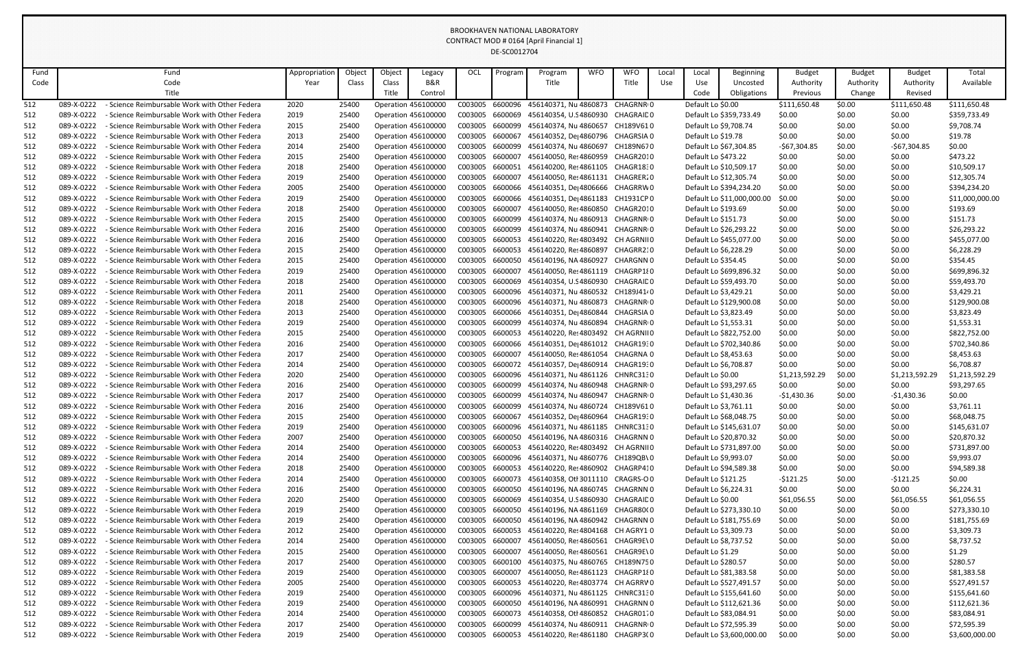| Fund       |            | Fund                                               | Appropriation | Object | Object                     | Legacy  | OCL                | Progran            | Program                           | <b>WFO</b> | <b>WFO</b>             | Local | Local                 | <b>Beginning</b>           | <b>Budget</b>  | <b>Budget</b> | <b>Budget</b>  | Total           |
|------------|------------|----------------------------------------------------|---------------|--------|----------------------------|---------|--------------------|--------------------|-----------------------------------|------------|------------------------|-------|-----------------------|----------------------------|----------------|---------------|----------------|-----------------|
| Code       |            | Code                                               | Year          | Class  | Class                      | B&R     |                    |                    | Title                             |            | Title                  | Use   | Use                   | Uncosted                   | Authority      | Authority     | Authority      | Available       |
|            |            | Title                                              |               |        | Title                      | Control |                    |                    |                                   |            |                        |       | Code                  | Obligations                | Previous       | Change        | Revised        |                 |
| 512        | 089-X-0222 | Science Reimbursable Work with Other Federa        | 2020          | 25400  | <b>Operation 456100000</b> |         | C003005            | 6600096            | 456140371, Nu 4860873             |            | CHAGRNR <sub>0</sub>   |       | Default Lo \$0.00     |                            | \$111,650.48   | \$0.00        | \$111,650.48   | \$111,650.48    |
| 512        | 089-X-0222 | - Science Reimbursable Work with Other Federa      | 2019          | 25400  | <b>Operation 456100000</b> |         | C003005            | 6600069            | 456140354, U.S 4860930            |            | CHAGRAID 0             |       |                       | Default Lo \$359,733.49    | \$0.00         | \$0.00        | \$0.00         | \$359,733.49    |
| 512        | 089-X-0222 | Science Reimbursable Work with Other Federa        | 2015          | 25400  | <b>Operation 456100000</b> |         | C003005            | 6600099            | 456140374, Nu 4860657             |            | CH189V610              |       | Default Lo \$9,708.74 |                            | \$0.00         | \$0.00        | \$0.00         | \$9,708.74      |
| 512        | 089-X-0222 | Science Reimbursable Work with Other Federa        | 2013          | 25400  | <b>Operation 456100000</b> |         | C003005            | 6600067            | 456140352, De 4860796 CHAGRSIA 0  |            |                        |       | Default Lo \$19.78    |                            | \$0.00         | \$0.00        | \$0.00         | \$19.78         |
| 512        | 089-X-0222 | Science Reimbursable Work with Other Federa        | 2014          | 25400  | <b>Operation 456100000</b> |         | C003005            | 6600099            | 456140374, Nu 4860697             |            | CH189N670              |       |                       | Default Lo \$67,304.85     | $-567,304.85$  | \$0.00        | $-$67,304.85$  | \$0.00          |
| 512        | 089-X-0222 | Science Reimbursable Work with Other Federa        | 2015          | 25400  | <b>Operation 456100000</b> |         | C003005            | 6600007            | 456140050, Res 4860959            |            | CHAGR2010              |       | Default Lo \$473.22   |                            | \$0.00         | \$0.00        | \$0.00         | \$473.22        |
| 512        | 089-X-0222 | Science Reimbursable Work with Other Federa        | 2018          | 25400  | <b>Operation 456100000</b> |         | C003005            | 6600051            | 456140200, Res 4861105 CHAGR1830  |            |                        |       |                       | Default Lo \$10,509.17     | \$0.00         | \$0.00        | \$0.00         | \$10,509.17     |
| 512        | 089-X-0222 | Science Reimbursable Work with Other Federa        | 2019          | 25400  | <b>Operation 456100000</b> |         | C003005            | 6600007            | 456140050, Re: 4861131            |            | CHAGRER20              |       |                       | Default Lo \$12,305.74     | \$0.00         | \$0.00        | \$0.00         | \$12,305.74     |
| 512        | 089-X-0222 | Science Reimbursable Work with Other Federa        | 2005          | 25400  | <b>Operation 456100000</b> |         | C003005            | 6600066            | 456140351, De 4806666 CHAGRRW0    |            |                        |       |                       | Default Lo \$394,234.20    | \$0.00         | \$0.00        | \$0.00         | \$394,234.20    |
| 512        | 089-X-0222 | Science Reimbursable Work with Other Federa        | 2019          | 25400  | <b>Operation 456100000</b> |         | C003005            | 6600066            | 456140351, De 4861183             |            | CH1931CP 0             |       |                       | Default Lo \$11,000,000.00 | \$0.00         | \$0.00        | \$0.00         | \$11,000,000.00 |
| 512        | 089-X-0222 | Science Reimbursable Work with Other Federa        | 2018          | 25400  | <b>Operation 456100000</b> |         | C003005            | 6600007            | 456140050, Re: 4860850            |            | CHAGR2010              |       | Default Lo \$193.69   |                            | \$0.00         | \$0.00        | \$0.00         | \$193.69        |
| 512        | 089-X-0222 | Science Reimbursable Work with Other Federa        | 2015          | 25400  | <b>Operation 456100000</b> |         | C003005            | 6600099            | 456140374, Nu 4860913 CHAGRNRIO   |            |                        |       | Default Lo \$151.73   |                            | \$0.00         | \$0.00        | \$0.00         | \$151.73        |
| 512        | 089-X-0222 | Science Reimbursable Work with Other Federa        | 2016          | 25400  | <b>Operation 456100000</b> |         | C003005            | 6600099            | 456140374, Nu 4860941             |            | CHAGRNR <sub>10</sub>  |       |                       | Default Lo \$26,293.22     | \$0.00         | \$0.00        | \$0.00         | \$26,293.22     |
| 512        | 089-X-0222 | Science Reimbursable Work with Other Federa        | 2016          | 25400  | <b>Operation 456100000</b> |         | C003005            | 6600053            | 456140220, Res 4803492 CH AGRNIIO |            |                        |       |                       | Default Lo \$455,077.00    | \$0.00         | \$0.00        | \$0.00         | \$455,077.00    |
| 512        | 089-X-0222 | Science Reimbursable Work with Other Federa        | 2015          | 25400  | <b>Operation 456100000</b> |         | C003005            | 6600053            | 456140220, Re: 4860897            |            | CHAGRR210              |       | Default Lo \$6,228.29 |                            | \$0.00         | \$0.00        | \$0.00         | \$6,228.29      |
|            | 089-X-0222 | Science Reimbursable Work with Other Federa        |               | 25400  |                            |         |                    | 6600050            | 456140196, NA 4860927             |            | CHARGNN 0              |       | Default Lo \$354.45   |                            |                | \$0.00        | \$0.00         | \$354.45        |
| 512<br>512 | 089-X-0222 | Science Reimbursable Work with Other Federa        | 2015          | 25400  | <b>Operation 456100000</b> |         | C003005<br>C003005 | 6600007            | 456140050, Re: 4861119 CHAGRP180  |            |                        |       |                       | Default Lo \$699,896.32    | \$0.00         |               | \$0.00         | \$699,896.32    |
|            | 089-X-0222 | Science Reimbursable Work with Other Federa        | 2019          | 25400  | <b>Operation 456100000</b> |         |                    | 6600069            | 456140354, U.S 4860930            |            | CHAGRAID 0             |       |                       | Default Lo \$59,493.70     | \$0.00         | \$0.00        | \$0.00         |                 |
| 512        |            |                                                    | 2018          |        | <b>Operation 456100000</b> |         | C003005            |                    |                                   |            |                        |       |                       |                            | \$0.00         | \$0.00        |                | \$59,493.70     |
| 512        | 089-X-0222 | Science Reimbursable Work with Other Federa        | 2011          | 25400  | <b>Operation 456100000</b> |         | C003005            | 6600096            | 456140371, Nu 4860532 CH189J4140  |            |                        |       | Default Lo \$3,429.21 |                            | \$0.00         | \$0.00        | \$0.00         | \$3,429.21      |
| 512        | 089-X-0222 | Science Reimbursable Work with Other Federa        | 2018          | 25400  | <b>Operation 456100000</b> |         | C003005            | 6600096<br>6600066 | 456140371, Nu 4860873             |            | CHAGRNR <sub>I</sub> O |       |                       | Default Lo \$129,900.08    | \$0.00         | \$0.00        | \$0.00         | \$129,900.08    |
| 512        | 089-X-0222 | · Science Reimbursable Work with Other Federa      | 2013          | 25400  | <b>Operation 456100000</b> |         | C003005            |                    | 456140351, De 4860844             |            | CHAGRSIA 0             |       | Default Lo \$3,823.49 |                            | \$0.00         | \$0.00        | \$0.00         | \$3,823.49      |
| 512        | 089-X-0222 | Science Reimbursable Work with Other Federa        | 2019          | 25400  | <b>Operation 456100000</b> |         | C003005            | 6600099            | 456140374, Nu 4860894             |            | CHAGRNR <sub>10</sub>  |       | Default Lo \$1,553.31 |                            | \$0.00         | \$0.00        | \$0.00         | \$1,553.31      |
| 512        | 089-X-0222 | Science Reimbursable Work with Other Federa        | 2015          | 25400  | <b>Operation 456100000</b> |         | C003005            | 6600053            | 456140220, Res 4803492            |            | CH AGRNII 0            |       |                       | Default Lo \$822,752.00    | \$0.00         | \$0.00        | \$0.00         | \$822,752.00    |
| 512        | 089-X-0222 | Science Reimbursable Work with Other Federa        | 2016          | 25400  | <b>Operation 456100000</b> |         | C003005            | 6600066            | 456140351, De 4861012 CHAGR1930   |            |                        |       |                       | Default Lo \$702,340.86    | \$0.00         | \$0.00        | \$0.00         | \$702,340.86    |
| 512        | 089-X-0222 | Science Reimbursable Work with Other Federa        | 2017          | 25400  | <b>Operation 456100000</b> |         | C003005            | 6600007            | 456140050, Re: 4861054            |            | CHAGRNA 0              |       | Default Lo \$8,453.63 |                            | \$0.00         | \$0.00        | \$0.00         | \$8,453.63      |
| 512        | 089-X-0222 | Science Reimbursable Work with Other Federa        | 2014          | 25400  | <b>Operation 456100000</b> |         | C003005            | 6600072            | 456140357, De 4860914             |            | CHAGR1930              |       | Default Lo \$6,708.87 |                            | \$0.00         | \$0.00        | \$0.00         | \$6,708.87      |
| 512        | 089-X-0222 | - Science Reimbursable Work with Other Federa      | 2020          | 25400  | Operation 456100000        |         | C003005            | 6600096            | 456140371, Nu 4861126 CHNRC3130   |            |                        |       | Default Lo \$0.00     |                            | \$1,213,592.29 | \$0.00        | \$1,213,592.29 | \$1,213,592.29  |
| 512        | 089-X-0222 | - Science Reimbursable Work with Other Federa      | 2016          | 25400  | Operation 456100000        |         | C003005            | 6600099            | 456140374, Nu 4860948 CHAGRNRIO   |            |                        |       |                       | Default Lo \$93,297.65     | \$0.00         | \$0.00        | \$0.00         | \$93,297.65     |
| 512        | 089-X-0222 | Science Reimbursable Work with Other Federa        | 2017          | 25400  | <b>Operation 456100000</b> |         | C003005 6600099    |                    | 456140374, Nu 4860947 CHAGRNRIO   |            |                        |       | Default Lo \$1,430.36 |                            | $-$1,430.36$   | \$0.00        | $-$1,430.36$   | \$0.00          |
| 512        | 089-X-0222 | - Science Reimbursable Work with Other Federa      | 2016          | 25400  | <b>Operation 456100000</b> |         | C003005            | 6600099            | 456140374, Nu 4860724 CH189V610   |            |                        |       | Default Lo \$3,761.11 |                            | \$0.00         | \$0.00        | \$0.00         | \$3,761.11      |
| 512        | 089-X-0222 | - Science Reimbursable Work with Other Federa      | 2015          | 25400  | <b>Operation 456100000</b> |         | C003005 6600067    |                    | 456140352, De 4860964             |            | CHAGR1930              |       |                       | Default Lo \$68,048.75     | \$0.00         | \$0.00        | \$0.00         | \$68,048.75     |
| 512        | 089-X-0222 | <b>Science Reimbursable Work with Other Federa</b> | 2019          | 25400  | <b>Operation 456100000</b> |         | C003005 6600096    |                    | 456140371, Nu 4861185 CHNRC3130   |            |                        |       |                       | Default Lo \$145,631.07    | \$0.00         | \$0.00        | \$0.00         | \$145,631.07    |
| 512        | 089-X-0222 | <b>Science Reimbursable Work with Other Federa</b> | 2007          | 25400  | <b>Operation 456100000</b> |         | C003005            | 6600050            | 456140196, NA 4860316 CHAGRNN 0   |            |                        |       |                       | Default Lo \$20,870.32     | \$0.00         | \$0.00        | \$0.00         | \$20,870.32     |
| 512        | 089-X-0222 | Science Reimbursable Work with Other Federa        | 2014          | 25400  | <b>Operation 456100000</b> |         | C003005 6600053    |                    | 456140220, Res 4803492 CH AGRNIIO |            |                        |       |                       | Default Lo \$731,897.00    | \$0.00         | \$0.00        | \$0.00         | \$731,897.00    |
| 512        | 089-X-0222 | - Science Reimbursable Work with Other Federa      | 2014          | 25400  | <b>Operation 456100000</b> |         | C003005            | 6600096            | 456140371, Nu 4860776 CH189QB\0   |            |                        |       | Default Lo \$9,993.07 |                            | \$0.00         | \$0.00        | \$0.00         | \$9,993.07      |
| 512        | 089-X-0222 | - Science Reimbursable Work with Other Federa      | 2018          | 25400  | <b>Operation 456100000</b> |         | C003005 6600053    |                    | 456140220, Re: 4860902            |            | CHAGRP410              |       |                       | Default Lo \$94,589.38     | \$0.00         | \$0.00        | \$0.00         | \$94,589.38     |
| 512        | 089-X-0222 | - Science Reimbursable Work with Other Federa      | 2014          | 25400  | <b>Operation 456100000</b> |         | C003005 6600073    |                    | 456140358, Otl 3011110 CRAGRS-O0  |            |                        |       | Default Lo \$121.25   |                            | $-5121.25$     | \$0.00        | $-5121.25$     | \$0.00          |
| 512        | 089-X-0222 | - Science Reimbursable Work with Other Federa      | 2016          | 25400  | <b>Operation 456100000</b> |         | C003005            | 6600050            | 456140196, NA 4860745 CHAGRNN 0   |            |                        |       | Default Lo \$6,224.31 |                            | \$0.00         | \$0.00        | \$0.00         | \$6,224.31      |
| 512        | 089-X-0222 | - Science Reimbursable Work with Other Federa      | 2020          | 25400  | <b>Operation 456100000</b> |         | C003005 6600069    |                    | 456140354, U.S 4860930 CHAGRAID 0 |            |                        |       | Default Lo \$0.00     |                            | \$61,056.55    | \$0.00        | \$61,056.55    | \$61,056.55     |
| 512        | 089-X-0222 | - Science Reimbursable Work with Other Federa      | 2019          | 25400  | <b>Operation 456100000</b> |         | C003005            | 6600050            | 456140196, NA 4861169 CHAGR8000   |            |                        |       |                       | Default Lo \$273,330.10    | \$0.00         | \$0.00        | \$0.00         | \$273,330.10    |
| 512        | 089-X-0222 | - Science Reimbursable Work with Other Federa      | 2019          | 25400  | <b>Operation 456100000</b> |         | C003005 6600050    |                    | 456140196, NA 4860942 CHAGRNN 0   |            |                        |       |                       | Default Lo \$181,755.69    | \$0.00         | \$0.00        | \$0.00         | \$181,755.69    |
| 512        | 089-X-0222 | <b>Science Reimbursable Work with Other Federa</b> | 2012          | 25400  | <b>Operation 456100000</b> |         | C003005            | 6600053            | 456140220, Res 4804168 CH AGRY10  |            |                        |       | Default Lo \$3,309.73 |                            | \$0.00         | \$0.00        | \$0.00         | \$3,309.73      |
| 512        | 089-X-0222 | - Science Reimbursable Work with Other Federa      | 2014          | 25400  | <b>Operation 456100000</b> |         | C003005            | 6600007            | 456140050, Re: 4860561 CHAGR9E\0  |            |                        |       | Default Lo \$8,737.52 |                            | \$0.00         | \$0.00        | \$0.00         | \$8,737.52      |
| 512        | 089-X-0222 | - Science Reimbursable Work with Other Federa      | 2015          | 25400  | <b>Operation 456100000</b> |         | C003005            | 6600007            | 456140050, Re: 4860561 CHAGR9E\0  |            |                        |       | Default Lo \$1.29     |                            | \$0.00         | \$0.00        | \$0.00         | \$1.29          |
| 512        | 089-X-0222 | - Science Reimbursable Work with Other Federa      | 2017          | 25400  | <b>Operation 456100000</b> |         | C003005            | 6600100            | 456140375, Nu 4860765 CH189N750   |            |                        |       | Default Lo \$280.57   |                            | \$0.00         | \$0.00        | \$0.00         | \$280.57        |
| 512        | 089-X-0222 | - Science Reimbursable Work with Other Federa      | 2019          | 25400  | <b>Operation 456100000</b> |         | C003005            | 6600007            | 456140050, Re: 4861123 CHAGRP180  |            |                        |       |                       | Default Lo \$81,383.58     | \$0.00         | \$0.00        | \$0.00         | \$81,383.58     |
| 512        | 089-X-0222 | - Science Reimbursable Work with Other Federa      | 2005          | 25400  | <b>Operation 456100000</b> |         | C003005            | 6600053            | 456140220, Res 4803774 CH AGRRV0  |            |                        |       |                       | Default Lo \$527,491.57    | \$0.00         | \$0.00        | \$0.00         | \$527,491.57    |
| 512        | 089-X-0222 | - Science Reimbursable Work with Other Federa      | 2019          | 25400  | <b>Operation 456100000</b> |         | C003005            | 6600096            | 456140371, Nu 4861125 CHNRC3130   |            |                        |       |                       | Default Lo \$155,641.60    | \$0.00         | \$0.00        | \$0.00         | \$155,641.60    |
| 512        | 089-X-0222 | - Science Reimbursable Work with Other Federa      | 2019          | 25400  | <b>Operation 456100000</b> |         | C003005            | 6600050            | 456140196, NA 4860991 CHAGRNN 0   |            |                        |       |                       | Default Lo \$112,621.36    | \$0.00         | \$0.00        | \$0.00         | \$112,621.36    |
| 512        | 089-X-0222 | - Science Reimbursable Work with Other Federa      | 2014          | 25400  | <b>Operation 456100000</b> |         | C003005            | 6600073            | 456140358, Otl 4860852 CHAGR0170  |            |                        |       |                       | Default Lo \$83,084.91     | \$0.00         | \$0.00        | \$0.00         | \$83,084.91     |
| 512        | 089-X-0222 | - Science Reimbursable Work with Other Federa      | 2017          | 25400  | <b>Operation 456100000</b> |         | C003005            | 6600099            | 456140374, Nu 4860911 CHAGRNRIO   |            |                        |       |                       | Default Lo \$72,595.39     | \$0.00         | \$0.00        | \$0.00         | \$72,595.39     |
| 512        | 089-X-0222 | - Science Reimbursable Work with Other Federa      | 2019          | 25400  | Operation 456100000        |         | C003005 6600053    |                    | 456140220, Res 4861180 CHAGRP3(0  |            |                        |       |                       | Default Lo \$3,600,000.00  | \$0.00         | \$0.00        | \$0.00         | \$3,600,000.00  |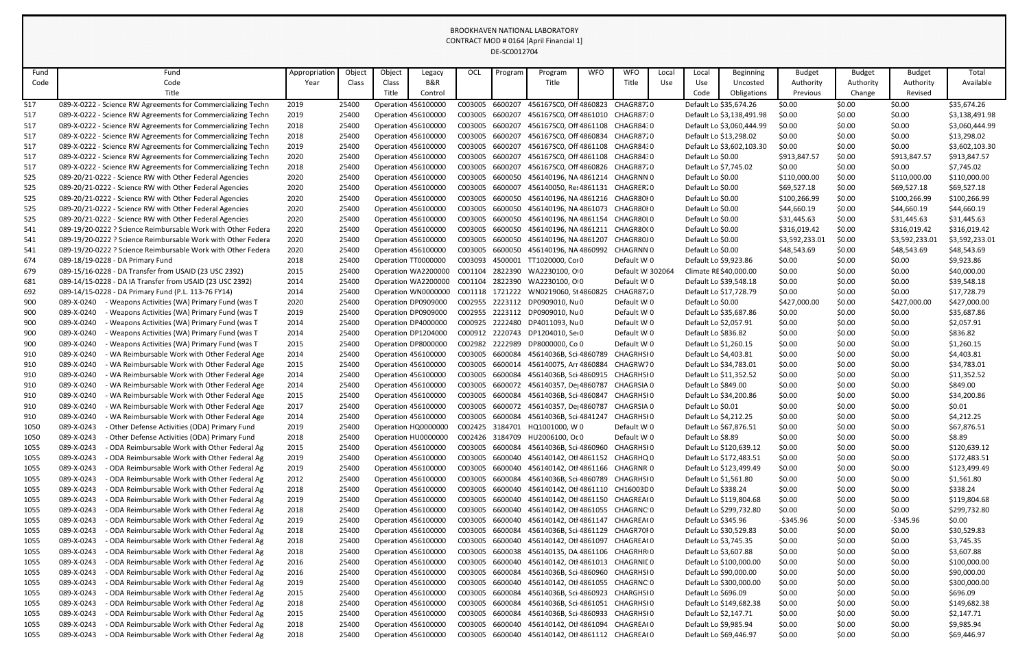| Fund | Fund                                                         | Appropriation | Object | Object                     | Legacy              | OCL             | Program | Program                           | <b>WFO</b> | <b>WFO</b>       | Local | Local                  | <b>Beginning</b>          | <b>Budget</b>  | <b>Budget</b> | <b>Budget</b>  | Total          |
|------|--------------------------------------------------------------|---------------|--------|----------------------------|---------------------|-----------------|---------|-----------------------------------|------------|------------------|-------|------------------------|---------------------------|----------------|---------------|----------------|----------------|
| Code | Code                                                         | Year          | Class  | Class                      | B&R                 |                 |         | Title                             |            | Title            | Use   | Use                    | Uncosted                  | Authority      | Authority     | Authority      | Available      |
|      | Title                                                        |               |        | Title                      | Control             |                 |         |                                   |            |                  |       | Code                   | Obligations               | Previous       | Change        | Revised        |                |
| 517  | 089-X-0222 - Science RW Agreements for Commercializing Techn | 2019          | 25400  | Operation 456100000        |                     | C003005         | 6600207 | 456167SC0, Off 4860823 CHAGR8720  |            |                  |       | Default Lo \$35,674.26 |                           | \$0.00         | \$0.00        | \$0.00         | \$35,674.26    |
| 517  | 089-X-0222 - Science RW Agreements for Commercializing Techn | 2019          | 25400  | <b>Operation 456100000</b> |                     | C003005         | 6600207 | 456167SC0, Off 4861010 CHAGR8730  |            |                  |       |                        | Default Lo \$3,138,491.98 | \$0.00         | \$0.00        | \$0.00         | \$3,138,491.98 |
| 517  | 089-X-0222 - Science RW Agreements for Commercializing Techn | 2018          | 25400  | <b>Operation 456100000</b> |                     | C003005         | 6600207 | 456167SC0, Off 4861108 CHAGR8430  |            |                  |       |                        | Default Lo \$3,060,444.99 | \$0.00         | \$0.00        | \$0.00         | \$3,060,444.99 |
| 517  | 089-X-0222 - Science RW Agreements for Commercializing Techn | 2018          | 25400  | <b>Operation 456100000</b> |                     | C003005         | 6600207 | 456167SC0, Off 4860834 CHAGR8720  |            |                  |       | Default Lo \$13,298.02 |                           | \$0.00         | \$0.00        | \$0.00         | \$13,298.02    |
| 517  | 089-X-0222 - Science RW Agreements for Commercializing Techn | 2019          | 25400  | <b>Operation 456100000</b> |                     | C003005         | 6600207 | 456167SC0, Off 4861108 CHAGR8430  |            |                  |       |                        | Default Lo \$3,602,103.30 | \$0.00         | \$0.00        | \$0.00         | \$3,602,103.30 |
| 517  | 089-X-0222 - Science RW Agreements for Commercializing Techn | 2020          | 25400  | <b>Operation 456100000</b> |                     | C003005         | 6600207 | 456167SC0, Off 4861108 CHAGR8430  |            |                  |       | Default Lo \$0.00      |                           | \$913,847.57   | \$0.00        | \$913,847.57   | \$913,847.57   |
| 517  | 089-X-0222 - Science RW Agreements for Commercializing Techn | 2018          | 25400  | <b>Operation 456100000</b> |                     | C003005         | 6600207 | 456167SC0, Off 4860826 CHAGR8720  |            |                  |       | Default Lo \$7,745.02  |                           | \$0.00         | \$0.00        | \$0.00         | \$7,745.02     |
| 525  | 089-20/21-0222 - Science RW with Other Federal Agencies      | 2020          | 25400  | <b>Operation 456100000</b> |                     | C003005         | 6600050 | 456140196, NA 4861214 CHAGRNN 0   |            |                  |       | Default Lo \$0.00      |                           | \$110,000.00   | \$0.00        | \$110,000.00   | \$110,000.00   |
| 525  | 089-20/21-0222 - Science RW with Other Federal Agencies      | 2020          | 25400  | <b>Operation 456100000</b> |                     | C003005         | 6600007 | 456140050, Res 4861131 CHAGRER20  |            |                  |       | Default Lo \$0.00      |                           | \$69,527.18    | \$0.00        | \$69,527.18    | \$69,527.18    |
| 525  | 089-20/21-0222 - Science RW with Other Federal Agencies      | 2020          | 25400  | <b>Operation 456100000</b> |                     | C003005         | 6600050 | 456140196, NA 4861216 CHAGR80I 0  |            |                  |       | Default Lo \$0.00      |                           | \$100,266.99   | \$0.00        | \$100,266.99   | \$100,266.99   |
| 525  | 089-20/21-0222 - Science RW with Other Federal Agencies      | 2020          | 25400  | <b>Operation 456100000</b> |                     | C003005         | 6600050 | 456140196, NA 4861073 CHAGR80I 0  |            |                  |       | Default Lo \$0.00      |                           | \$44,660.19    | \$0.00        | \$44,660.19    | \$44,660.19    |
| 525  | 089-20/21-0222 - Science RW with Other Federal Agencies      | 2020          | 25400  | <b>Operation 456100000</b> |                     | C003005         | 6600050 | 456140196, NA 4861154             |            | CHAGR80L0        |       | Default Lo \$0.00      |                           | \$31,445.63    | \$0.00        | \$31,445.63    | \$31,445.63    |
| 541  | 089-19/20-0222 ? Science Reimbursable Work with Other Federa | 2020          | 25400  | <b>Operation 456100000</b> |                     | C003005         | 6600050 | 456140196, NA 4861211 CHAGR80(0   |            |                  |       | Default Lo \$0.00      |                           | \$316,019.42   | \$0.00        | \$316,019.42   | \$316,019.42   |
| 541  | 089-19/20-0222 ? Science Reimbursable Work with Other Federa | 2020          | 25400  | <b>Operation 456100000</b> |                     | C003005         | 6600050 | 456140196, NA 4861207             |            | CHAGR80J 0       |       | Default Lo \$0.00      |                           | \$3,592,233.01 | \$0.00        | \$3,592,233.01 | \$3,592,233.01 |
| 541  | 089-19/20-0222 ? Science Reimbursable Work with Other Federa | 2020          | 25400  | <b>Operation 456100000</b> |                     | C003005         | 6600050 | 456140196, NA 4860992 CHAGRNN 0   |            |                  |       | Default Lo \$0.00      |                           | \$48,543.69    | \$0.00        | \$48,543.69    | \$48,543.69    |
| 674  | 089-18/19-0228 - DA Primary Fund                             | 2018          | 25400  | Operation TT0000000        |                     | C003093         | 4500001 | TT1020000, Coi 0                  |            | Default WI0      |       | Default Lo \$9,923.86  |                           | \$0.00         | \$0.00        | \$0.00         | \$9,923.86     |
| 679  | 089-15/16-0228 - DA Transfer from USAID (23 USC 2392)        | 2015          | 25400  |                            | Operation WA2200000 | C001104         | 2822390 | WA2230100, O 0                    |            | Default WI302064 |       | Climate RE \$40,000.00 |                           | \$0.00         | \$0.00        | \$0.00         | \$40,000.00    |
| 681  | 089-14/15-0228 - DA IA Transfer from USAID (23 USC 2392)     | 2014          | 25400  |                            | Operation WA2200000 | C001104         | 2822390 | WA2230100, O 0                    |            | Default WI0      |       | Default Lo \$39,548.18 |                           | \$0.00         | \$0.00        | \$0.00         | \$39,548.18    |
| 692  | 089-14/15-0228 - DA Primary Fund (P.L. 113-76 FY14)          | 2014          | 25400  |                            | Operation WN0000000 | C001118         | 1721222 | WN0219060, St 4860825             |            | CHAGR8720        |       | Default Lo \$17,728.79 |                           | \$0.00         | \$0.00        | \$0.00         | \$17,728.79    |
| 900  | 089-X-0240<br>- Weapons Activities (WA) Primary Fund (was T  | 2020          | 25400  |                            | Operation DP0909000 | C002955         | 2223112 | DP0909010, Nu0                    |            | Default WI0      |       | Default Lo \$0.00      |                           | \$427,000.00   | \$0.00        | \$427,000.00   | \$427,000.00   |
| 900  | 089-X-0240<br>Weapons Activities (WA) Primary Fund (was T    | 2019          | 25400  |                            | Operation DP0909000 | C002955         | 2223112 | DP0909010, Nu0                    |            | Default WI0      |       | Default Lo \$35,687.86 |                           | \$0.00         | \$0.00        | \$0.00         | \$35,687.86    |
| 900  | 089-X-0240<br>Weapons Activities (WA) Primary Fund (was T    | 2014          | 25400  |                            | Operation DP4000000 | C000925         | 2222480 | DP4011093, Nu0                    |            | Default WI0      |       | Default Lo \$2,057.91  |                           | \$0.00         | \$0.00        | \$0.00         | \$2,057.91     |
| 900  | 089-X-0240<br>Weapons Activities (WA) Primary Fund (was T    | 2014          | 25400  |                            | Operation DP1204000 | C000912         | 2220743 | DP1204010, Ser0                   |            | Default WI0      |       | Default Lo \$836.82    |                           | \$0.00         | \$0.00        | \$0.00         | \$836.82       |
| 900  | 089-X-0240<br>Weapons Activities (WA) Primary Fund (was T    | 2015          | 25400  | Operation DP8000000        |                     | C002982         | 2222989 | DP8000000, Co 0                   |            | Default WI0      |       | Default Lo \$1,260.15  |                           | \$0.00         | \$0.00        | \$0.00         | \$1,260.15     |
| 910  | 089-X-0240<br>WA Reimbursable Work with Other Federal Age    | 2014          | 25400  | <b>Operation 456100000</b> |                     | C003005         | 6600084 | 45614036B, Sci 4860789            |            | CHAGRHSI 0       |       | Default Lo \$4,403.81  |                           | \$0.00         | \$0.00        | \$0.00         | \$4,403.81     |
| 910  | 089-X-0240<br>WA Reimbursable Work with Other Federal Age    | 2015          | 25400  | <b>Operation 456100000</b> |                     | C003005         | 6600014 | 456140075, Arr 4860884            |            | CHAGRW70         |       | Default Lo \$34,783.01 |                           | \$0.00         | \$0.00        | \$0.00         | \$34,783.01    |
| 910  | 089-X-0240<br>- WA Reimbursable Work with Other Federal Age  | 2014          | 25400  | <b>Operation 456100000</b> |                     | C003005         | 6600084 | 45614036B, Sci 4860915 CHAGRHSI0  |            |                  |       | Default Lo \$11,352.52 |                           | \$0.00         | \$0.00        | \$0.00         | \$11,352.52    |
| 910  | - WA Reimbursable Work with Other Federal Age<br>089-X-0240  | 2014          | 25400  | Operation 456100000        |                     |                 | 6600072 | 456140357, De 4860787             |            | CHAGRSIA 0       |       | Default Lo \$849.00    |                           | \$0.00         | \$0.00        | \$0.00         | \$849.00       |
| 910  | 089-X-0240<br>WA Reimbursable Work with Other Federal Age    | 2015          | 25400  | <b>Operation 456100000</b> |                     | C003005         | 6600084 | 45614036B, Sci 4860847            |            | CHAGRHSI 0       |       | Default Lo \$34,200.86 |                           | \$0.00         | \$0.00        | \$0.00         | \$34,200.86    |
| 910  | 089-X-0240<br>WA Reimbursable Work with Other Federal Age    | 2017          | 25400  | <b>Operation 456100000</b> |                     | C003005 6600072 |         | 456140357, De 4860787             |            | CHAGRSIA 0       |       | Default Lo \$0.01      |                           | \$0.00         | \$0.00        | \$0.00         | \$0.01         |
| 910  | 089-X-0240<br>WA Reimbursable Work with Other Federal Age    | 2014          | 25400  |                            | Operation 456100000 | C003005         | 6600084 | 45614036B, Sci 4841247            |            | CHAGRHSI 0       |       | Default Lo \$4,212.25  |                           | \$0.00         | \$0.00        | \$0.00         | \$4,212.25     |
| 1050 | 089-X-0243<br>Other Defense Activities (ODA) Primary Fund    | 2019          | 25400  |                            | Operation HQ0000000 | C002425 3184701 |         | HQ1001000, W 0                    |            | Default WI0      |       | Default Lo \$67,876.51 |                           | \$0.00         | \$0.00        | \$0.00         | \$67,876.51    |
| 1050 | 089-X-0243<br>- Other Defense Activities (ODA) Primary Fund  | 2018          | 25400  |                            | Operation HU0000000 | C002426 3184709 |         | HU2006100, Oc 0                   |            | Default WI0      |       | Default Lo \$8.89      |                           | \$0.00         | \$0.00        | \$0.00         | \$8.89         |
| 1055 | 089-X-0243<br>- ODA Reimbursable Work with Other Federal Ag  | 2015          | 25400  | Operation 456100000        |                     | C003005         | 6600084 | 45614036B, Sci 4860960            |            | CHAGRHSI 0       |       |                        | Default Lo \$120,639.12   | \$0.00         | \$0.00        | \$0.00         | \$120,639.12   |
| 1055 | 089-X-0243<br>- ODA Reimbursable Work with Other Federal Ag  | 2019          | 25400  | <b>Operation 456100000</b> |                     | C003005 6600040 |         | 456140142, Otl 4861152 CHAGRHQ 0  |            |                  |       |                        | Default Lo \$172,483.51   | \$0.00         | \$0.00        | \$0.00         | \$172,483.51   |
| 1055 | 089-X-0243<br>ODA Reimbursable Work with Other Federal Ag    | 2019          | 25400  | <b>Operation 456100000</b> |                     | C003005         | 6600040 | 456140142, Otl 4861166 CHAGRNR 0  |            |                  |       |                        | Default Lo \$123,499.49   | \$0.00         | \$0.00        | \$0.00         | \$123,499.49   |
| 1055 | 089-X-0243<br>- ODA Reimbursable Work with Other Federal Ag  | 2012          | 25400  | <b>Operation 456100000</b> |                     | C003005         | 6600084 | 45614036B, Sci 4860789 CHAGRHSI0  |            |                  |       | Default Lo \$1,561.80  |                           | \$0.00         | \$0.00        | \$0.00         | \$1,561.80     |
| 1055 | 089-X-0243<br>ODA Reimbursable Work with Other Federal Ag    | 2018          | 25400  | Operation 456100000        |                     | C003005         | 6600040 | 456140142, Otl 4861110 CH16003D0  |            |                  |       | Default Lo \$338.24    |                           | \$0.00         | \$0.00        | \$0.00         | \$338.24       |
| 1055 | 089-X-0243<br>- ODA Reimbursable Work with Other Federal Ag  | 2019          | 25400  | Operation 456100000        |                     | C003005         | 6600040 | 456140142, Otl 4861150 CHAGREA(0  |            |                  |       |                        | Default Lo \$119,804.68   | \$0.00         | \$0.00        | \$0.00         | \$119,804.68   |
| 1055 | 089-X-0243<br>ODA Reimbursable Work with Other Federal Ag    | 2018          | 25400  | Operation 456100000        |                     | C003005         | 6600040 | 456140142, Otl 4861055 CHAGRNC: 0 |            |                  |       |                        | Default Lo \$299,732.80   | \$0.00         | \$0.00        | \$0.00         | \$299,732.80   |
| 1055 | 089-X-0243<br>ODA Reimbursable Work with Other Federal Ag    | 2019          | 25400  | Operation 456100000        |                     | C003005 6600040 |         | 456140142, Otl 4861147 CHAGREA(0  |            |                  |       | Default Lo \$345.96    |                           | $-5345.96$     | \$0.00        | $-$345.96$     | \$0.00         |
| 1055 | 089-X-0243<br>- ODA Reimbursable Work with Other Federal Ag  | 2018          | 25400  | <b>Operation 456100000</b> |                     | C003005         | 6600084 | 45614036B, Sci 4861129 CHAGR70F0  |            |                  |       | Default Lo \$30,529.83 |                           | \$0.00         | \$0.00        | \$0.00         | \$30,529.83    |
| 1055 | 089-X-0243<br>ODA Reimbursable Work with Other Federal Ag    | 2018          | 25400  | <b>Operation 456100000</b> |                     | C003005         | 6600040 | 456140142, Otl 4861097 CHAGREA(0  |            |                  |       | Default Lo \$3,745.35  |                           | \$0.00         | \$0.00        | \$0.00         | \$3,745.35     |
| 1055 | 089-X-0243<br>- ODA Reimbursable Work with Other Federal Ag  | 2018          | 25400  | <b>Operation 456100000</b> |                     | C003005         | 6600038 | 456140135, DA 4861106 CHAGRHRIO   |            |                  |       | Default Lo \$3,607.88  |                           | \$0.00         | \$0.00        | \$0.00         | \$3,607.88     |
| 1055 | 089-X-0243<br>- ODA Reimbursable Work with Other Federal Ag  | 2016          | 25400  | <b>Operation 456100000</b> |                     | C003005         | 6600040 | 456140142, Otl 4861013 CHAGRNIE 0 |            |                  |       |                        | Default Lo \$100,000.00   | \$0.00         | \$0.00        | \$0.00         | \$100,000.00   |
| 1055 | 089-X-0243<br>ODA Reimbursable Work with Other Federal Ag    | 2016          | 25400  | Operation 456100000        |                     | C003005 6600084 |         | 45614036B, Sci 4860960 CHAGRHSI0  |            |                  |       | Default Lo \$90,000.00 |                           | \$0.00         | \$0.00        | \$0.00         | \$90,000.00    |
| 1055 | 089-X-0243<br>- ODA Reimbursable Work with Other Federal Ag  | 2019          | 25400  | Operation 456100000        |                     | C003005         | 6600040 | 456140142, Otl 4861055 CHAGRNC: 0 |            |                  |       |                        | Default Lo \$300,000.00   | \$0.00         | \$0.00        | \$0.00         | \$300,000.00   |
| 1055 | 089-X-0243<br>ODA Reimbursable Work with Other Federal Ag    | 2015          | 25400  | <b>Operation 456100000</b> |                     | C003005         | 6600084 | 45614036B, Sci 4860923 CHARGHSI0  |            |                  |       | Default Lo \$696.09    |                           | \$0.00         | \$0.00        | \$0.00         | \$696.09       |
| 1055 | 089-X-0243<br>- ODA Reimbursable Work with Other Federal Ag  | 2018          | 25400  | Operation 456100000        |                     | C003005 6600084 |         | 45614036B, Sci 4861051 CHAGRHSI0  |            |                  |       |                        | Default Lo \$149,682.38   | \$0.00         | \$0.00        | \$0.00         | \$149,682.38   |
| 1055 | 089-X-0243<br>- ODA Reimbursable Work with Other Federal Ag  | 2015          | 25400  | <b>Operation 456100000</b> |                     | C003005         | 6600084 | 45614036B, Sci 4860933 CHAGRHSI0  |            |                  |       | Default Lo \$2,147.71  |                           | \$0.00         | \$0.00        | \$0.00         | \$2,147.71     |
| 1055 | 089-X-0243<br>- ODA Reimbursable Work with Other Federal Ag  | 2018          | 25400  | Operation 456100000        |                     | C003005         | 6600040 | 456140142, Otl 4861094 CHAGREA(0  |            |                  |       | Default Lo \$9,985.94  |                           | \$0.00         | \$0.00        | \$0.00         | \$9,985.94     |
| 1055 | - ODA Reimbursable Work with Other Federal Ag<br>089-X-0243  | 2018          | 25400  | Operation 456100000        |                     | C003005         | 6600040 | 456140142, Otl 4861112 CHAGREA(0  |            |                  |       | Default Lo \$69,446.97 |                           | \$0.00         | \$0.00        | \$0.00         | \$69,446.97    |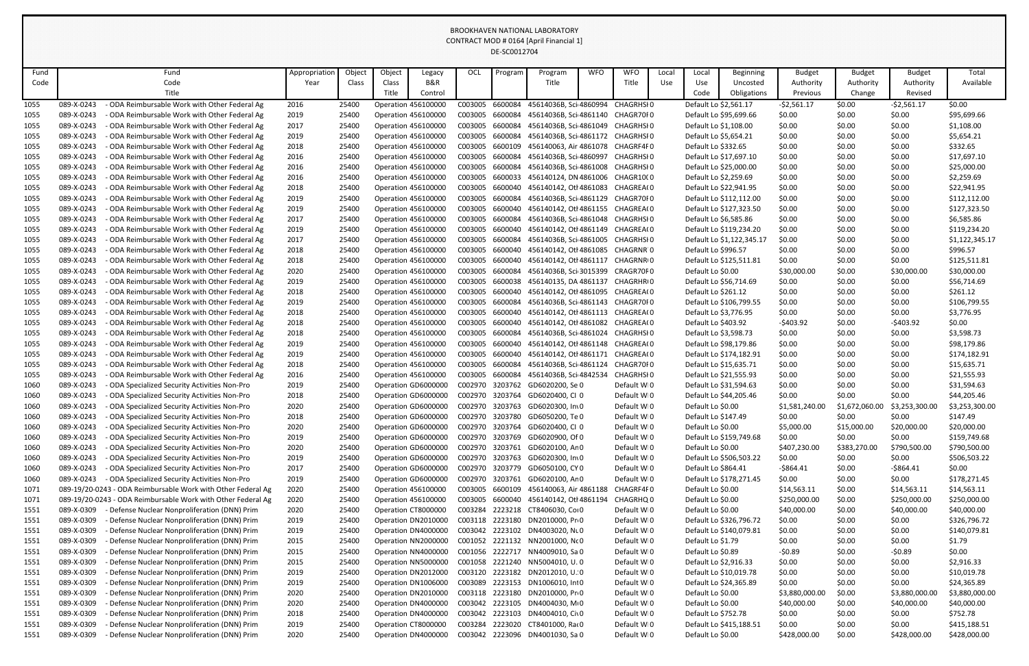| Fund |            | Fund                                                         | Appropriation | Object | Object                     | Legacy                     | OCL             | Program | Program                                  | <b>WFO</b> | <b>WFO</b>  | Local | Local                 | Beginning                 | <b>Budget</b>  | <b>Budget</b>  | <b>Budget</b>  | Total          |
|------|------------|--------------------------------------------------------------|---------------|--------|----------------------------|----------------------------|-----------------|---------|------------------------------------------|------------|-------------|-------|-----------------------|---------------------------|----------------|----------------|----------------|----------------|
| Code |            | Code                                                         | Year          | Class  | Class                      | B&R                        |                 |         | Title                                    |            | Title       | Use   | Use                   | Uncosted                  | Authority      | Authority      | Authority      | Available      |
|      |            | Title                                                        |               |        | Title                      | Control                    |                 |         |                                          |            |             |       | Code                  | Obligations               | Previous       | Change         | Revised        |                |
| 1055 | 089-X-0243 | ODA Reimbursable Work with Other Federal Ag                  | 2016          | 25400  | <b>Operation 456100000</b> |                            | C003005         | 6600084 | 45614036B, Sci 4860994                   |            | CHAGRHSI 0  |       | Default Lo \$2,561.17 |                           | $-52,561.17$   | \$0.00         | $-52,561.17$   | \$0.00         |
| 1055 | 089-X-0243 | - ODA Reimbursable Work with Other Federal Ag                | 2019          | 25400  | <b>Operation 456100000</b> |                            | C003005         | 6600084 | 45614036B, Sci 4861140 CHAGR70F0         |            |             |       |                       | Default Lo \$95,699.66    | \$0.00         | \$0.00         | \$0.00         | \$95,699.66    |
| 1055 | 089-X-0243 | - ODA Reimbursable Work with Other Federal Ag                | 2017          | 25400  | Operation 456100000        |                            | C003005         | 6600084 | 45614036B, Sci 4861049 CHAGRHSI0         |            |             |       | Default Lo \$1,108.00 |                           | \$0.00         | \$0.00         | \$0.00         | \$1,108.00     |
| 1055 | 089-X-0243 | ODA Reimbursable Work with Other Federal Ag                  | 2019          | 25400  | Operation 456100000        |                            | C003005         | 6600084 | 45614036B, Sci 4861172 CHAGRHSI0         |            |             |       | Default Lo \$5,654.21 |                           | \$0.00         | \$0.00         | \$0.00         | \$5,654.21     |
| 1055 | 089-X-0243 | - ODA Reimbursable Work with Other Federal Ag                | 2018          | 25400  | Operation 456100000        |                            | C003005         | 6600109 | 456140063, Air 4861078 CHAGRF4F0         |            |             |       | Default Lo \$332.65   |                           | \$0.00         | \$0.00         | \$0.00         | \$332.65       |
| 1055 | 089-X-0243 | - ODA Reimbursable Work with Other Federal Ag                | 2016          | 25400  | <b>Operation 456100000</b> |                            | C003005         | 6600084 | 45614036B, Sci 4860997 CHAGRHSI0         |            |             |       |                       | Default Lo \$17,697.10    | \$0.00         | \$0.00         | \$0.00         | \$17,697.10    |
| 1055 | 089-X-0243 | - ODA Reimbursable Work with Other Federal Ag                | 2016          | 25400  | Operation 456100000        |                            | C003005         | 6600084 | 45614036B, Sci 4861008 CHAGRHSI0         |            |             |       |                       | Default Lo \$25,000.00    | \$0.00         | \$0.00         | \$0.00         | \$25,000.00    |
| 1055 | 089-X-0243 | - ODA Reimbursable Work with Other Federal Ag                | 2016          | 25400  |                            | <b>Operation 456100000</b> | C003005         | 6600033 | 456140124, DN 4861006 CHAGR1000          |            |             |       | Default Lo \$2,259.69 |                           | \$0.00         | \$0.00         | \$0.00         | \$2,259.69     |
| 1055 | 089-X-0243 | ODA Reimbursable Work with Other Federal Ag                  | 2018          | 25400  | Operation 456100000        |                            | C003005         | 6600040 | 456140142, Otl 4861083 CHAGREA(0         |            |             |       |                       | Default Lo \$22,941.95    | \$0.00         | \$0.00         | \$0.00         | \$22,941.95    |
| 1055 | 089-X-0243 | - ODA Reimbursable Work with Other Federal Ag                | 2019          | 25400  | Operation 456100000        |                            | C003005         | 6600084 | 45614036B, Sci 4861129 CHAGR70F0         |            |             |       |                       | Default Lo \$112,112.00   | \$0.00         | \$0.00         | \$0.00         | \$112,112.00   |
| 1055 | 089-X-0243 | - ODA Reimbursable Work with Other Federal Ag                | 2019          | 25400  | <b>Operation 456100000</b> |                            | C003005         | 6600040 | 456140142, Otl 4861155 CHAGREA(0         |            |             |       |                       | Default Lo \$127,323.50   | \$0.00         | \$0.00         | \$0.00         | \$127,323.50   |
| 1055 | 089-X-0243 | - ODA Reimbursable Work with Other Federal Ag                | 2017          | 25400  | Operation 456100000        |                            | C003005         | 6600084 | 45614036B, Sci 4861048 CHAGRHSI0         |            |             |       | Default Lo \$6,585.86 |                           | \$0.00         | \$0.00         | \$0.00         | \$6,585.86     |
| 1055 | 089-X-0243 | - ODA Reimbursable Work with Other Federal Ag                | 2019          | 25400  | Operation 456100000        |                            | C003005         | 6600040 | 456140142, Otl 4861149 CHAGREA(0         |            |             |       |                       | Default Lo \$119,234.20   | \$0.00         | \$0.00         | \$0.00         | \$119,234.20   |
| 1055 | 089-X-0243 | - ODA Reimbursable Work with Other Federal Ag                | 2017          | 25400  | Operation 456100000        |                            | C003005         | 6600084 | 45614036B, Sci 4861005 CHAGRHSI0         |            |             |       |                       | Default Lo \$1,122,345.17 | \$0.00         | \$0.00         | \$0.00         | \$1,122,345.17 |
| 1055 | 089-X-0243 | - ODA Reimbursable Work with Other Federal Ag                | 2018          | 25400  | <b>Operation 456100000</b> |                            | C003005         | 6600040 | 456140142, Otl 4861085 CHAGRNR 0         |            |             |       | Default Lo \$996.57   |                           | \$0.00         | \$0.00         | \$0.00         | \$996.57       |
| 1055 | 089-X-0243 | - ODA Reimbursable Work with Other Federal Ag                | 2018          | 25400  | Operation 456100000        |                            | C003005         | 6600040 | 456140142, Otl 4861117 CHAGRNRIO         |            |             |       |                       | Default Lo \$125,511.81   | \$0.00         | \$0.00         | \$0.00         | \$125,511.81   |
| 1055 | 089-X-0243 | - ODA Reimbursable Work with Other Federal Ag                | 2020          | 25400  |                            | <b>Operation 456100000</b> | C003005         | 6600084 | 45614036B, Sci 3015399 CRAGR70F0         |            |             |       | Default Lo \$0.00     |                           | \$30,000.00    | \$0.00         | \$30,000.00    | \$30,000.00    |
| 1055 | 089-X-0243 | - ODA Reimbursable Work with Other Federal Ag                | 2019          | 25400  | Operation 456100000        |                            | C003005         | 6600038 | 456140135, DA 4861137 CHAGRHRIO          |            |             |       |                       | Default Lo \$56,714.69    | \$0.00         | \$0.00         | \$0.00         | \$56,714.69    |
| 1055 | 089-X-0243 | - ODA Reimbursable Work with Other Federal Ag                | 2018          | 25400  | Operation 456100000        |                            | C003005         | 6600040 | 456140142, Otl 4861095 CHAGREA(0         |            |             |       | Default Lo \$261.12   |                           | \$0.00         | \$0.00         | \$0.00         | \$261.12       |
| 1055 | 089-X-0243 | - ODA Reimbursable Work with Other Federal Ag                | 2019          | 25400  | Operation 456100000        |                            | C003005         | 6600084 | 45614036B, Sci 4861143 CHAGR70F0         |            |             |       |                       | Default Lo \$106,799.55   | \$0.00         | \$0.00         | \$0.00         | \$106,799.55   |
| 1055 | 089-X-0243 | - ODA Reimbursable Work with Other Federal Ag                | 2018          | 25400  | <b>Operation 456100000</b> |                            | C003005         | 6600040 | 456140142, Otl 4861113 CHAGREA(0         |            |             |       | Default Lo \$3,776.95 |                           | \$0.00         | \$0.00         | \$0.00         | \$3,776.95     |
| 1055 | 089-X-0243 | - ODA Reimbursable Work with Other Federal Ag                | 2018          | 25400  | Operation 456100000        |                            | C003005         | 6600040 | 456140142, Otl 4861082 CHAGREA(0         |            |             |       | Default Lo \$403.92   |                           | $-5403.92$     | \$0.00         | $-5403.92$     | \$0.00         |
| 1055 | 089-X-0243 | - ODA Reimbursable Work with Other Federal Ag                | 2018          | 25400  |                            | <b>Operation 456100000</b> | C003005         | 6600084 | 45614036B, Sci 4861024                   |            | CHAGRHSI 0  |       | Default Lo \$3,598.73 |                           | \$0.00         | \$0.00         | \$0.00         | \$3,598.73     |
| 1055 | 089-X-0243 | - ODA Reimbursable Work with Other Federal Ag                | 2019          | 25400  | Operation 456100000        |                            | C003005         | 6600040 | 456140142, Otl 4861148 CHAGREA(0         |            |             |       |                       | Default Lo \$98,179.86    | \$0.00         | \$0.00         | \$0.00         | \$98,179.86    |
| 1055 | 089-X-0243 | - ODA Reimbursable Work with Other Federal Ag                | 2019          | 25400  | <b>Operation 456100000</b> |                            | C003005         | 6600040 | 456140142, Otl 4861171 CHAGREA(0         |            |             |       |                       | Default Lo \$174,182.91   | \$0.00         | \$0.00         | \$0.00         | \$174,182.91   |
| 1055 | 089-X-0243 | - ODA Reimbursable Work with Other Federal Ag                | 2018          | 25400  | Operation 456100000        |                            | C003005         | 6600084 | 45614036B, Sci 4861124                   |            | CHAGR70F0   |       |                       | Default Lo \$15,635.71    | \$0.00         | \$0.00         | \$0.00         | \$15,635.71    |
| 1055 | 089-X-0243 | - ODA Reimbursable Work with Other Federal Ag                | 2016          | 25400  |                            | <b>Operation 456100000</b> | C003005         |         | 6600084 45614036B, Sci 4842534 CHAGRHSI0 |            |             |       |                       | Default Lo \$21,555.93    | \$0.00         | \$0.00         | \$0.00         | \$21,555.93    |
| 1060 | 089-X-0243 | ODA Specialized Security Activities Non-Pro                  | 2019          | 25400  |                            | Operation GD6000000        | C002970         | 3203762 | GD6020200, Se 0                          |            | Default WI0 |       |                       | Default Lo \$31,594.63    | \$0.00         | \$0.00         | \$0.00         | \$31,594.63    |
| 1060 | 089-X-0243 | ODA Specialized Security Activities Non-Pro                  | 2018          | 25400  |                            | Operation GD6000000        |                 |         | C002970 3203764 GD6020400, CI 0          |            | Default WI0 |       |                       | Default Lo \$44,205.46    | \$0.00         | \$0.00         | \$0.00         | \$44,205.46    |
| 1060 | 089-X-0243 | - ODA Specialized Security Activities Non-Pro                | 2020          | 25400  |                            | Operation GD6000000        | C002970         | 3203763 | GD6020300, In 0                          |            | Default WI0 |       | Default Lo \$0.00     |                           | \$1,581,240.00 | \$1,672,060.00 | \$3,253,300.00 | \$3,253,300.00 |
| 1060 | 089-X-0243 | - ODA Specialized Security Activities Non-Pro                | 2018          | 25400  |                            | Operation GD6000000        | C002970 3203780 |         | GD6050200, Te 0                          |            | Default WI0 |       | Default Lo \$147.49   |                           | \$0.00         | \$0.00         | \$0.00         | \$147.49       |
| 1060 | 089-X-0243 | ODA Specialized Security Activities Non-Pro                  | 2020          | 25400  |                            | Operation GD6000000        | C002970 3203764 |         | GD6020400, CI 0                          |            | Default WI0 |       | Default Lo \$0.00     |                           | \$5,000.00     | \$15,000.00    | \$20,000.00    | \$20,000.00    |
| 1060 | 089-X-0243 | - ODA Specialized Security Activities Non-Pro                | 2019          | 25400  |                            | Operation GD6000000        | C002970         | 3203769 | GD6020900, Of 0                          |            | Default WI0 |       |                       | Default Lo \$159,749.68   | \$0.00         | \$0.00         | \$0.00         | \$159,749.68   |
| 1060 | 089-X-0243 | - ODA Specialized Security Activities Non-Pro                | 2020          | 25400  |                            | Operation GD6000000        | C002970 3203761 |         | GD6020100, An 0                          |            | Default WI0 |       | Default Lo \$0.00     |                           | \$407,230.00   | \$383,270.00   | \$790,500.00   | \$790,500.00   |
| 1060 | 089-X-0243 | - ODA Specialized Security Activities Non-Pro                | 2019          | 25400  |                            | Operation GD6000000        | C002970         | 3203763 | GD6020300, Inv0                          |            | Default WI0 |       |                       | Default Lo \$506,503.22   | \$0.00         | \$0.00         | \$0.00         | \$506,503.22   |
| 1060 | 089-X-0243 | - ODA Specialized Security Activities Non-Pro                | 2017          | 25400  |                            | Operation GD6000000        | C002970         |         | 3203779 GD6050100, CY 0                  |            | Default WI0 |       | Default Lo \$864.41   |                           | $-$ \$864.41   | \$0.00         | $-$ \$864.41   | \$0.00         |
| 1060 | 089-X-0243 | - ODA Specialized Security Activities Non-Pro                | 2019          | 25400  |                            | Operation GD6000000        | C002970 3203761 |         | GD6020100, An 0                          |            | Default WI0 |       |                       | Default Lo \$178,271.45   | \$0.00         | \$0.00         | \$0.00         | \$178,271.45   |
| 1071 |            | 089-19/20-0243 - ODA Reimbursable Work with Other Federal Ag | 2020          | 25400  |                            | <b>Operation 456100000</b> | C003005         | 6600109 | 456140063, Air 4861188                   |            | CHAGRF4F0   |       | Default Lo \$0.00     |                           | \$14,563.11    | \$0.00         | \$14,563.11    | \$14,563.11    |
| 1071 |            | 089-19/20-0243 - ODA Reimbursable Work with Other Federal Ag | 2020          | 25400  |                            | <b>Operation 456100000</b> | C003005         | 6600040 | 456140142, Otl 4861194                   |            | CHAGRHQ 0   |       | Default Lo \$0.00     |                           | \$250,000.00   | \$0.00         | \$250,000.00   | \$250,000.00   |
| 1551 | 089-X-0309 | - Defense Nuclear Nonproliferation (DNN) Prim                | 2020          | 25400  |                            | Operation CT8000000        | C003284         |         | 2223218 CT8406030, Col0                  |            | Default WI0 |       | Default Lo \$0.00     |                           | \$40,000.00    | \$0.00         | \$40,000.00    | \$40,000.00    |
| 1551 | 089-X-0309 | - Defense Nuclear Nonproliferation (DNN) Prim                | 2019          | 25400  |                            | Operation DN2010000        | C003118         | 2223180 | DN2010000, Pr 0                          |            | Default WI0 |       |                       | Default Lo \$326,796.72   | \$0.00         | \$0.00         | \$0.00         | \$326,796.72   |
| 1551 | 089-X-0309 | Defense Nuclear Nonproliferation (DNN) Prim                  | 2019          | 25400  |                            | Operation DN4000000        | C003042         |         | 2223102 DN4003020, NLO                   |            | Default WI0 |       |                       | Default Lo \$140,079.81   | \$0.00         | \$0.00         | \$0.00         | \$140,079.81   |
| 1551 | 089-X-0309 | - Defense Nuclear Nonproliferation (DNN) Prim                | 2015          | 25400  |                            | Operation NN2000000        | C001052         |         | 2221132 NN2001000, Nc 0                  |            | Default WI0 |       | Default Lo \$1.79     |                           | \$0.00         | \$0.00         | \$0.00         | \$1.79         |
| 1551 | 089-X-0309 | Defense Nuclear Nonproliferation (DNN) Prim                  | 2015          | 25400  |                            | Operation NN4000000        |                 |         | C001056 2222717 NN4009010, Sa 0          |            | Default WI0 |       | Default Lo \$0.89     |                           | -\$0.89        | \$0.00         | $-50.89$       | \$0.00         |
| 1551 | 089-X-0309 | - Defense Nuclear Nonproliferation (DNN) Prim                | 2015          | 25400  |                            | Operation NN5000000        | C001058         |         | 2221240 NN5004010, U.O                   |            | Default WI0 |       | Default Lo \$2,916.33 |                           | \$0.00         | \$0.00         | \$0.00         | \$2,916.33     |
| 1551 | 089-X-0309 | Defense Nuclear Nonproliferation (DNN) Prim                  | 2019          | 25400  |                            | Operation DN2012000        | C003120         |         | 2223182 DN2012010, U. 0                  |            | Default WI0 |       |                       | Default Lo \$10,019.78    | \$0.00         | \$0.00         | \$0.00         | \$10,019.78    |
| 1551 | 089-X-0309 | Defense Nuclear Nonproliferation (DNN) Prim                  | 2019          | 25400  |                            | Operation DN1006000        | C003089         |         | 2223153 DN1006010, Int0                  |            | Default WI0 |       |                       | Default Lo \$24,365.89    | \$0.00         | \$0.00         | \$0.00         | \$24,365.89    |
| 1551 | 089-X-0309 | - Defense Nuclear Nonproliferation (DNN) Prim                | 2020          | 25400  |                            | Operation DN2010000        | C003118         |         | 2223180 DN2010000, Pr 0                  |            | Default WI0 |       | Default Lo \$0.00     |                           | \$3,880,000.00 | \$0.00         | \$3,880,000.00 | \$3,880,000.00 |
| 1551 | 089-X-0309 | Defense Nuclear Nonproliferation (DNN) Prim                  | 2020          | 25400  |                            | Operation DN4000000        | C003042         |         | 2223105 DN4004030, MI0                   |            | Default WI0 |       | Default Lo \$0.00     |                           | \$40,000.00    | \$0.00         | \$40,000.00    | \$40,000.00    |
| 1551 | 089-X-0309 | - Defense Nuclear Nonproliferation (DNN) Prim                | 2018          | 25400  |                            | Operation DN4000000        | C003042         |         | 2223103 DN4004010, Civ0                  |            | Default WI0 |       | Default Lo \$752.78   |                           | \$0.00         | \$0.00         | \$0.00         | \$752.78       |
| 1551 | 089-X-0309 | Defense Nuclear Nonproliferation (DNN) Prim                  | 2019          | 25400  |                            | Operation CT8000000        | C003284         |         | 2223020 CT8401000, Ra(0                  |            | Default WI0 |       |                       | Default Lo \$415,188.51   | \$0.00         | \$0.00         | \$0.00         | \$415,188.51   |
| 1551 | 089-X-0309 | Defense Nuclear Nonproliferation (DNN) Prim                  | 2020          | 25400  |                            | Operation DN4000000        | C003042         |         | 2223096 DN4001030, Sa 0                  |            | Default WI0 |       | Default Lo \$0.00     |                           | \$428,000.00   | \$0.00         | \$428,000.00   | \$428,000.00   |
|      |            |                                                              |               |        |                            |                            |                 |         |                                          |            |             |       |                       |                           |                |                |                |                |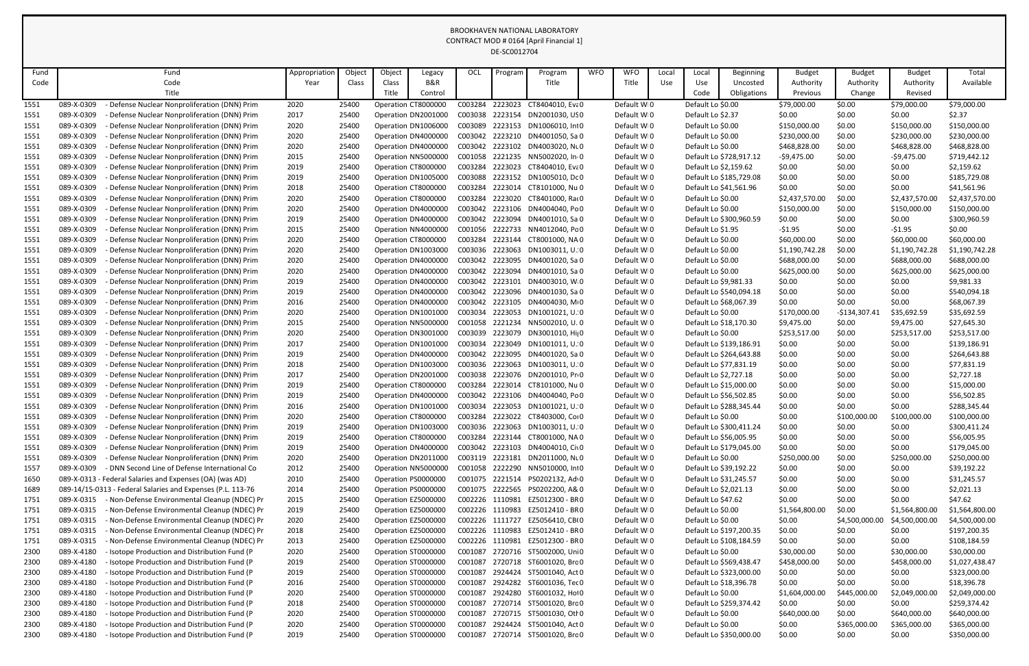| Fund |            | Fund                                                        | Appropriation | Object | Object | Legacy              | OCL             | Progran | Program                         | <b>WFO</b> | <b>WFO</b>  | Local | Local              | Beginning               | <b>Budget</b>  | <b>Budget</b>  | <b>Budget</b>  | Total          |
|------|------------|-------------------------------------------------------------|---------------|--------|--------|---------------------|-----------------|---------|---------------------------------|------------|-------------|-------|--------------------|-------------------------|----------------|----------------|----------------|----------------|
| Code |            | Code                                                        | Year          | Class  | Class  | B&R                 |                 |         | Title                           |            | Title       | Use   | Use                | Uncosted                | Authority      | Authority      | Authority      | Available      |
|      |            | Title                                                       |               |        | Title  | Control             |                 |         |                                 |            |             |       | Code               | Obligations             | Previous       | Change         | Revised        |                |
| 1551 | 089-X-0309 | Defense Nuclear Nonproliferation (DNN) Prim                 | 2020          | 25400  |        | Operation CT8000000 | C003284         | 2223023 | CT8404010, Eva0                 |            | Default WI0 |       | Default Lo \$0.00  |                         | \$79,000.00    | \$0.00         | \$79,000.00    | \$79,000.00    |
| 1551 | 089-X-0309 | Defense Nuclear Nonproliferation (DNN) Prim                 | 2017          | 25400  |        | Operation DN2001000 | C003038         | 2223154 | DN2001030, USO                  |            | Default WI0 |       | Default Lo \$2.37  |                         | \$0.00         | \$0.00         | \$0.00         | \$2.37         |
| 1551 | 089-X-0309 | Defense Nuclear Nonproliferation (DNN) Prim                 | 2020          | 25400  |        | Operation DN1006000 | C003089         | 2223153 | DN1006010, Int0                 |            | Default WI0 |       | Default Lo \$0.00  |                         | \$150,000.00   | \$0.00         | \$150,000.00   | \$150,000.00   |
| 1551 | 089-X-0309 | Defense Nuclear Nonproliferation (DNN) Prim                 | 2020          | 25400  |        | Operation DN4000000 | C003042         | 2223210 | DN4001050, Sa 0                 |            | Default WI0 |       | Default Lo \$0.00  |                         | \$230,000.00   | \$0.00         | \$230,000.00   | \$230,000.00   |
| 1551 | 089-X-0309 | - Defense Nuclear Nonproliferation (DNN) Prim               | 2020          | 25400  |        | Operation DN4000000 | C003042         | 2223102 | DN4003020, NLO                  |            | Default WI0 |       | Default Lo \$0.00  |                         | \$468,828.00   | \$0.00         | \$468,828.00   | \$468,828.00   |
| 1551 | 089-X-0309 | Defense Nuclear Nonproliferation (DNN) Prim                 | 2015          | 25400  |        | Operation NN5000000 | C001058         | 2221235 | NN5002020, In 0                 |            | Default WI0 |       |                    | Default Lo \$728,917.12 | $-59,475.00$   | \$0.00         | $-59,475.00$   | \$719,442.12   |
| 1551 | 089-X-0309 | Defense Nuclear Nonproliferation (DNN) Prim                 | 2019          | 25400  |        | Operation CT8000000 | C003284         | 2223023 | CT8404010, Eva0                 |            | Default WI0 |       |                    | Default Lo \$2,159.62   | \$0.00         | \$0.00         | \$0.00         | \$2,159.62     |
| 1551 | 089-X-0309 | Defense Nuclear Nonproliferation (DNN) Prim                 | 2019          | 25400  |        | Operation DN1005000 | C003088         | 2223152 | DN1005010, Dc 0                 |            | Default WI0 |       |                    | Default Lo \$185,729.08 | \$0.00         | \$0.00         | \$0.00         | \$185,729.08   |
| 1551 | 089-X-0309 | - Defense Nuclear Nonproliferation (DNN) Prim               | 2018          | 25400  |        | Operation CT8000000 | C003284         | 2223014 | CT8101000, Nu 0                 |            | Default WI0 |       |                    | Default Lo \$41,561.96  | \$0.00         | \$0.00         | \$0.00         | \$41,561.96    |
| 1551 | 089-X-0309 | Defense Nuclear Nonproliferation (DNN) Prim                 | 2020          | 25400  |        | Operation CT8000000 | C003284         | 2223020 | CT8401000, Ra(0                 |            | Default WI0 |       | Default Lo \$0.00  |                         | \$2,437,570.00 | \$0.00         | \$2,437,570.00 | \$2,437,570.00 |
| 1551 | 089-X-0309 | Defense Nuclear Nonproliferation (DNN) Prim                 | 2020          | 25400  |        | Operation DN4000000 | C003042         | 2223106 | DN4004040, Po 0                 |            | Default WI0 |       | Default Lo \$0.00  |                         | \$150,000.00   | \$0.00         | \$150,000.00   | \$150,000.00   |
| 1551 | 089-X-0309 | Defense Nuclear Nonproliferation (DNN) Prim                 | 2019          | 25400  |        | Operation DN4000000 | C003042         | 2223094 | DN4001010, Sa 0                 |            | Default WI0 |       |                    | Default Lo \$300,960.59 | \$0.00         | \$0.00         | \$0.00         | \$300,960.59   |
| 1551 | 089-X-0309 | Defense Nuclear Nonproliferation (DNN) Prim                 | 2015          | 25400  |        | Operation NN400000  | C001056         | 2222733 | NN4012040, Po 0                 |            | Default WI0 |       | Default Lo \$1.95  |                         | $-51.95$       | \$0.00         | $-51.95$       | \$0.00         |
| 1551 | 089-X-0309 | Defense Nuclear Nonproliferation (DNN) Prim                 | 2020          | 25400  |        | Operation CT8000000 | C003284         | 2223144 | CT8001000, NA 0                 |            | Default WI0 |       | Default Lo \$0.00  |                         | \$60,000.00    | \$0.00         | \$60,000.00    | \$60,000.00    |
| 1551 | 089-X-0309 | Defense Nuclear Nonproliferation (DNN) Prim                 | 2020          | 25400  |        | Operation DN1003000 | C003036         | 2223063 | DN1003011, U. 0                 |            | Default WI0 |       | Default Lo \$0.00  |                         | \$1,190,742.28 | \$0.00         | \$1,190,742.28 | \$1,190,742.28 |
| 1551 | 089-X-0309 | Defense Nuclear Nonproliferation (DNN) Prim                 | 2020          | 25400  |        | Operation DN4000000 | C003042         | 2223095 | DN4001020, Sa 0                 |            | Default WI0 |       | Default Lo \$0.00  |                         | \$688,000.00   | \$0.00         | \$688,000.00   | \$688,000.00   |
| 1551 | 089-X-0309 | Defense Nuclear Nonproliferation (DNN) Prim                 | 2020          | 25400  |        | Operation DN4000000 | C003042         | 2223094 | DN4001010, Sa 0                 |            | Default WI0 |       | Default Lo \$0.00  |                         | \$625,000.00   | \$0.00         | \$625,000.00   | \$625,000.00   |
| 1551 | 089-X-0309 | Defense Nuclear Nonproliferation (DNN) Prim                 | 2019          | 25400  |        | Operation DN400000C | C003042         | 2223101 | DN4003010, W 0                  |            | Default WI0 |       |                    | Default Lo \$9,981.33   | \$0.00         | \$0.00         | \$0.00         | \$9,981.33     |
| 1551 | 089-X-0309 | Defense Nuclear Nonproliferation (DNN) Prim                 | 2019          | 25400  |        | Operation DN4000000 | C003042         | 2223096 | DN4001030, Sa 0                 |            | Default WI0 |       |                    | Default Lo \$540,094.18 | \$0.00         | \$0.00         | \$0.00         | \$540,094.18   |
| 1551 | 089-X-0309 | Defense Nuclear Nonproliferation (DNN) Prim                 | 2016          | 25400  |        | Operation DN4000000 | C003042         | 2223105 | DN4004030, M+0                  |            | Default WI0 |       |                    | Default Lo \$68,067.39  | \$0.00         | \$0.00         | \$0.00         | \$68,067.39    |
| 1551 | 089-X-0309 | - Defense Nuclear Nonproliferation (DNN) Prim               | 2020          | 25400  |        | Operation DN1001000 | C003034         | 2223053 | DN1001021, U. 0                 |            | Default WI0 |       | Default Lo \$0.00  |                         | \$170,000.00   | -\$134,307.41  | \$35,692.59    | \$35,692.59    |
| 1551 | 089-X-0309 | Defense Nuclear Nonproliferation (DNN) Prim                 | 2015          | 25400  |        | Operation NN5000000 | C001058         | 2221234 | NN5002010, U.O                  |            | Default WI0 |       |                    | Default Lo \$18,170.30  | \$9,475.00     | \$0.00         | \$9,475.00     | \$27,645.30    |
| 1551 | 089-X-0309 | Defense Nuclear Nonproliferation (DNN) Prim                 | 2020          | 25400  |        | Operation DN3001000 | C003039         | 2223079 | DN3001010, Hi <sub>1</sub> 0    |            | Default WI0 |       | Default Lo \$0.00  |                         | \$253,517.00   | \$0.00         | \$253,517.00   | \$253,517.00   |
| 1551 | 089-X-0309 | Defense Nuclear Nonproliferation (DNN) Prim                 | 2017          | 25400  |        | Operation DN1001000 | C003034         | 2223049 | DN1001011, U.O                  |            | Default WI0 |       |                    | Default Lo \$139,186.91 | \$0.00         | \$0.00         | \$0.00         | \$139,186.91   |
| 1551 | 089-X-0309 | Defense Nuclear Nonproliferation (DNN) Prim                 | 2019          | 25400  |        | Operation DN4000000 | C003042         | 2223095 | DN4001020, Sa 0                 |            | Default WI0 |       |                    | Default Lo \$264,643.88 | \$0.00         | \$0.00         | \$0.00         | \$264,643.88   |
| 1551 | 089-X-0309 | Defense Nuclear Nonproliferation (DNN) Prim                 | 2018          | 25400  |        | Operation DN1003000 | C003036         | 2223063 | DN1003011, U. 0                 |            | Default WI0 |       |                    | Default Lo \$77,831.19  | \$0.00         | \$0.00         | \$0.00         | \$77,831.19    |
| 1551 | 089-X-0309 | Defense Nuclear Nonproliferation (DNN) Prim                 | 2017          | 25400  |        | Operation DN2001000 | C003038         |         | 2223076 DN2001010, Pri0         |            | Default WI0 |       |                    | Default Lo \$2,727.18   | \$0.00         | \$0.00         | \$0.00         | \$2,727.18     |
| 1551 | 089-X-0309 | Defense Nuclear Nonproliferation (DNN) Prim                 | 2019          | 25400  |        | Operation CT8000000 | C003284         |         | 2223014 CT8101000, Nu 0         |            | Default WI0 |       |                    | Default Lo \$15,000.00  | \$0.00         | \$0.00         | \$0.00         | \$15,000.00    |
| 1551 | 089-X-0309 | - Defense Nuclear Nonproliferation (DNN) Prim               | 2019          | 25400  |        | Operation DN4000000 | C003042         |         | 2223106 DN4004040, Po0          |            | Default WI0 |       |                    | Default Lo \$56,502.85  | \$0.00         | \$0.00         | \$0.00         | \$56,502.85    |
| 1551 | 089-X-0309 | Defense Nuclear Nonproliferation (DNN) Prim                 | 2016          | 25400  |        | Operation DN1001000 | C003034         |         | 2223053 DN1001021, U. 0         |            | Default WI0 |       |                    | Default Lo \$288,345.44 | \$0.00         | \$0.00         | \$0.00         | \$288,345.44   |
| 1551 | 089-X-0309 | - Defense Nuclear Nonproliferation (DNN) Prim               | 2020          | 25400  |        | Operation CT8000000 | C003284         | 2223022 | CT8403000, Coi 0                |            | Default WI0 |       | Default Lo \$0.00  |                         | \$0.00         | \$100,000.00   | \$100,000.00   | \$100,000.00   |
| 1551 | 089-X-0309 | Defense Nuclear Nonproliferation (DNN) Prim                 | 2019          | 25400  |        | Operation DN1003000 | C003036         | 2223063 | DN1003011, U.O                  |            | Default WI0 |       |                    | Default Lo \$300,411.24 | \$0.00         | \$0.00         | \$0.00         | \$300,411.24   |
| 1551 | 089-X-0309 | - Defense Nuclear Nonproliferation (DNN) Prim               | 2019          | 25400  |        | Operation CT8000000 | C003284         | 2223144 | CT8001000, NA 0                 |            | Default WI0 |       |                    | Default Lo \$56,005.95  | \$0.00         | \$0.00         | \$0.00         | \$56,005.95    |
| 1551 | 089-X-0309 | - Defense Nuclear Nonproliferation (DNN) Prim               | 2019          | 25400  |        | Operation DN4000000 | C003042         |         | 2223103 DN4004010, Civ0         |            | Default WI0 |       |                    | Default Lo \$179,045.00 | \$0.00         | \$0.00         | \$0.00         | \$179,045.00   |
| 1551 | 089-X-0309 | - Defense Nuclear Nonproliferation (DNN) Prim               | 2020          | 25400  |        | Operation DN2011000 | C003119         |         | 2223181 DN2011000, NLO          |            | Default WI0 |       | Default Lo \$0.00  |                         | \$250,000.00   | \$0.00         | \$250,000.00   | \$250,000.00   |
| 1557 | 089-X-0309 | - DNN Second Line of Defense International Co               | 2012          | 25400  |        | Operation NN5000000 | C001058         | 2222290 | NN5010000, In10                 |            | Default WI0 |       |                    | Default Lo \$39,192.22  | \$0.00         | \$0.00         | \$0.00         | \$39,192.22    |
| 1650 |            | 089-X-0313 - Federal Salaries and Expenses (OA) (was AD)    | 2010          | 25400  |        | Operation PS0000000 | C001075         |         | 2221514 PS0202132, Ad 0         |            | Default WI0 |       |                    | Default Lo \$31,245.57  | \$0.00         | \$0.00         | \$0.00         | \$31,245.57    |
| 1689 |            | 089-14/15-0313 - Federal Salaries and Expenses (P.L. 113-76 | 2014          | 25400  |        | Operation PS000000C | C001075         |         | 2222565 PS0202200, A& 0         |            | Default WI0 |       |                    | Default Lo \$2,021.13   | \$0.00         | \$0.00         | \$0.00         | \$2,021.13     |
| 1751 | 089-X-0315 | - Non-Defense Environmental Cleanup (NDEC) Pr               | 2015          | 25400  |        | Operation EZ5000000 | C002226 1110981 |         | EZ5012300 - BRO                 |            | Default WI0 |       | Default Lo \$47.62 |                         | \$0.00         | \$0.00         | \$0.00         | \$47.62        |
| 1751 | 089-X-0315 | Non-Defense Environmental Cleanup (NDEC) Pr                 | 2019          | 25400  |        | Operation EZ5000000 |                 |         | C002226 1110983 EZ5012410 - BRO |            | Default WI0 |       | Default Lo \$0.00  |                         | \$1,564,800.00 | \$0.00         | \$1,564,800.00 | \$1,564,800.00 |
| 1751 | 089-X-0315 | - Non-Defense Environmental Cleanup (NDEC) Pr               | 2020          | 25400  |        | Operation EZ5000000 | C002226 1111727 |         | EZ5056410, CB(0                 |            | Default WI0 |       | Default Lo \$0.00  |                         | \$0.00         | \$4,500,000.00 | \$4,500,000.00 | \$4,500,000.00 |
| 1751 | 089-X-0315 | Non-Defense Environmental Cleanup (NDEC) Pr                 | 2018          | 25400  |        | Operation EZ5000000 | C002226 1110983 |         | EZ5012410 - BRO                 |            | Default WI0 |       |                    | Default Lo \$197,200.35 | \$0.00         | \$0.00         | \$0.00         | \$197,200.35   |
| 1751 | 089-X-0315 | Non-Defense Environmental Cleanup (NDEC) Pr                 | 2013          | 25400  |        | Operation EZ5000000 | C002226 1110981 |         | EZ5012300 - BRO                 |            | Default WI0 |       |                    | Default Lo \$108,184.59 | \$0.00         | \$0.00         | \$0.00         | \$108,184.59   |
| 2300 | 089-X-4180 | - Isotope Production and Distribution Fund (P               | 2020          | 25400  |        | Operation ST0000000 | C001087         |         | 2720716 ST5002000, Uni0         |            | Default WI0 |       | Default Lo \$0.00  |                         | \$30,000.00    | \$0.00         | \$30,000.00    | \$30,000.00    |
| 2300 | 089-X-4180 | Isotope Production and Distribution Fund (P                 | 2019          | 25400  |        | Operation ST0000000 | C001087         |         | 2720718 ST6001020, Brc 0        |            | Default WI0 |       |                    | Default Lo \$569,438.47 | \$458,000.00   | \$0.00         | \$458,000.00   | \$1,027,438.47 |
| 2300 | 089-X-4180 | Isotope Production and Distribution Fund (P                 | 2019          | 25400  |        | Operation ST0000000 | C001087         |         | 2924424 ST5001040, Act 0        |            | Default WI0 |       |                    | Default Lo \$323,000.00 | \$0.00         | \$0.00         | \$0.00         | \$323,000.00   |
| 2300 | 089-X-4180 | Isotope Production and Distribution Fund (P                 | 2016          | 25400  |        | Operation ST0000000 | C001087         |         | 2924282 ST6001036, Tec 0        |            | Default WI0 |       |                    | Default Lo \$18,396.78  | \$0.00         | \$0.00         | \$0.00         | \$18,396.78    |
| 2300 | 089-X-4180 | Isotope Production and Distribution Fund (P                 | 2020          | 25400  |        | Operation ST0000000 | C001087         | 2924280 | ST6001032, Hol0                 |            | Default WI0 |       | Default Lo \$0.00  |                         | \$1,604,000.00 | \$445,000.00   | \$2,049,000.00 | \$2,049,000.00 |
| 2300 | 089-X-4180 | - Isotope Production and Distribution Fund (P               | 2018          | 25400  |        | Operation ST0000000 | C001087         |         | 2720714 ST5001020, Brc 0        |            | Default WI0 |       |                    | Default Lo \$259,374.42 | \$0.00         | \$0.00         | \$0.00         | \$259,374.42   |
| 2300 | 089-X-4180 | Isotope Production and Distribution Fund (P                 | 2020          | 25400  |        | Operation ST0000000 | C001087         |         | 2720715 ST5001030, Otl 0        |            | Default WI0 |       | Default Lo \$0.00  |                         | \$640,000.00   | \$0.00         | \$640,000.00   | \$640,000.00   |
| 2300 | 089-X-4180 | - Isotope Production and Distribution Fund (P               | 2020          | 25400  |        | Operation ST0000000 | C001087         |         | 2924424 ST5001040, Act 0        |            | Default WI0 |       | Default Lo \$0.00  |                         | \$0.00         | \$365,000.00   | \$365,000.00   | \$365,000.00   |
| 2300 | 089-X-4180 | - Isotope Production and Distribution Fund (P               | 2019          | 25400  |        | Operation ST0000000 | C001087         |         | 2720714 ST5001020, Brc 0        |            | Default WI0 |       |                    | Default Lo \$350,000.00 | \$0.00         | \$0.00         | \$0.00         | \$350,000.00   |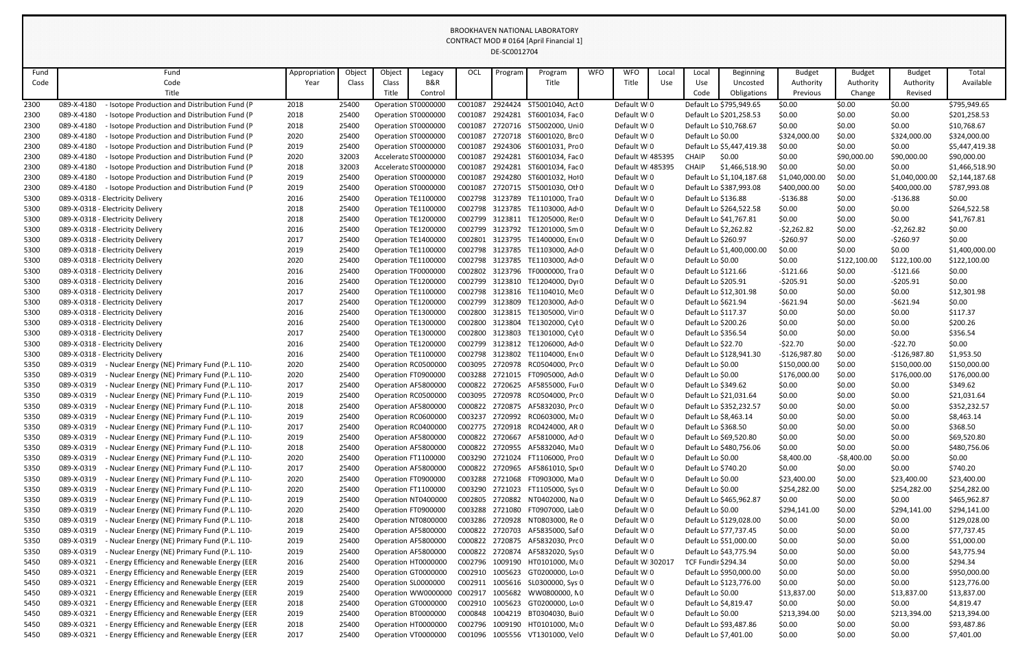| Fund | Fund                                                        | Appropriation | Object | Object               | Legacy              | OCL             | Program | Program                          | <b>WFO</b> | <b>WFO</b>       | Local | Local                      | <b>Beginning</b>          | <b>Budget</b>  | <b>Budget</b> | <b>Budget</b>  | Total          |
|------|-------------------------------------------------------------|---------------|--------|----------------------|---------------------|-----------------|---------|----------------------------------|------------|------------------|-------|----------------------------|---------------------------|----------------|---------------|----------------|----------------|
| Code | Code                                                        | Year          | Class  | Class                | B&R                 |                 |         | Title                            |            | Title            | Use   | Use                        | Uncosted                  | Authority      | Authority     | Authority      | Available      |
|      | Title                                                       |               |        | Title                | Control             |                 |         |                                  |            |                  |       | Code                       | Obligations               | Previous       | Change        | Revised        |                |
| 2300 | Isotope Production and Distribution Fund (P<br>089-X-4180   | 2018          | 25400  | Operation ST0000000  |                     | C001087         |         | 2924424 ST5001040, Act 0         |            | Default WI0      |       |                            | Default Lo \$795,949.65   | \$0.00         | \$0.00        | \$0.00         | \$795,949.65   |
| 2300 | 089-X-4180<br>- Isotope Production and Distribution Fund (P | 2018          | 25400  | Operation ST0000000  |                     | C001087         |         | 2924281 ST6001034, Fac 0         |            | Default WI0      |       |                            | Default Lo \$201,258.53   | \$0.00         | \$0.00        | \$0.00         | \$201,258.53   |
| 2300 | 089-X-4180<br>Isotope Production and Distribution Fund (P   | 2018          | 25400  | Operation ST0000000  |                     | C001087         |         | 2720716 ST5002000, Uni0          |            | Default WIO      |       |                            | Default Lo \$10,768.67    | \$0.00         | \$0.00        | \$0.00         | \$10,768.67    |
| 2300 | 089-X-4180<br>Isotope Production and Distribution Fund (P   | 2020          | 25400  | Operation ST0000000  |                     | C001087         |         | 2720718 ST6001020, Brc 0         |            | Default WIO      |       | Default Lo \$0.00          |                           | \$324,000.00   | \$0.00        | \$324,000.00   | \$324,000.00   |
| 2300 | 089-X-4180<br>Isotope Production and Distribution Fund (P   | 2019          | 25400  | Operation ST0000000  |                     | C001087         |         | 2924306 ST6001031, Prc 0         |            | Default WI0      |       |                            | Default Lo \$5,447,419.38 | \$0.00         | \$0.00        | \$0.00         | \$5,447,419.38 |
| 2300 | 089-X-4180<br>- Isotope Production and Distribution Fund (P | 2020          | 32003  | Accelerato ST0000000 |                     | C001087         |         | 2924281 ST6001034, Fac 0         |            | Default WI485395 |       | <b>CHAIP</b>               | \$0.00                    | \$0.00         | \$90,000.00   | \$90,000.00    | \$90,000.00    |
| 2300 | 089-X-4180<br>- Isotope Production and Distribution Fund (P | 2018          | 32003  | Accelerato ST0000000 |                     | C001087         |         | 2924281 ST6001034, Fac 0         |            | Default WI485395 |       | <b>CHAIP</b>               | \$1,466,518.90            | \$0.00         | \$0.00        | \$0.00         | \$1,466,518.90 |
| 2300 | 089-X-4180<br>- Isotope Production and Distribution Fund (P | 2019          | 25400  | Operation ST0000000  |                     | C001087         |         | 2924280 ST6001032, Hol0          |            | Default WI0      |       |                            | Default Lo \$1,104,187.68 | \$1,040,000.00 | \$0.00        | \$1,040,000.00 | \$2,144,187.68 |
| 2300 | 089-X-4180<br>- Isotope Production and Distribution Fund (P | 2019          | 25400  | Operation ST0000000  |                     | C001087         |         | 2720715 ST5001030, Otl 0         |            | Default WIO      |       |                            | Default Lo \$387,993.08   | \$400,000.00   | \$0.00        | \$400,000.00   | \$787,993.08   |
| 5300 | 089-X-0318 - Electricity Delivery                           | 2016          | 25400  | Operation TE110000C  |                     |                 |         | C002798 3123789 TE1101000, Tra0  |            | Default WI0      |       | Default Lo \$136.88        |                           | $-5136.88$     | \$0.00        | $-$136.88$     | \$0.00         |
| 5300 | 089-X-0318 - Electricity Delivery                           | 2018          | 25400  | Operation TE1100000  |                     |                 |         | C002798 3123785 TE1103000, Ad 0  |            | Default WIO      |       |                            | Default Lo \$264,522.58   | \$0.00         | \$0.00        | \$0.00         | \$264,522.58   |
| 5300 | 089-X-0318 - Electricity Delivery                           | 2018          | 25400  | Operation TE1200000  |                     | C002799         |         | 3123811 TE1205000, Res0          |            | Default WI0      |       |                            | Default Lo \$41,767.81    | \$0.00         | \$0.00        | \$0.00         | \$41,767.81    |
| 5300 | 089-X-0318 - Electricity Delivery                           | 2016          | 25400  | Operation TE1200000  |                     |                 |         | C002799 3123792 TE1201000, Sm 0  |            | Default WIO      |       |                            | Default Lo \$2,262.82     | $-52,262.82$   | \$0.00        | $-52,262.82$   | \$0.00         |
| 5300 | 089-X-0318 - Electricity Delivery                           | 2017          | 25400  | Operation TE1400000  |                     | C002801         |         | 3123795 TE1400000, Ent0          |            | Default WIO      |       | Default Lo \$260.97        |                           | $-5260.97$     | \$0.00        | $-5260.97$     | \$0.00         |
| 5300 | 089-X-0318 - Electricity Delivery                           | 2019          | 25400  | Operation TE1100000  |                     |                 |         | C002798 3123785 TE1103000, Ad 0  |            | Default WI0      |       |                            | Default Lo \$1,400,000.00 | \$0.00         | \$0.00        | \$0.00         | \$1,400,000.00 |
| 5300 | 089-X-0318 - Electricity Delivery                           | 2020          | 25400  | Operation TE1100000  |                     |                 |         | C002798 3123785 TE1103000, Ad 0  |            | Default WIO      |       | Default Lo \$0.00          |                           | \$0.00         | \$122,100.00  | \$122,100.00   | \$122,100.00   |
| 5300 | 089-X-0318 - Electricity Delivery                           | 2016          | 25400  | Operation TF0000000  |                     | C002802         |         | 3123796 TF0000000, Tra 0         |            | Default WIO      |       | Default Lo \$121.66        |                           | $-5121.66$     | \$0.00        | $-$121.66$     | \$0.00         |
| 5300 | 089-X-0318 - Electricity Delivery                           | 2016          | 25400  | Operation TE1200000  |                     |                 |         | C002799 3123810 TE1204000, Dyi0  |            | Default WIO      |       | Default Lo \$205.91        |                           | $-5205.91$     | \$0.00        | $-5205.91$     | \$0.00         |
| 5300 | 089-X-0318 - Electricity Delivery                           | 2017          | 25400  | Operation TE1100000  |                     | C002798         |         | 3123816 TE1104010, Mc0           |            | Default WIO      |       |                            | Default Lo \$12,301.98    | \$0.00         | \$0.00        | \$0.00         | \$12,301.98    |
| 5300 | 089-X-0318 - Electricity Delivery                           | 2017          | 25400  | Operation TE120000C  |                     | C002799         |         | 3123809 TE1203000, Ad 0          |            | Default WI0      |       | Default Lo \$621.94        |                           | $-5621.94$     | \$0.00        | $-5621.94$     | \$0.00         |
| 5300 | 089-X-0318 - Electricity Delivery                           | 2016          | 25400  | Operation TE130000C  |                     | C002800         |         | 3123815 TE1305000, Vir 0         |            | Default WI0      |       | Default Lo \$117.37        |                           | \$0.00         | \$0.00        | \$0.00         | \$117.37       |
| 5300 | 089-X-0318 - Electricity Delivery                           | 2016          | 25400  | Operation TE1300000  |                     | C002800         |         | 3123804 TE1302000, Cyl 0         |            | Default WI0      |       | Default Lo \$200.26        |                           | \$0.00         | \$0.00        | \$0.00         | \$200.26       |
| 5300 | 089-X-0318 - Electricity Delivery                           | 2017          | 25400  | Operation TE1300000  |                     | C002800         |         | 3123803 TE1301000, Cyl 0         |            | Default WIO      |       | Default Lo \$356.54        |                           | \$0.00         | \$0.00        | \$0.00         | \$356.54       |
| 5300 | 089-X-0318 - Electricity Delivery                           | 2016          | 25400  | Operation TE120000C  |                     | C002799         |         | 3123812 TE1206000, Ad 0          |            | Default WIO      |       | Default Lo \$22.70         |                           | $-522.70$      | \$0.00        | $-522.70$      | \$0.00         |
| 5300 | 089-X-0318 - Electricity Delivery                           | 2016          | 25400  | Operation TE1100000  |                     | C002798         |         | 3123802 TE1104000, Ent0          |            | Default WI0      |       |                            | Default Lo \$128,941.30   | $-$126,987.80$ | \$0.00        | $-$126,987.80$ | \$1,953.50     |
| 5350 | 089-X-0319 - Nuclear Energy (NE) Primary Fund (P.L. 110-    | 2020          | 25400  |                      | Operation RC0500000 | C003095         | 2720978 | RC0504000, Prc 0                 |            | Default WI0      |       | Default Lo \$0.00          |                           | \$150,000.00   | \$0.00        | \$150,000.00   | \$150,000.00   |
| 5350 | 089-X-0319 - Nuclear Energy (NE) Primary Fund (P.L. 110-    | 2020          | 25400  |                      | Operation FT0900000 |                 |         | C003288 2721015 FT0905000, Ad 0  |            | Default WI0      |       | Default Lo \$0.00          |                           | \$176,000.00   | \$0.00        | \$176,000.00   | \$176,000.00   |
| 5350 | Nuclear Energy (NE) Primary Fund (P.L. 110-<br>089-X-0319   | 2017          | 25400  | Operation AF5800000  |                     | C000822         | 2720625 | AF5855000, Fu(0                  |            | Default WI0      |       | Default Lo \$349.62        |                           | \$0.00         | \$0.00        | \$0.00         | \$349.62       |
| 5350 | 089-X-0319<br>- Nuclear Energy (NE) Primary Fund (P.L. 110- | 2019          | 25400  |                      | Operation RC0500000 | C003095         | 2720978 | RC0504000, Prc 0                 |            | Default WI0      |       |                            | Default Lo \$21,031.64    | \$0.00         | \$0.00        | \$0.00         | \$21,031.64    |
| 5350 | 089-X-0319<br>Nuclear Energy (NE) Primary Fund (P.L. 110-   | 2018          | 25400  |                      | Operation AF5800000 |                 |         | C000822 2720875 AF5832030, Prc 0 |            | Default WI0      |       |                            | Default Lo \$352,232.57   | \$0.00         | \$0.00        | \$0.00         | \$352,232.57   |
| 5350 | 089-X-0319<br>Nuclear Energy (NE) Primary Fund (P.L. 110-   | 2019          | 25400  |                      | Operation RC0600000 |                 |         | C003237 2720992 RC0603000, Ma0   |            | Default WI0      |       |                            | Default Lo \$8,463.14     | \$0.00         | \$0.00        | \$0.00         | \$8,463.14     |
| 5350 | 089-X-0319<br>Nuclear Energy (NE) Primary Fund (P.L. 110-   | 2017          | 25400  |                      | Operation RC0400000 | C002775         | 2720918 | RC0424000, AR 0                  |            | Default WI0      |       | Default Lo \$368.50        |                           | \$0.00         | \$0.00        | \$0.00         | \$368.50       |
| 5350 | 089-X-0319<br>Nuclear Energy (NE) Primary Fund (P.L. 110-   | 2019          | 25400  | Operation AF5800000  |                     |                 |         | C000822 2720667 AF5810000, Ad 0  |            | Default WI0      |       |                            | Default Lo \$69,520.80    | \$0.00         | \$0.00        | \$0.00         | \$69,520.80    |
| 5350 | 089-X-0319<br>- Nuclear Energy (NE) Primary Fund (P.L. 110- | 2018          | 25400  | Operation AF5800000  |                     | C000822         | 2720955 | AF5832040, Ma0                   |            | Default WIO      |       |                            | Default Lo \$480,756.06   | \$0.00         | \$0.00        | \$0.00         | \$480,756.06   |
| 5350 | 089-X-0319<br>Nuclear Energy (NE) Primary Fund (P.L. 110-   | 2020          | 25400  | Operation FT1100000  |                     | C003290         | 2721024 | FT1106000, Prc 0                 |            | Default WI0      |       | Default Lo \$0.00          |                           | \$8,400.00     | $-58,400.00$  | \$0.00         | \$0.00         |
| 5350 | 089-X-0319<br>Nuclear Energy (NE) Primary Fund (P.L. 110-   | 2017          | 25400  | Operation AF5800000  |                     |                 |         | C000822 2720965 AF5861010, Spt 0 |            | Default WI0      |       | Default Lo \$740.20        |                           | \$0.00         | \$0.00        | \$0.00         | \$740.20       |
| 5350 | 089-X-0319<br>Nuclear Energy (NE) Primary Fund (P.L. 110-   | 2020          | 25400  | Operation FT0900000  |                     | C003288         | 2721068 | FT0903000, Ma0                   |            | Default WI0      |       | Default Lo \$0.00          |                           | \$23,400.00    | \$0.00        | \$23,400.00    | \$23,400.00    |
| 5350 | 089-X-0319<br>Nuclear Energy (NE) Primary Fund (P.L. 110-   | 2020          | 25400  | Operation FT1100000  |                     | C003290         |         | 2721023 FT1105000, Sys 0         |            | Default WI0      |       | Default Lo \$0.00          |                           | \$254,282.00   | \$0.00        | \$254,282.00   | \$254,282.00   |
| 5350 | 089-X-0319<br>- Nuclear Energy (NE) Primary Fund (P.L. 110- | 2019          | 25400  |                      | Operation NT0400000 | C002805         | 2720882 | NT0402000, Na 0                  |            | Default WIO      |       |                            | Default Lo \$465,962.87   | \$0.00         | \$0.00        | \$0.00         | \$465,962.87   |
| 5350 | 089-X-0319<br>Nuclear Energy (NE) Primary Fund (P.L. 110-   | 2020          | 25400  | Operation FT0900000  |                     | C003288 2721080 |         | FT0907000, Lab 0                 |            | Default WI0      |       | Default Lo \$0.00          |                           | \$294,141.00   | \$0.00        | \$294,141.00   | \$294,141.00   |
| 5350 | 089-X-0319<br>Nuclear Energy (NE) Primary Fund (P.L. 110-   | 2018          | 25400  |                      | Operation NT0800000 | C003286 2720928 |         | NT0803000, Re 0                  |            | Default WI0      |       |                            | Default Lo \$129,028.00   | \$0.00         | \$0.00        | \$0.00         | \$129,028.00   |
| 5350 | 089-X-0319<br>Nuclear Energy (NE) Primary Fund (P.L. 110-   | 2019          | 25400  | Operation AF5800000  |                     | C000822         | 2720703 | AF5835000, Saf 0                 |            | Default WI0      |       |                            | Default Lo \$77,737.45    | \$0.00         | \$0.00        | \$0.00         | \$77,737.45    |
| 5350 | 089-X-0319<br>Nuclear Energy (NE) Primary Fund (P.L. 110-   | 2019          | 25400  | Operation AF5800000  |                     |                 |         | C000822 2720875 AF5832030, Prc 0 |            | Default WI0      |       |                            | Default Lo \$51,000.00    | \$0.00         | \$0.00        | \$0.00         | \$51,000.00    |
| 5350 | 089-X-0319<br>- Nuclear Energy (NE) Primary Fund (P.L. 110- | 2019          | 25400  | Operation AF5800000  |                     | C000822         | 2720874 | AF5832020, Sys 0                 |            | Default WI0      |       |                            | Default Lo \$43,775.94    | \$0.00         | \$0.00        | \$0.00         | \$43,775.94    |
| 5450 | 089-X-0321<br>- Energy Efficiency and Renewable Energy (EER | 2016          | 25400  |                      | Operation HT0000000 | C002796 1009190 |         | HT0101000, Ma0                   |            | Default WI30201  |       | <b>TCF Fundir \$294.34</b> |                           | \$0.00         | \$0.00        | \$0.00         | \$294.34       |
| 5450 | 089-X-0321<br>Energy Efficiency and Renewable Energy (EER   | 2019          | 25400  |                      | Operation GT0000000 |                 |         | C002910 1005623 GT0200000, Lov0  |            | Default WI0      |       |                            | Default Lo \$950,000.00   | \$0.00         | \$0.00        | \$0.00         | \$950,000.00   |
| 5450 | 089-X-0321<br>- Energy Efficiency and Renewable Energy (EER | 2019          | 25400  | Operation SL0000000  |                     | C002911         |         | 1005616 SL0300000, Sys 0         |            | Default WI0      |       |                            | Default Lo \$123,776.00   | \$0.00         | \$0.00        | \$0.00         | \$123,776.00   |
| 5450 | 089-X-0321<br>Energy Efficiency and Renewable Energy (EER   | 2019          | 25400  |                      | Operation WW0000000 | C002917         |         | 1005682 WW0800000, NO            |            | Default WI0      |       | Default Lo \$0.00          |                           | \$13,837.00    | \$0.00        | \$13,837.00    | \$13,837.00    |
| 5450 | 089-X-0321<br>- Energy Efficiency and Renewable Energy (EER | 2018          | 25400  |                      | Operation GT0000000 | C002910         | 1005623 | GT0200000, Lov0                  |            | Default WI0      |       |                            | Default Lo \$4,819.47     | \$0.00         | \$0.00        | \$0.00         | \$4,819.47     |
| 5450 | 089-X-0321<br>- Energy Efficiency and Renewable Energy (EER | 2019          | 25400  |                      | Operation BT0000000 | C000848 1004219 |         | BT0304030, Bui 0                 |            | Default WI0      |       | Default Lo \$0.00          |                           | \$213,394.00   | \$0.00        | \$213,394.00   | \$213,394.00   |
| 5450 | 089-X-0321<br>Energy Efficiency and Renewable Energy (EER   | 2018          | 25400  |                      | Operation HT0000000 | C002796 1009190 |         | HT0101000, Ma0                   |            | Default WI0      |       |                            | Default Lo \$93,487.86    | \$0.00         | \$0.00        | \$0.00         | \$93,487.86    |
| 5450 | Energy Efficiency and Renewable Energy (EER<br>089-X-0321   | 2017          | 25400  |                      | Operation VT0000000 | C001096         |         | 1005556 VT1301000, Vel0          |            | Default WI0      |       |                            | Default Lo \$7,401.00     | \$0.00         | \$0.00        | \$0.00         | \$7,401.00     |
|      |                                                             |               |        |                      |                     |                 |         |                                  |            |                  |       |                            |                           |                |               |                |                |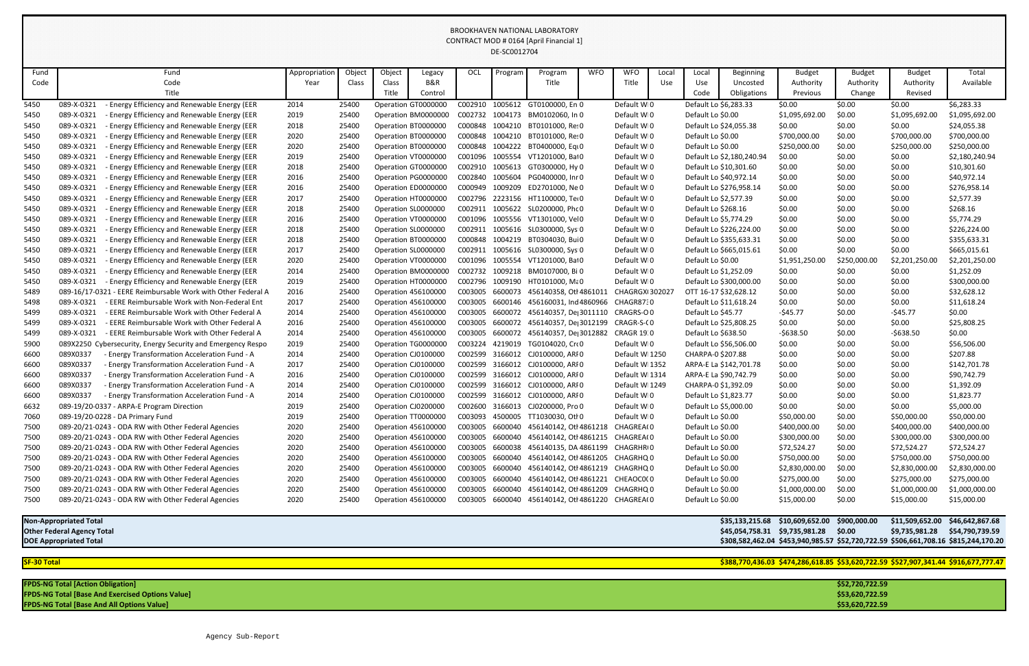| Fund                              | Fund                                                             | Appropriation | Object | Object | Legacy                     | OCL             | Program | Program                                          | <b>WFO</b> | <b>WFO</b>        | Local | Local                     | Beginning       | <b>Budget</b>                                                                       | <b>Budget</b> | <b>Budget</b>   | Total           |
|-----------------------------------|------------------------------------------------------------------|---------------|--------|--------|----------------------------|-----------------|---------|--------------------------------------------------|------------|-------------------|-------|---------------------------|-----------------|-------------------------------------------------------------------------------------|---------------|-----------------|-----------------|
| Code                              | Code                                                             | Year          | Class  | Class  | <b>B&amp;R</b>             |                 |         | Title                                            |            | Title             | Use   | Use                       | Uncosted        | Authority                                                                           | Authority     | Authority       | Available       |
|                                   | Title                                                            |               |        | Title  | Control                    |                 |         |                                                  |            |                   |       | Code                      | Obligations     | Previous                                                                            | Change        | Revised         |                 |
| 5450                              | <b>Energy Efficiency and Renewable Energy (EER</b><br>089-X-0321 | 2014          | 25400  |        | Operation GT000000C        |                 |         | C002910 1005612 GT0100000, En 0                  |            | Default WI0       |       | Default Lo \$6,283.33     |                 | \$0.00                                                                              | \$0.00        | \$0.00          | \$6,283.33      |
| 5450                              | - Energy Efficiency and Renewable Energy (EER<br>089-X-0321      | 2019          | 25400  |        | Operation BM0000000        | C002732         |         | 1004173 BM0102060, In 0                          |            | Default WI0       |       | Default Lo \$0.00         |                 | \$1,095,692.00                                                                      | \$0.00        | \$1,095,692.00  | \$1,095,692.00  |
| 5450                              | 089-X-0321<br><b>Energy Efficiency and Renewable Energy (EER</b> | 2018          | 25400  |        | Operation BT0000000        | C000848         | 1004210 | BT0101000, Re: 0                                 |            | Default WI0       |       | Default Lo \$24,055.38    |                 | \$0.00                                                                              | \$0.00        | \$0.00          | \$24,055.38     |
| 5450                              | 089-X-0321<br>- Energy Efficiency and Renewable Energy (EER      | 2020          | 25400  |        | Operation BT0000000        | C000848         | 1004210 | BT0101000, Re: 0                                 |            | Default WI0       |       | Default Lo \$0.00         |                 | \$700,000.00                                                                        | \$0.00        | \$700,000.00    | \$700,000.00    |
| 5450                              | 089-X-0321<br>- Energy Efficiency and Renewable Energy (EER      | 2020          | 25400  |        | Operation BT0000000        | C000848         | 1004222 | BT0400000, Eqi 0                                 |            | Default WI0       |       | Default Lo \$0.00         |                 | \$250,000.00                                                                        | \$0.00        | \$250,000.00    | \$250,000.00    |
| 5450                              | 089-X-0321<br>Energy Efficiency and Renewable Energy (EER        | 2019          | 25400  |        | Operation VT0000000        | C001096         | 1005554 | VT1201000, Bal0                                  |            | Default WI0       |       | Default Lo \$2,180,240.94 |                 | \$0.00                                                                              | \$0.00        | \$0.00          | \$2,180,240.94  |
| 5450                              | 089-X-0321<br>- Energy Efficiency and Renewable Energy (EER      | 2018          | 25400  |        | Operation GT0000000        | C002910         | 1005613 | GT0300000, Hy 0                                  |            | Default WI0       |       | Default Lo \$10,301.60    |                 | \$0.00                                                                              | \$0.00        | \$0.00          | \$10,301.60     |
| 5450                              | 089-X-0321<br><b>Energy Efficiency and Renewable Energy (EER</b> | 2016          | 25400  |        | Operation PG0000000        | C002840         | 1005604 | PG0400000, Inr 0                                 |            | Default WI0       |       | Default Lo \$40,972.14    |                 | \$0.00                                                                              | \$0.00        | \$0.00          | \$40,972.14     |
| 5450                              | - Energy Efficiency and Renewable Energy (EER<br>089-X-0321      | 2016          | 25400  |        | Operation ED0000000        | C000949         | 1009209 | ED2701000, Ne 0                                  |            | Default WI0       |       | Default Lo \$276,958.14   |                 | \$0.00                                                                              | \$0.00        | \$0.00          | \$276,958.14    |
| 5450                              | 089-X-0321<br>- Energy Efficiency and Renewable Energy (EER      | 2017          | 25400  |        | Operation HT0000000        | C002796         | 2223156 | HT1100000, Te+0                                  |            | Default WI0       |       | Default Lo \$2,577.39     |                 | \$0.00                                                                              | \$0.00        | \$0.00          | \$2,577.39      |
| 5450                              | <b>Energy Efficiency and Renewable Energy (EER</b><br>089-X-0321 | 2018          | 25400  |        | Operation SL0000000        | C002911         |         | 1005622 SL0200000, Phc 0                         |            | Default WI0       |       | Default Lo \$268.16       |                 | \$0.00                                                                              | \$0.00        | \$0.00          | \$268.16        |
| 5450                              | - Energy Efficiency and Renewable Energy (EER<br>089-X-0321      | 2016          | 25400  |        | Operation VT0000000        | C001096         | 1005556 | VT1301000, Vel0                                  |            | Default WI0       |       | Default Lo \$5,774.29     |                 | \$0.00                                                                              | \$0.00        | \$0.00          | \$5,774.29      |
| 5450                              | 089-X-0321<br><b>Energy Efficiency and Renewable Energy (EER</b> | 2018          | 25400  |        | Operation SL0000000        | C002911         |         | 1005616 SL0300000, Sys 0                         |            | Default WI0       |       | Default Lo \$226,224.00   |                 | \$0.00                                                                              | \$0.00        | \$0.00          | \$226,224.00    |
| 5450                              | - Energy Efficiency and Renewable Energy (EER<br>089-X-0321      | 2018          | 25400  |        | Operation BT0000000        | C000848         | 1004219 | BT0304030, Bui 0                                 |            | Default WI0       |       | Default Lo \$355,633.31   |                 | \$0.00                                                                              | \$0.00        | \$0.00          | \$355,633.31    |
| 5450                              | 089-X-0321<br>- Energy Efficiency and Renewable Energy (EER      | 2017          | 25400  |        | Operation SL0000000        | C002911         | 1005616 | SL0300000, Sys 0                                 |            | Default WI0       |       | Default Lo \$665,015.61   |                 | \$0.00                                                                              | \$0.00        | \$0.00          | \$665,015.61    |
| 5450                              | 089-X-0321<br><b>Energy Efficiency and Renewable Energy (EER</b> | 2020          | 25400  |        | Operation VT0000000        | C001096         | 1005554 | VT1201000, Bal0                                  |            | Default WI0       |       | Default Lo \$0.00         |                 | \$1,951,250.00                                                                      | \$250,000.00  | \$2,201,250.00  | \$2,201,250.00  |
| 5450                              | - Energy Efficiency and Renewable Energy (EER<br>089-X-0321      | 2014          | 25400  |        | Operation BM0000000        | C002732         | 1009218 | BM0107000, Bi 0                                  |            | Default WI0       |       | Default Lo \$1,252.09     |                 | \$0.00                                                                              | \$0.00        | \$0.00          | \$1,252.09      |
| 5450                              | 089-X-0321<br>- Energy Efficiency and Renewable Energy (EER      | 2019          | 25400  |        | Operation HT0000000        | C002796         | 1009190 | HT0101000, Mε0                                   |            | Default WI0       |       | Default Lo \$300,000.00   |                 | \$0.00                                                                              | \$0.00        | \$0.00          | \$300,000.00    |
| 5489                              | 089-16/17-0321 - EERE Reimbursable Work with Other Federal A     | 2016          | 25400  |        | Operation 456100000        | C003005         | 6600073 | 456140358, Otl 486101                            |            | CHAGRGXI30202     |       | OTT 16-17 \$32,628.12     |                 | \$0.00                                                                              | \$0.00        | \$0.00          | \$32,628.12     |
| 5498                              | 089-X-0321<br>- EERE Reimbursable Work with Non-Federal Ent      | 2017          | 25400  |        | <b>Operation 456100000</b> | C003005         | 6600146 | 456160031, Ind 4860966                           |            | CHAGR8730         |       | Default Lo \$11,618.24    |                 | \$0.00                                                                              | \$0.00        | \$0.00          | \$11,618.24     |
| 5499                              | 089-X-0321<br>- EERE Reimbursable Work with Other Federal A      | 2014          | 25400  |        | <b>Operation 456100000</b> | C003005         | 6600072 | 456140357, De 3011110                            |            | CRAGRS-O0         |       | Default Lo \$45.77        |                 | $-545.77$                                                                           | \$0.00        | -\$45.77        | \$0.00          |
| 5499                              | 089-X-0321<br>- EERE Reimbursable Work with Other Federal A      | 2016          | 25400  |        | Operation 456100000        | C003005         | 6600072 | 456140357, De 3012199                            |            | CRAGR-S-CO        |       | Default Lo \$25,808.25    |                 | \$0.00                                                                              | \$0.00        | \$0.00          | \$25,808.25     |
| 5499                              | 089-X-0321<br>- EERE Reimbursable Work with Other Federal A      | 2014          | 25400  |        | <b>Operation 456100000</b> | C003005         | 6600072 | 456140357, De 3012882                            |            | <b>CRAGR 19:0</b> |       | Default Lo \$638.50       |                 | $-5638.50$                                                                          | \$0.00        | -\$638.50       | \$0.00          |
| 5900                              | 089X2250 Cybersecurity, Energy Security and Emergency Respo      | 2019          | 25400  |        | Operation TG0000000        | C003224         | 4219019 | TG0104020, Cro0                                  |            | Default WI0       |       | Default Lo \$56,506.00    |                 | \$0.00                                                                              | \$0.00        | \$0.00          | \$56,506.00     |
| 6600                              | 089X0337<br><b>Energy Transformation Acceleration Fund - A</b>   | 2014          | 25400  |        | Operation CJ0100000        | C002599         | 3166012 | CJ0100000, ARI 0                                 |            | Default WI1250    |       | CHARPA-0 \$207.88         |                 | \$0.00                                                                              | \$0.00        | \$0.00          | \$207.88        |
| 6600                              | 089X0337<br>- Energy Transformation Acceleration Fund - A        | 2017          | 25400  |        | Operation CJ0100000        | C002599         |         | 3166012 CJ0100000, ARI 0                         |            | Default WI1352    |       | ARPA-E La \$142,701.78    |                 | \$0.00                                                                              | \$0.00        | \$0.00          | \$142,701.78    |
| 6600                              | 089X0337<br>- Energy Transformation Acceleration Fund - A        | 2016          | 25400  |        | Operation CJ0100000        | C002599         |         | 3166012 CJ0100000, ARI 0                         |            | Default WI1314    |       | ARPA-E La \$90,742.79     |                 | \$0.00                                                                              | \$0.00        | \$0.00          | \$90,742.79     |
| 6600                              | 089X0337<br>- Energy Transformation Acceleration Fund - A        | 2014          | 25400  |        | Operation CJ0100000        | C002599         |         | 3166012 CJ0100000, ARIO                          |            | Default WI1249    |       | CHARPA-0 \$1,392.09       |                 | \$0.00                                                                              | \$0.00        | \$0.00          | \$1,392.09      |
| 6600                              | 089X0337<br>- Energy Transformation Acceleration Fund - A        | 2014          | 25400  |        | Operation CJ0100000        |                 |         | C002599 3166012 CJ0100000, ARIO                  |            | Default WI0       |       | Default Lo \$1,823.77     |                 | \$0.00                                                                              | \$0.00        | \$0.00          | \$1,823.77      |
| 6632                              | 089-19/20-0337 - ARPA-E Program Direction                        | 2019          | 25400  |        | Operation CJ0200000        | C002600         |         | 3166013 CJ0200000, Pro 0                         |            | Default WI0       |       | Default Lo \$5,000.00     |                 | \$0.00                                                                              | \$0.00        | \$0.00          | \$5,000.00      |
| 7060                              | 089-19/20-0228 - DA Primary Fund                                 | 2019          | 25400  |        | Operation TT0000000        |                 |         | C003093 4500005 TT1030030, Otl 0                 |            | Default WI0       |       | Default Lo \$0.00         |                 | \$50,000.00                                                                         | \$0.00        | \$50,000.00     | \$50,000.00     |
| 7500                              | 089-20/21-0243 - ODA RW with Other Federal Agencies              | 2020          | 25400  |        | <b>Operation 456100000</b> | C003005         |         | 6600040 456140142, Otl 4861218                   |            | CHAGREA(0         |       | Default Lo \$0.00         |                 | \$400,000.00                                                                        | \$0.00        | \$400,000.00    | \$400,000.00    |
| 7500                              | 089-20/21-0243 - ODA RW with Other Federal Agencies              | 2020          | 25400  |        | <b>Operation 456100000</b> | C003005 6600040 |         | 456140142, Otl 4861215                           |            | CHAGREA(0         |       | Default Lo \$0.00         |                 | \$300,000.00                                                                        | \$0.00        | \$300,000.00    | \$300,000.00    |
| 7500                              | 089-20/21-0243 - ODA RW with Other Federal Agencies              | 2020          | 25400  |        | <b>Operation 456100000</b> | C003005 6600038 |         | 456140135, DA 4861199 CHAGRHRIO                  |            |                   |       | Default Lo \$0.00         |                 | \$72,524.27                                                                         | \$0.00        | \$72,524.27     | \$72,524.27     |
| 7500                              | 089-20/21-0243 - ODA RW with Other Federal Agencies              | 2020          | 25400  |        | Operation 456100000        | C003005         | 6600040 | 456140142, Otl 4861205                           |            | CHAGRHQ 0         |       | Default Lo \$0.00         |                 | \$750,000.00                                                                        | \$0.00        | \$750,000.00    | \$750,000.00    |
| 7500                              | 089-20/21-0243 - ODA RW with Other Federal Agencies              | 2020          | 25400  |        | <b>Operation 456100000</b> |                 |         | C003005 6600040 456140142, Otl 4861219 CHAGRHQ 0 |            |                   |       | Default Lo \$0.00         |                 | \$2,830,000.00                                                                      | \$0.00        | \$2,830,000.00  | \$2,830,000.00  |
| 7500                              | 089-20/21-0243 - ODA RW with Other Federal Agencies              | 2020          | 25400  |        | <b>Operation 456100000</b> | C003005         | 6600040 | 456140142, Otl 4861221                           |            | CHEAOCO(0         |       | Default Lo \$0.00         |                 | \$275,000.00                                                                        | \$0.00        | \$275,000.00    | \$275,000.00    |
| 7500                              | 089-20/21-0243 - ODA RW with Other Federal Agencies              | 2020          | 25400  |        | <b>Operation 456100000</b> | C003005         | 6600040 | 456140142, Otl 4861209                           |            | CHAGRHQ 0         |       | Default Lo \$0.00         |                 | \$1,000,000.00                                                                      | \$0.00        | \$1,000,000.00  | \$1,000,000.00  |
| 7500                              | 089-20/21-0243 - ODA RW with Other Federal Agencies              | 2020          | 25400  |        | Operation 456100000        |                 |         | C003005 6600040 456140142, Otl 4861220 CHAGREA(0 |            |                   |       | Default Lo \$0.00         |                 | \$15,000.00                                                                         | \$0.00        | \$15,000.00     | \$15,000.00     |
|                                   |                                                                  |               |        |        |                            |                 |         |                                                  |            |                   |       |                           |                 |                                                                                     |               |                 |                 |
|                                   | <b>Non-Appropriated Total</b>                                    |               |        |        |                            |                 |         |                                                  |            |                   |       |                           | \$35,133,215.68 | \$10,609,652.00                                                                     | \$900,000.00  | \$11,509,652.00 | \$46,642,867.68 |
| <b>Other Federal Agency Total</b> |                                                                  |               |        |        |                            |                 |         |                                                  |            |                   |       |                           |                 | \$45,054,758.31 \$9,735,981.28                                                      | \$0.00        | \$9,735,981.28  | \$54,790,739.59 |
|                                   | <b>DOE Appropriated Total</b>                                    |               |        |        |                            |                 |         |                                                  |            |                   |       |                           |                 | \$308,582,462.04 \$453,940,985.57 \$52,720,722.59 \$506,661,708.16 \$815,244,170.20 |               |                 |                 |
|                                   |                                                                  |               |        |        |                            |                 |         |                                                  |            |                   |       |                           |                 |                                                                                     |               |                 |                 |

**SF-30 Total \$388,770,436.03 \$474,286,618.85 \$53,620,722.59 \$527,907,341.44 \$916,677,777.47**

| <b>FPDS-NG Total [Action Obligation]</b>                | \$52,720,722.59 |
|---------------------------------------------------------|-----------------|
| <b>FPDS-NG Total [Base And Exercised Options Value]</b> | \$53,620,722.59 |
| <b>FPDS-NG Total [Base And All Options Value]</b>       | \$53,620,722.59 |
|                                                         |                 |